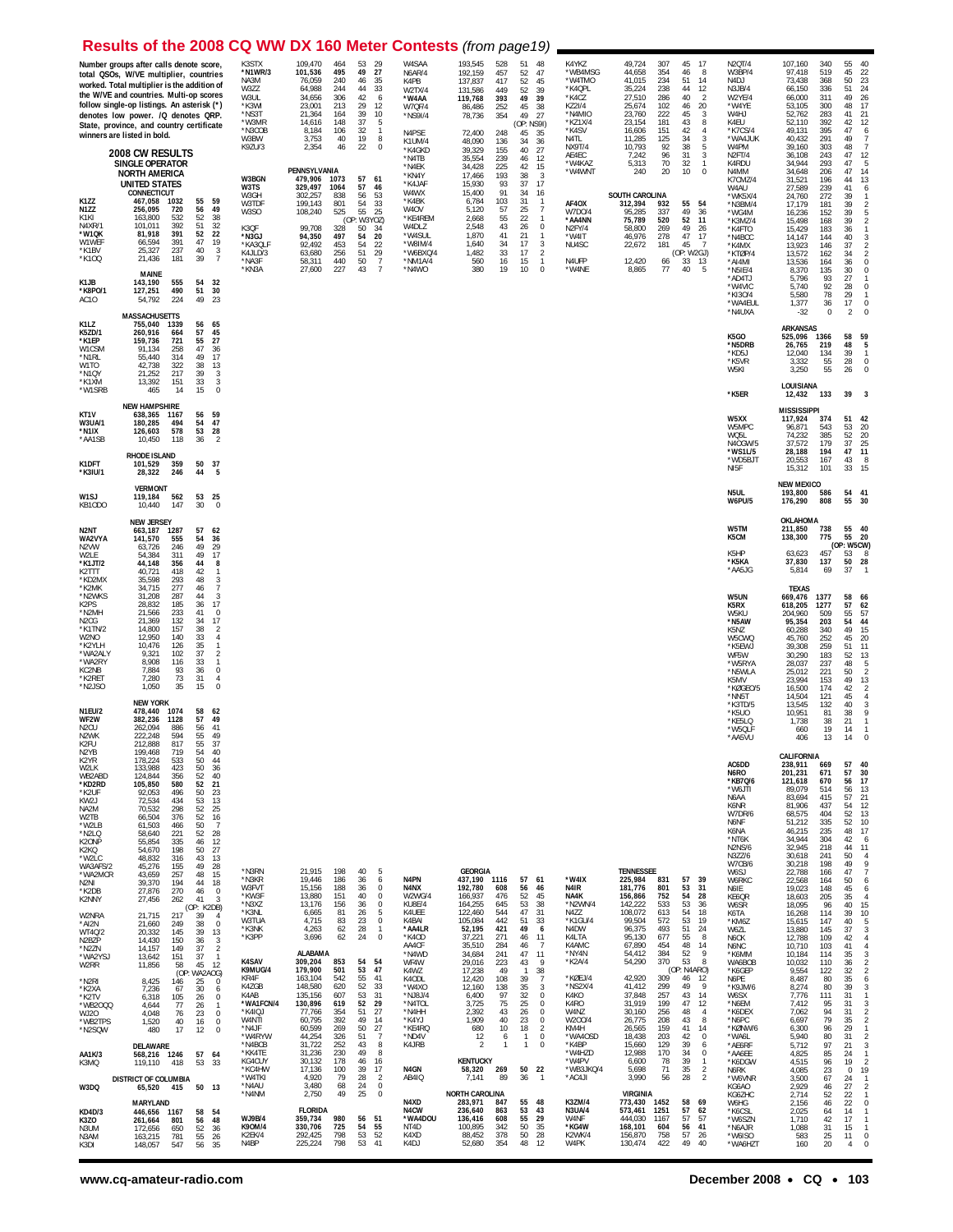## **Results of the 2008 CQ WW DX 160 Meter Contests** (from page19)

|                                                                                                                                                                                                                                                                                                                                                           | Number groups after calls denote score,<br>total QSOs, W/VE multiplier, countries<br>worked. Total multiplier is the addition of<br>the W/VE and countries. Multi-op scores<br>follow single-op listings. An asterisk (*)<br>denotes low power. /Q denotes QRP.<br>State, province, and country certificate<br>winners are listed in bold.                                                                                                                                                                                                                                                                                                                                                                                                                                                                                                                                                                                                                                                                                                                                                                                                                                                                                                        | K3STX<br>*N1WR/3<br>NA3M<br>W3ZZ<br>W3UL<br>*K3WI<br>*NS3T<br>*W3MR<br>*N3COB<br>W3BW<br>K9ZU/3                                                                                                                                                                           | 109,470<br>464<br>53<br>29<br>495<br>49<br>27<br>101,536<br>76,059<br>240<br>46<br>35<br>33<br>64,988<br>244<br>44<br>306<br>34,656<br>42<br>6<br>23,001<br>213<br>29<br>12<br>39<br>10<br>21,364<br>164<br>5<br>14,616<br>148<br>37<br>106<br>32<br>8,184<br>$\overline{1}$<br>8<br>3,753<br>40<br>19<br>22<br>$\mathbf 0$<br>2,354<br>46                                                                                                                                                                                                                                                                                                                                                                                                                                                                                                                                                                   | W4SAA<br><b>N6AR/4</b><br>K4PB<br>W2TX/4<br>*W4AA<br>W7QF/4<br>*NS9I/4<br>N4PSE<br>K1UM/4                                                                                                                                                             | 193,545<br>51<br>48<br>528<br>52<br>192,159<br>457<br>47<br>137,837<br>417<br>52<br>45<br>52<br>39<br>131,586<br>449<br>49<br>39<br>119,768<br>393<br>252<br>45<br>38<br>86,486<br>27<br>78,736<br>354<br>49<br>(OP: NS9I)<br>35<br>72,400<br>248<br>45<br>48,090<br>136<br>34<br>36                                                                                                                                                                                                                                                                                                                                                                                                                                                                                                                                                                                                                                | K4YKZ<br>*WB4MSG<br>*W4TMO<br>*K4QPL<br>*K4CZ<br>KZ21/4<br>*N4MIO<br>*KZ1X/4<br>*K4SV<br>N4TL<br><b>NX9T/4</b>                                                                                                                                                           | 49,724<br>307<br>45<br>17<br>8<br>44,658<br>354<br>46<br>41,015<br>234<br>51<br>14<br>35,224<br>238<br>44<br>$\begin{array}{c} 12 \\ 2 \end{array}$<br>27,510<br>286<br>40<br>20<br>25,674<br>102<br>46<br>$\frac{3}{8}$<br>222<br>45<br>23,760<br>23,154<br>181<br>43<br>151<br>42<br>$\overline{4}$<br>16,606<br>3<br>11,285<br>125<br>34<br>92<br>$\sqrt{5}$<br>10,793<br>38                                                                                                                                                                                                                                                                                                                                                                                                                                                                                                                                | N2QT/4<br>W3BP/4<br>N <sub>4</sub> DJ<br>N3JB/4<br>W2YE/4<br>*W4YE<br>W4HJ<br>K4EU<br>*K7CS/4<br>*WA4JUK<br>W4PM                                                                                                                                                                                                                                                                                              | 107,160<br>340<br>55<br>40<br>45<br>22<br>97,418<br>519<br>$\begin{array}{c} 23 \\ 24 \end{array}$<br>73,438<br>368<br>50<br>51<br>66,150<br>336<br>49<br>26<br>311<br>66,000<br>53,105<br>300<br>48<br>17<br>283<br>41<br>21<br>52,762<br>42<br>12<br>52,110<br>392<br>49,131<br>395<br>47<br>6<br>40,432<br>291<br>49<br>7<br>303<br>48<br>39,160<br>$\overline{7}$                                                                                                                                                                                                                                                                                                                                                                                                                                                                                                                                                                                                                                                                                                                                                                                                                                                                                                                                                   |
|-----------------------------------------------------------------------------------------------------------------------------------------------------------------------------------------------------------------------------------------------------------------------------------------------------------------------------------------------------------|---------------------------------------------------------------------------------------------------------------------------------------------------------------------------------------------------------------------------------------------------------------------------------------------------------------------------------------------------------------------------------------------------------------------------------------------------------------------------------------------------------------------------------------------------------------------------------------------------------------------------------------------------------------------------------------------------------------------------------------------------------------------------------------------------------------------------------------------------------------------------------------------------------------------------------------------------------------------------------------------------------------------------------------------------------------------------------------------------------------------------------------------------------------------------------------------------------------------------------------------------|---------------------------------------------------------------------------------------------------------------------------------------------------------------------------------------------------------------------------------------------------------------------------|--------------------------------------------------------------------------------------------------------------------------------------------------------------------------------------------------------------------------------------------------------------------------------------------------------------------------------------------------------------------------------------------------------------------------------------------------------------------------------------------------------------------------------------------------------------------------------------------------------------------------------------------------------------------------------------------------------------------------------------------------------------------------------------------------------------------------------------------------------------------------------------------------------------|-------------------------------------------------------------------------------------------------------------------------------------------------------------------------------------------------------------------------------------------------------|---------------------------------------------------------------------------------------------------------------------------------------------------------------------------------------------------------------------------------------------------------------------------------------------------------------------------------------------------------------------------------------------------------------------------------------------------------------------------------------------------------------------------------------------------------------------------------------------------------------------------------------------------------------------------------------------------------------------------------------------------------------------------------------------------------------------------------------------------------------------------------------------------------------------|--------------------------------------------------------------------------------------------------------------------------------------------------------------------------------------------------------------------------------------------------------------------------|----------------------------------------------------------------------------------------------------------------------------------------------------------------------------------------------------------------------------------------------------------------------------------------------------------------------------------------------------------------------------------------------------------------------------------------------------------------------------------------------------------------------------------------------------------------------------------------------------------------------------------------------------------------------------------------------------------------------------------------------------------------------------------------------------------------------------------------------------------------------------------------------------------------|---------------------------------------------------------------------------------------------------------------------------------------------------------------------------------------------------------------------------------------------------------------------------------------------------------------------------------------------------------------------------------------------------------------|-------------------------------------------------------------------------------------------------------------------------------------------------------------------------------------------------------------------------------------------------------------------------------------------------------------------------------------------------------------------------------------------------------------------------------------------------------------------------------------------------------------------------------------------------------------------------------------------------------------------------------------------------------------------------------------------------------------------------------------------------------------------------------------------------------------------------------------------------------------------------------------------------------------------------------------------------------------------------------------------------------------------------------------------------------------------------------------------------------------------------------------------------------------------------------------------------------------------------------------------------------------------------------------------------------------------------|
|                                                                                                                                                                                                                                                                                                                                                           | 2008 CW RESULTS<br><b>SINGLE OPERATOR</b><br><b>NORTH AMERICA</b>                                                                                                                                                                                                                                                                                                                                                                                                                                                                                                                                                                                                                                                                                                                                                                                                                                                                                                                                                                                                                                                                                                                                                                                 | W3BGN                                                                                                                                                                                                                                                                     | PENNSYLVANIA<br>479,906<br>1073<br>57<br>61                                                                                                                                                                                                                                                                                                                                                                                                                                                                                                                                                                                                                                                                                                                                                                                                                                                                  | *K4GKD<br>*N4TB<br>*N4EK<br>*KN4Y                                                                                                                                                                                                                     | 155<br>27<br>39,329<br>40<br>35,554<br>239<br>12<br>46<br>34,428<br>225<br>42<br>15<br>17,466<br>193<br>38<br>-3                                                                                                                                                                                                                                                                                                                                                                                                                                                                                                                                                                                                                                                                                                                                                                                                    | AE4EC<br>*W4KAZ<br>*W4WNT                                                                                                                                                                                                                                                | 96<br>31<br>3<br>7,242<br>70<br>32<br>5,313<br>$\mathbf{1}$<br>20<br>10<br>$\theta$<br>240                                                                                                                                                                                                                                                                                                                                                                                                                                                                                                                                                                                                                                                                                                                                                                                                                     | N2FT/4<br>K4RDU<br>N4MM<br>K7CMZ/4                                                                                                                                                                                                                                                                                                                                                                            | 243<br>47<br>12<br>36,108<br>293<br>47<br>5<br>34,944<br>34,648<br>47<br>14<br>206<br>13<br>44<br>196<br>31,521                                                                                                                                                                                                                                                                                                                                                                                                                                                                                                                                                                                                                                                                                                                                                                                                                                                                                                                                                                                                                                                                                                                                                                                                         |
| K1ZZ<br>N1ZZ<br>K1KI<br>N4XR/1<br>*W1QK<br>W1WEF<br>*K1BV<br>*K100                                                                                                                                                                                                                                                                                        | <b>UNITED STATES</b><br>CONNECTICUT<br>59<br>1032<br>55<br>467,058<br>56<br>49<br>256,095<br>720<br>52<br>38<br>163,800<br>532<br>51<br>392<br>$\frac{32}{22}$<br>101.011<br>52<br>81,918<br>391<br>47<br>19<br>391<br>66,594<br>25,327<br>237<br>40<br>3<br>21,436<br>181<br>39<br>$\overline{7}$                                                                                                                                                                                                                                                                                                                                                                                                                                                                                                                                                                                                                                                                                                                                                                                                                                                                                                                                                | W3TS<br>W3GH<br>W3TDF<br>W3SO<br>K3OF<br>*N3GJ<br>*KA3QLF<br>K4JLD/3<br>*NA3F<br>*KN3A                                                                                                                                                                                    | 329,497<br>1064<br>57<br>46<br>53<br>302,257<br>838<br>56<br>199,143<br>801<br>54<br>33<br>525<br>55<br>25<br>108,240<br>(OP: W3YOZ)<br>99.708<br>328<br>50<br>34<br>94,350<br>497<br>54<br>20<br>92,492<br>453<br>54<br>22<br>256<br>51<br>$\begin{array}{c} 29 \\ 7 \end{array}$<br>63,680<br>50<br>440<br>58,311<br>227<br>43<br>$\overline{7}$<br>27,600                                                                                                                                                                                                                                                                                                                                                                                                                                                                                                                                                 | *K4JAF<br>W4WX<br>*K4BK<br>W <sub>4</sub> OV<br>*KE4REM<br>W4DLZ<br>*W4SUL<br>*W8IM/4<br>*W6BXQ/4<br>*NM1A/4<br>*N4WO                                                                                                                                 | 15,930<br>93<br>37<br>17<br>15,400<br>91<br>34<br>16<br>6,784<br>103<br>31<br>$\overline{1}$<br>57<br>25<br>$\overline{7}$<br>5,120<br>55<br>22<br>2,668<br>$\mathbf{1}$<br>2,548<br>43<br>26<br>0<br>1,870<br>41<br>21<br>$\mathbf{1}$<br>34<br>17<br>1,640<br>3<br>33<br>$\overline{2}$<br>1,482<br>17<br>560<br>16<br>15<br>$\mathbf{1}$<br>10<br>380<br>19<br>$\Omega$                                                                                                                                                                                                                                                                                                                                                                                                                                                                                                                                          | AF4OX<br>W7D0/4<br>*AA4NN<br>N2FY/4<br>*W4IT<br>NU4SC<br>N4UFP<br>*W4NE                                                                                                                                                                                                  | <b>SOUTH CAROLINA</b><br>312,394<br>932<br>55<br>54<br>337<br>49<br>36<br>95,285<br>75,789<br>520<br>52<br>11<br>269<br>49<br>58,800<br>26<br>46,976<br>278<br>47<br>17<br>181<br>22,672<br>45<br>-7<br>(OP: W2GJ)<br>12,420<br>66<br>33<br>13<br>77<br>5<br>8,865<br>40                                                                                                                                                                                                                                                                                                                                                                                                                                                                                                                                                                                                                                       | W4AU<br>*WK5X/4<br>*N3BM/4<br>*WG4M<br>*K3MZ/4<br>*K4FTO<br>*N4BCC<br>*K4MX<br>*KTØP/4<br>*AI4MI<br>*N5IE/4                                                                                                                                                                                                                                                                                                   | 239<br>41<br>27,589<br>6<br>39<br>24,760<br>272<br>17,179<br>181<br>39<br>$\overline{2}$<br>39<br>16,236<br>152<br>39<br>15,498<br>168<br>36<br>15,429<br>183<br>40<br>14,147<br>144<br>37<br>13,923<br>146<br>34<br>13,572<br>162<br>$\mathcal{P}$<br>36<br>13,536<br>164<br>$\Omega$<br>$30\,$<br>8,370<br>135<br>$\Omega$                                                                                                                                                                                                                                                                                                                                                                                                                                                                                                                                                                                                                                                                                                                                                                                                                                                                                                                                                                                            |
| K1JB<br>*K8PO/1<br>AC <sub>10</sub>                                                                                                                                                                                                                                                                                                                       | <b>MAINE</b><br>555<br>54<br>32<br>143,190<br>51<br>30<br>490<br>127,251<br>49<br>54,792<br>224<br>23<br><b>MASSACHUSETTS</b>                                                                                                                                                                                                                                                                                                                                                                                                                                                                                                                                                                                                                                                                                                                                                                                                                                                                                                                                                                                                                                                                                                                     |                                                                                                                                                                                                                                                                           |                                                                                                                                                                                                                                                                                                                                                                                                                                                                                                                                                                                                                                                                                                                                                                                                                                                                                                              |                                                                                                                                                                                                                                                       |                                                                                                                                                                                                                                                                                                                                                                                                                                                                                                                                                                                                                                                                                                                                                                                                                                                                                                                     |                                                                                                                                                                                                                                                                          |                                                                                                                                                                                                                                                                                                                                                                                                                                                                                                                                                                                                                                                                                                                                                                                                                                                                                                                | *AD4TJ<br>*W4VIC<br>*KI3O/4<br>*WA4EUL<br>*N4UXA                                                                                                                                                                                                                                                                                                                                                              | 5,796<br>93<br>27<br>28<br>92<br>5,740<br>$\Omega$<br>78<br>29<br>5,580<br>$\mathbf{1}$<br>17<br>1,377<br>36<br>$\Omega$<br>$-32$<br>0<br>$\overline{2}$                                                                                                                                                                                                                                                                                                                                                                                                                                                                                                                                                                                                                                                                                                                                                                                                                                                                                                                                                                                                                                                                                                                                                                |
| K1LZ<br><b>K5ZD/1</b><br>*K1EP<br>W1CSM<br>*N1RL<br>W1TO<br>*N1QY<br>*K1XM                                                                                                                                                                                                                                                                                | 56<br>755,040<br>1339<br>65<br>57<br>45<br>260,916<br>664<br>55<br>27<br>721<br>159,736<br>258<br>47<br>36<br>91,134<br>49<br>17<br>55,440<br>314<br>322<br>38<br>42,738<br>13<br>39<br>217<br>21,252<br>3<br>13,392<br>33<br>3<br>151                                                                                                                                                                                                                                                                                                                                                                                                                                                                                                                                                                                                                                                                                                                                                                                                                                                                                                                                                                                                            |                                                                                                                                                                                                                                                                           |                                                                                                                                                                                                                                                                                                                                                                                                                                                                                                                                                                                                                                                                                                                                                                                                                                                                                                              |                                                                                                                                                                                                                                                       |                                                                                                                                                                                                                                                                                                                                                                                                                                                                                                                                                                                                                                                                                                                                                                                                                                                                                                                     |                                                                                                                                                                                                                                                                          |                                                                                                                                                                                                                                                                                                                                                                                                                                                                                                                                                                                                                                                                                                                                                                                                                                                                                                                | K5GO<br>*N5DRB<br>*KD5J<br>*K5VR<br>W5KI                                                                                                                                                                                                                                                                                                                                                                      | <b>ARKANSAS</b><br>58<br>59<br>525,096<br>1366<br>48<br>5<br>26,765<br>219<br>12,040<br>134<br>39<br>$\mathbf{1}$<br>28<br>3,332<br>55<br>$\mathbf 0$<br>55<br>3,250<br>26<br>$\Omega$                                                                                                                                                                                                                                                                                                                                                                                                                                                                                                                                                                                                                                                                                                                                                                                                                                                                                                                                                                                                                                                                                                                                  |
| *W1SRB<br>KT <sub>1</sub> V                                                                                                                                                                                                                                                                                                                               | 15<br>465<br>14<br>0<br><b>NEW HAMPSHIRE</b><br>638,365<br>56<br>59<br>1167                                                                                                                                                                                                                                                                                                                                                                                                                                                                                                                                                                                                                                                                                                                                                                                                                                                                                                                                                                                                                                                                                                                                                                       |                                                                                                                                                                                                                                                                           |                                                                                                                                                                                                                                                                                                                                                                                                                                                                                                                                                                                                                                                                                                                                                                                                                                                                                                              |                                                                                                                                                                                                                                                       |                                                                                                                                                                                                                                                                                                                                                                                                                                                                                                                                                                                                                                                                                                                                                                                                                                                                                                                     |                                                                                                                                                                                                                                                                          |                                                                                                                                                                                                                                                                                                                                                                                                                                                                                                                                                                                                                                                                                                                                                                                                                                                                                                                | *K5ER                                                                                                                                                                                                                                                                                                                                                                                                         | LOUISIANA<br>39<br>12,432<br>133<br><b>MISSISSIPPI</b>                                                                                                                                                                                                                                                                                                                                                                                                                                                                                                                                                                                                                                                                                                                                                                                                                                                                                                                                                                                                                                                                                                                                                                                                                                                                  |
| <b>W3UA/1</b><br>*N1IX<br>*AA1SB<br>K1DFT                                                                                                                                                                                                                                                                                                                 | 180,285<br>494<br>54<br>47<br>53<br>578<br>28<br>126,603<br>10,450<br>118<br>36<br>$\overline{2}$<br>RHODE ISLAND<br>50<br>359<br>37<br>101,529                                                                                                                                                                                                                                                                                                                                                                                                                                                                                                                                                                                                                                                                                                                                                                                                                                                                                                                                                                                                                                                                                                   |                                                                                                                                                                                                                                                                           |                                                                                                                                                                                                                                                                                                                                                                                                                                                                                                                                                                                                                                                                                                                                                                                                                                                                                                              |                                                                                                                                                                                                                                                       |                                                                                                                                                                                                                                                                                                                                                                                                                                                                                                                                                                                                                                                                                                                                                                                                                                                                                                                     |                                                                                                                                                                                                                                                                          |                                                                                                                                                                                                                                                                                                                                                                                                                                                                                                                                                                                                                                                                                                                                                                                                                                                                                                                | W5XX<br>W5MPC<br>WQ5L<br>N40GW/5<br>*WS1L/5<br>*WD5BJT<br>NI <sub>5F</sub>                                                                                                                                                                                                                                                                                                                                    | 117,924<br>374<br>51<br>42<br>20<br>53<br>96,871<br>543<br>$\frac{20}{25}$<br>385<br>52<br>37<br>74,232<br>179<br>37,572<br>11<br>28,188<br>194<br>47<br>20,553<br>167<br>43<br>8<br>15,312<br>33<br>15<br>101                                                                                                                                                                                                                                                                                                                                                                                                                                                                                                                                                                                                                                                                                                                                                                                                                                                                                                                                                                                                                                                                                                          |
| *K3IU/1<br>W1SJ<br>KB10D0                                                                                                                                                                                                                                                                                                                                 | 28,322<br>44<br>246<br>5<br><b>VERMONT</b><br>53<br>25<br>119,184<br>562<br>30<br>10,440<br>147<br>$\mathbf 0$                                                                                                                                                                                                                                                                                                                                                                                                                                                                                                                                                                                                                                                                                                                                                                                                                                                                                                                                                                                                                                                                                                                                    |                                                                                                                                                                                                                                                                           |                                                                                                                                                                                                                                                                                                                                                                                                                                                                                                                                                                                                                                                                                                                                                                                                                                                                                                              |                                                                                                                                                                                                                                                       |                                                                                                                                                                                                                                                                                                                                                                                                                                                                                                                                                                                                                                                                                                                                                                                                                                                                                                                     |                                                                                                                                                                                                                                                                          |                                                                                                                                                                                                                                                                                                                                                                                                                                                                                                                                                                                                                                                                                                                                                                                                                                                                                                                | N5UL<br>W6PU/5                                                                                                                                                                                                                                                                                                                                                                                                | <b>NEW MEXICO</b><br>193,800<br>586<br>54<br>41<br>55<br>30<br>176,290<br>808                                                                                                                                                                                                                                                                                                                                                                                                                                                                                                                                                                                                                                                                                                                                                                                                                                                                                                                                                                                                                                                                                                                                                                                                                                           |
| N <sub>2</sub> NT<br>WA2VYA<br>N <sub>2</sub> VW<br>W2LE<br>*K1JT/2                                                                                                                                                                                                                                                                                       | <b>NEW JERSEY</b><br>663,187<br>1287<br>57<br>62<br>54<br>36<br>141,570<br>555<br>49<br>246<br>29<br>63.726<br>311<br>49<br>17<br>54,384<br>44,148<br>356<br>44<br>8                                                                                                                                                                                                                                                                                                                                                                                                                                                                                                                                                                                                                                                                                                                                                                                                                                                                                                                                                                                                                                                                              |                                                                                                                                                                                                                                                                           |                                                                                                                                                                                                                                                                                                                                                                                                                                                                                                                                                                                                                                                                                                                                                                                                                                                                                                              |                                                                                                                                                                                                                                                       |                                                                                                                                                                                                                                                                                                                                                                                                                                                                                                                                                                                                                                                                                                                                                                                                                                                                                                                     |                                                                                                                                                                                                                                                                          |                                                                                                                                                                                                                                                                                                                                                                                                                                                                                                                                                                                                                                                                                                                                                                                                                                                                                                                | W5TM<br>K5CM<br>K5HP<br>*K5KA                                                                                                                                                                                                                                                                                                                                                                                 | OKLAHOMA<br>55<br>211,850<br>738<br>40<br>55 20<br>138,300<br>775<br>(OP: W5CW)<br>63,623<br>457<br>53<br>-8<br>37,830<br>137<br>50<br>28                                                                                                                                                                                                                                                                                                                                                                                                                                                                                                                                                                                                                                                                                                                                                                                                                                                                                                                                                                                                                                                                                                                                                                               |
| K2TTT<br>*KD2MX<br>*K2MK<br>*N2WKS<br>K2PS<br>*N2MH<br>N2CG<br>*K1TN/2<br>W2NO<br>*K2YLH<br>*WA2ALY<br>*WA2RY<br>KC2NB<br>*K2RET<br>*N2JSO                                                                                                                                                                                                                | 42<br>418<br>40,721<br>$\mathbf{1}$<br>293<br>48<br>35,598<br>3<br>277<br>34,715<br>46<br>$\overline{7}$<br>287<br>44<br>3<br>31,208<br>185<br>36<br>28,832<br>17<br>233<br>41<br>21,566<br>$\theta$<br>132<br>34<br>21,369<br>17<br>157<br>38<br>14,800<br>$\overline{2}$<br>33<br>12,950<br>140<br>$\overline{4}$<br>$\frac{35}{37}$<br>10,476<br>126<br>-1<br>9,321<br>102<br>$\overline{2}$<br>33<br>8,908<br>116<br>$\mathbf{1}$<br>7,884<br>93<br>36<br>0<br>73<br>31<br>7,280<br>$\overline{4}$<br>35<br>15<br>1,050<br>0                                                                                                                                                                                                                                                                                                                                                                                                                                                                                                                                                                                                                                                                                                                  |                                                                                                                                                                                                                                                                           |                                                                                                                                                                                                                                                                                                                                                                                                                                                                                                                                                                                                                                                                                                                                                                                                                                                                                                              |                                                                                                                                                                                                                                                       |                                                                                                                                                                                                                                                                                                                                                                                                                                                                                                                                                                                                                                                                                                                                                                                                                                                                                                                     |                                                                                                                                                                                                                                                                          |                                                                                                                                                                                                                                                                                                                                                                                                                                                                                                                                                                                                                                                                                                                                                                                                                                                                                                                | *AA5JG<br>W5UN<br>K5RX<br>W5KU<br>*N5AW<br>K5NZ<br>W5CWQ<br>*K5EWJ<br>WF5W<br>*W5RYA<br>*N5WLA<br>K5MV<br>*KØGEO/5                                                                                                                                                                                                                                                                                            | 5,814<br>69<br>37<br><b>TEXAS</b><br>669,476<br>1377<br>58<br>66<br>57<br>$\frac{62}{57}$<br>618,205<br>1277<br>55<br>509<br>204,960<br>203<br>54<br>44<br>95,354<br>15<br>49<br>340<br>60,288<br>20<br>45,760<br>252<br>45<br>39,308<br>259<br>51<br>11<br>52<br>13<br>30,290<br>183<br>48<br>28,037<br>237<br>5<br>25,012<br>221<br>50<br>$\overline{2}$<br>49<br>13<br>23,994<br>153<br>$\overline{2}$<br>16,500<br>174<br>42                                                                                                                                                                                                                                                                                                                                                                                                                                                                                                                                                                                                                                                                                                                                                                                                                                                                                        |
| <b>N1EU/2</b><br>WF2W<br>N <sub>2</sub> CU<br>N <sub>2</sub> WK<br>K <sub>2FU</sub>                                                                                                                                                                                                                                                                       | <b>NEW YORK</b><br>478,440<br>1074<br>58<br>62<br>57<br>382,236<br>1128<br>49<br>56<br>41<br>262,094<br>886<br>222,248<br>594<br>55<br>49<br>55<br>817<br>37<br>212,888                                                                                                                                                                                                                                                                                                                                                                                                                                                                                                                                                                                                                                                                                                                                                                                                                                                                                                                                                                                                                                                                           |                                                                                                                                                                                                                                                                           |                                                                                                                                                                                                                                                                                                                                                                                                                                                                                                                                                                                                                                                                                                                                                                                                                                                                                                              |                                                                                                                                                                                                                                                       |                                                                                                                                                                                                                                                                                                                                                                                                                                                                                                                                                                                                                                                                                                                                                                                                                                                                                                                     |                                                                                                                                                                                                                                                                          |                                                                                                                                                                                                                                                                                                                                                                                                                                                                                                                                                                                                                                                                                                                                                                                                                                                                                                                | *NN5T<br>*K3TD/5<br>*K5UO<br>*KE5LQ<br>*W5QLF<br>*AA5VU                                                                                                                                                                                                                                                                                                                                                       | 14,504<br>121<br>45<br>$\overline{4}$<br>40<br>13,545<br>132<br>3<br>10,951<br>38<br>81<br>9<br>38<br>21<br>1,738<br>$\mathbf{1}$<br>19<br>14<br>660<br>$\mathbf{1}$<br>13<br>14<br>$\theta$<br>406                                                                                                                                                                                                                                                                                                                                                                                                                                                                                                                                                                                                                                                                                                                                                                                                                                                                                                                                                                                                                                                                                                                     |
| N2YB<br>K2YR<br>W2LK<br>WB2ABD<br>*KD2RD<br>*K2UF<br>KW2J<br>NA2M<br>W2TB<br>*W2LB<br>*N2LQ<br>K20NF<br>K2KQ<br>*W2LC<br>WA3AFS/2<br>*WA2MCR<br>N <sub>2N</sub><br>*K2DB<br>K2NNY<br>W2NRA<br>*AI2N<br>WT4Q/2<br>N2BZP<br>*N2ZN<br>*WA2YSJ<br>W2RR<br>*N2RI<br>*K2XA<br>*K2TV<br>*WB2000<br>WJ20<br>*WB2TPS<br>*N2SQW<br>AA1K/3<br>K3MQ<br>W3DQ<br>KD4D/3 | 199,468<br>719<br>54<br>40<br>178,224<br>533<br>50<br>44<br>133,988<br>50<br>36<br>423<br>40<br>124.844<br>356<br>52<br>52<br>105,850<br>580<br>21<br>50<br>496<br>23<br>92,053<br>72,534<br>434<br>53<br>13<br>298<br>52<br>25<br>70,532<br>52<br>66,504<br>376<br>16<br>61,503<br>50<br>466<br>$\overline{7}$<br>58,640<br>221<br>52<br>28<br>335<br>46<br>55,854<br>12<br>54,670<br>198<br>50<br>27<br>43<br>13<br>48,832<br>316<br>45,276<br>155<br>49<br>28<br>257<br>48<br>43,659<br>15<br>39,370<br>194<br>44<br>18<br>270<br>27,876<br>46<br>$\Omega$<br>27,456<br>262<br>41<br>3<br>(OP: K2DB)<br>217<br>21,715<br>39<br>$\overline{4}$<br>21,660<br>249<br>38<br>0<br>20,332<br>145<br>39<br>13<br>150<br>36<br>14,430<br>3<br>149<br>37<br>14,157<br>$\overline{2}$<br>151<br>37<br>13,642<br>$\mathbf{1}$<br>11,856<br>58<br>45<br>12<br>(OP: WA2AOG)<br>8,425<br>146<br>25<br>0<br>67<br>30<br>7,236<br>6<br>6,318<br>105<br>26<br>0<br>4,644<br>26<br>77<br>1<br>4,048<br>23<br>76<br>0<br>40<br>16<br>1,520<br>$\Omega$<br>17<br>480<br>12<br>0<br>DELAWARE<br>57<br>568,216 1246<br>64<br>119,110<br>418<br>53<br>33<br>DISTRICT OF COLUMBIA<br>50<br>415<br>- 13<br>65,520<br><b>MARYLAND</b><br>446,656 1167<br>58<br>54<br>801 | *N3RN<br>*N3KR<br>W3FVT<br>*KW3F<br>*N3XZ<br>*K3NL<br>W3TUA<br>*K3NK<br>*K3PP<br><b>K4SAV</b><br>K9MUG/4<br>KR4F<br>K4ZGB<br>K4AB<br>*WA1FCN/4<br>*K4IQJ<br>W4NTI<br>*N4JF<br>*W4RYW<br>*N4BCB<br>*KK4TE<br>KG4CUY<br>*KC4HW<br>*W4TKI<br>*N4AU<br>*N4NM<br><b>WJ9B/4</b> | 21,915<br>198<br>40<br>5<br>19,446<br>186<br>36<br>6<br>188<br>15,156<br>36<br>0<br>151<br>13,880<br>40<br>$^{\circ}$<br>13,176<br>156<br>36<br>$\mathbf 0$<br>5<br>6,665<br>81<br>26<br>4,715<br>83<br>23<br>$\mathbb O$<br>4,263<br>62<br>28<br>$\mathbf{1}$<br>62<br>$\mathbf 0$<br>3,696<br>24<br><b>ALABAMA</b><br>309,204<br>853<br>54<br>54<br>501<br>53<br>47<br>179,900<br>163,104<br>542<br>55<br>41<br>148,580<br>620<br>52<br>33<br>53<br>135,156<br>607<br>31<br>130,896<br>619<br>52<br>29<br>77,766<br>354<br>51<br>27<br>60,795<br>392<br>49<br>14<br>60,599<br>269<br>50<br>27<br>44,254<br>326<br>51<br>-7<br>31,722<br>252<br>43<br>8<br>31,236<br>230<br>49<br>8<br>178<br>30,132<br>46<br>16<br>17,136<br>100<br>39<br>17<br>79<br>28<br>4,920<br>$\overline{2}$<br>3,480<br>68<br>24<br>$^{\circ}$<br>2,750<br>49<br>25<br>$\mathbb O$<br><b>FLORIDA</b><br>359,734<br>980<br>56<br>51 | N <sub>4</sub> PN<br>N4NX<br>W2WG/4<br>KU8E/4<br>K4UEE<br>K4BAI<br>*AA4LR<br>*K40D<br>AA4CF<br>*N4WD<br>WF4W<br>K4WZ<br>K4ODL<br>*W4XO<br>*NJ8J/4<br>*N4TOL<br>*N4HH<br>*K4YJ<br>*KE4RQ<br>*ND4V<br>K4JRB<br>N4GN<br>AB4IQ<br>N4XD<br>N4CW<br>*WA4DOU | <b>GEORGIA</b><br>437,190 1116<br>57<br>61<br>56<br>192,780<br>608<br>46<br>52<br>166,937<br>476<br>45<br>164,255<br>53<br>38<br>645<br>122,460<br>544<br>47<br>31<br>105,084<br>51<br>33<br>442<br>52,195<br>421<br>49<br>-6<br>271<br>37,221<br>46<br>11<br>35,510<br>284<br>46<br>- 7<br>241<br>47<br>11<br>34,684<br>29,016<br>223<br>43<br>-9<br>17,238<br>38<br>49<br>$\mathbf{1}$<br>12,420<br>39<br>108<br>$\overline{7}$<br>138<br>35<br>12,160<br>-3<br>97<br>32<br>6,400<br>$\Omega$<br>3,725<br>75<br>25<br>$\Omega$<br>2,392<br>43<br>26<br>$\Omega$<br>23<br>1,909<br>40<br>$\Omega$<br>680<br>10<br>18<br>$\overline{2}$<br>12<br>0<br>6<br>1<br>$\mathcal{P}$<br>$\mathbf{1}$<br>$\Omega$<br><b>KENTUCKY</b><br>58,320<br>269<br>50<br>22<br>36<br>$\overline{1}$<br>7,141<br>89<br><b>NORTH CAROLINA</b><br>283,971<br>847<br>55<br>48<br>53<br>236,640<br>863<br>43<br>55<br>136,416<br>608<br>29 | *W4IX<br>N4IR<br>NA4K<br>*N2WN/4<br>N4ZZ<br>*K1GU/4<br>N4DW<br>K4LTA<br>K4AMC<br>*NY4N<br>*K2A/4<br>*KØEJ/4<br>*NS2X/4<br>K4KO<br>K4RO<br>W4NZ<br>W200/4<br>KM4H<br>*WA4OSD<br>*K4BP<br>*W4HZD<br>*W4PV<br>*WB3JKQ/4<br>*AC4JI<br><b>K3ZM/4</b><br><b>N3UA/4</b><br>W4NF | <b>TENNESSEE</b><br>225,984<br>831<br>39<br>57<br>181,776<br>801<br>53<br>31<br>28<br>156,866<br>752<br>54<br>142,222<br>533<br>53<br>36<br>18<br>108,072<br>613<br>54<br>99,504<br>572<br>53<br>19<br>96,375<br>493<br>51<br>24<br>677<br>95,130<br>55<br>8<br>67,890<br>454<br>48<br>14<br>384<br>9<br>54,412<br>52<br>54,290<br>370<br>53<br>8<br>(OP: N4ARO)<br>42,920<br>309<br>46<br>12<br>- 9<br>41,412<br>299<br>49<br>37,848<br>257<br>43<br>14<br>199<br>12<br>31,919<br>47<br>30,160<br>256<br>48<br>$\overline{4}$<br>8<br>26,775<br>208<br>43<br>26,565<br>159<br>41<br>14<br>203<br>0<br>18,438<br>42<br>129<br>39<br>15,660<br>6<br>12,988<br>170<br>34<br>0<br>39<br>6,600<br>78<br>$\mathbf{1}$<br>5,698<br>71<br>35<br>$\overline{2}$<br>$\overline{2}$<br>3,990<br>56<br>28<br><b>VIRGINIA</b><br>773,430<br>1452<br>58<br>69<br>573,461<br>57<br>62<br>1251<br>444,030<br>1167<br>57<br>57 | AC6DD<br>N6RO<br>*KB7Q/6<br>*W6JTI<br>N6AA<br>K6NR<br>W7DR/6<br>N6NF<br>K6NA<br>*NT6K<br>N2NS/6<br>N377/6<br>W7CB/6<br>W6SJ<br>W6RKC<br>N6IF<br>KE6QR<br>W6SR<br>K6TA<br>*KM6Z<br>W6ZL<br>N6CK<br>N6NC<br>*K6MM<br>WA6BOB<br>*K6GEP<br>N6PE<br>*K9JM/6<br>W6SX<br>*N6EM<br>*K6DEX<br>*N6PC<br>*KØNW/6<br>*WA6L<br>*AE6RF<br>*AA6EE<br>*K6DGW<br>N6RK<br>*W6VNR<br>KG6AO<br>KG6ZHC<br>W6HG<br>*K6CSL<br>*W6SZN | CALIFORNIA<br>57<br>40<br>238,911<br>669<br>201,231<br>671<br>57<br>30<br>17<br>56<br>121,618<br>670<br>89,079<br>56<br>13<br>514<br>57<br>21<br>83,694<br>415<br>54<br>12<br>81,906<br>437<br>13<br>52<br>68,575<br>404<br>52<br>10<br>51,212<br>335<br>17<br>48<br>46,215<br>235<br>34,944<br>304<br>42<br>6<br>32,945<br>11<br>218<br>44<br>50<br>30,618<br>241<br>$\overline{4}$<br>30,218<br>198<br>49<br>22,788<br>47<br>166<br>22,568<br>50<br>164<br>6<br>148<br>45<br>19,023<br>6<br>18,603<br>205<br>35<br>$\overline{4}$<br>40<br>15<br>18,095<br>96<br>16,268<br>114<br>39<br>10<br>5<br>15,615<br>147<br>40<br>37<br>13,880<br>145<br>3<br>12,788<br>109<br>42<br>4<br>10,710<br>103<br>41<br>35<br>10,184<br>114<br>3<br>36<br>10,032<br>110<br>32<br>9,554<br>122<br>2<br>8,487<br>35<br>80<br>6<br>8,274<br>80<br>39<br>31<br>111<br>7,776<br>$\mathbf{1}$<br>7,412<br>95<br>31<br>94<br>31<br>7,062<br>6,697<br>79<br>35<br>96<br>29<br>6,300<br>-1<br>5,940<br>80<br>31<br>2<br>21<br>5,712<br>97<br>3<br>24<br>4,825<br>85<br>19<br>96<br>4,515<br>-2<br>23<br>19<br>4,085<br>$^{\circ}$<br>67<br>24<br>3,500<br>$\mathbf{1}$<br>27<br>2,929<br>46<br>$\overline{2}$<br>22<br>52<br>2,714<br>$\mathbf{1}$<br>46<br>22<br>$\Omega$<br>2,156<br>2,025<br>64<br>14<br>1,710<br>17<br>42<br>$\mathbf{1}$ |
| K3ZO<br>N3UM<br>N3AM<br>K3DI                                                                                                                                                                                                                                                                                                                              | 56<br>48<br>261,664<br>172,656<br>650<br>52<br>36<br>55<br>26<br>163,215<br>781<br>56<br>35<br>148,057<br>547                                                                                                                                                                                                                                                                                                                                                                                                                                                                                                                                                                                                                                                                                                                                                                                                                                                                                                                                                                                                                                                                                                                                     | K90M/4<br>K2EK/4<br>N4BP                                                                                                                                                                                                                                                  | 330,706<br>725<br>55<br>54<br>53<br>52<br>292,425<br>798<br>53<br>41<br>798<br>225,224                                                                                                                                                                                                                                                                                                                                                                                                                                                                                                                                                                                                                                                                                                                                                                                                                       | NT4D<br>K4XD<br>K4DJ                                                                                                                                                                                                                                  | 50<br>35<br>100,895<br>342<br>378<br>50<br>88,452<br>28<br>354<br>48<br>12<br>52,680                                                                                                                                                                                                                                                                                                                                                                                                                                                                                                                                                                                                                                                                                                                                                                                                                                | *KG4W<br>K2WK/4<br>W4PK                                                                                                                                                                                                                                                  | 41<br>168,101<br>604<br>56<br>57<br>156,870<br>758<br>26<br>49<br>422<br>40<br>130,474                                                                                                                                                                                                                                                                                                                                                                                                                                                                                                                                                                                                                                                                                                                                                                                                                         | *N6AJR<br>*W6ISO<br>*WA6HZ1                                                                                                                                                                                                                                                                                                                                                                                   | 1,088<br>31<br>15<br>$\mathbf{1}$<br>25<br>11<br>$\mathbf 0$<br>583<br>160<br>20<br>$\overline{4}$<br>0                                                                                                                                                                                                                                                                                                                                                                                                                                                                                                                                                                                                                                                                                                                                                                                                                                                                                                                                                                                                                                                                                                                                                                                                                 |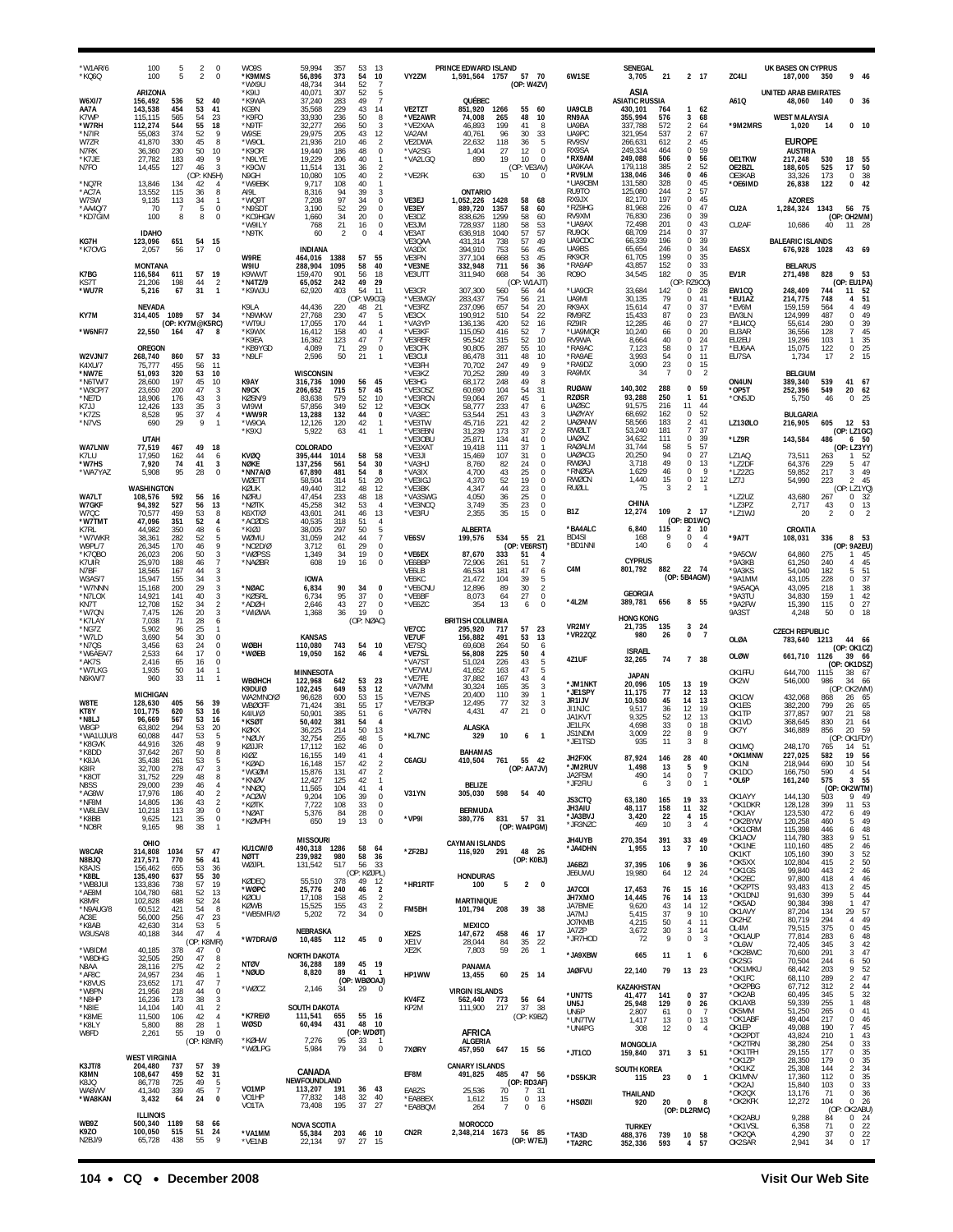| 'W1AR/6<br>*KQ6Q                  | 100<br>100                      | 5<br>5             | $\overline{2}$<br>$\overline{2}$ | $\mathbf 0$<br>0                                 | WO9S<br>*K9MMS<br>*WX9U             | 59.994<br>56,896<br>48,734           | 357<br>373<br>344 | 53<br>13<br>54<br>10<br>52<br>$\overline{7}$                         | VY2ZM                                          | PRINCE EDWARD ISLAND<br>1,591,564 1757        | 57<br>- 70<br>(OP: W4ZV)                                                     | 6W1SE                                          | SENEGAL<br>3,705                         | 21                |                                       | 2 17                                     | ZC4LI                                           | <b>UK BASES ON CYPRUS</b><br>187,000  | 350                  | 9 46                                                            |  |
|-----------------------------------|---------------------------------|--------------------|----------------------------------|--------------------------------------------------|-------------------------------------|--------------------------------------|-------------------|----------------------------------------------------------------------|------------------------------------------------|-----------------------------------------------|------------------------------------------------------------------------------|------------------------------------------------|------------------------------------------|-------------------|---------------------------------------|------------------------------------------|-------------------------------------------------|---------------------------------------|----------------------|-----------------------------------------------------------------|--|
| <b>W6XI/7</b><br>AA7A             | ARIZONA<br>156,492<br>143,538   | 536<br>454         | 52<br>53                         | 40<br>41                                         | *K9IJ<br>*K9WA<br>KG9N              | 40,071<br>37.240<br>35,568           | 307<br>283<br>229 | 52<br>-5<br>49<br>$\overline{7}$<br>43<br>14                         | <b>VE2TZT</b>                                  | QUÉBEC<br>851,920                             | 1266<br>55<br>60                                                             | UA9CLB                                         | ASIA<br><b>ASIATIC RUSSIA</b><br>430,101 | 764               | 1                                     | 62                                       | A61Q                                            | <b>UNITED ARAB EMIRATES</b><br>48,060 | 140                  | 0, 36                                                           |  |
| K7WP<br>*W7RH<br>*N7IR            | 115.115<br>112,274<br>55.083    | 565<br>544<br>374  | 54<br>55<br>52                   | 23<br>18<br>9                                    | *K9FO<br>*N9TF<br>W9SE              | 33.930<br>32,277<br>29.975           | 236<br>266<br>205 | 50<br>8<br>50<br>3<br>43<br>12                                       | <b>VE2AWR</b><br>*VE2XAA<br>VA <sub>2</sub> AM | 74,008<br>46,893<br>40,761                    | 265<br>48<br>10<br>199<br>41<br>8<br>96<br>30<br>33                          | RN9AA<br>UA9BA<br>UA9PC                        | 355,994<br>337,788<br>321,954            | 576<br>572<br>537 | 3<br>$\overline{2}$<br>$\overline{2}$ | 68<br>64<br>67                           | *9M2MRS                                         | <b>WEST MALAYSIA</b><br>1,020         | 14                   | $0$ 10                                                          |  |
| W7ZR<br>N7RK                      | 41,870<br>36,360                | 330<br>230         | 45<br>50                         | 8<br>10                                          | *W90L<br>*K90R                      | 21,936<br>19,440                     | 210<br>186        | 46<br>$\overline{2}$<br>48<br>$\mathbf 0$                            | VE2DWA<br>*VA2SG                               | 22,632<br>1,404                               | 118<br>36<br>-5<br>$\mathbf 0$<br>27<br>12                                   | RV9SV<br>RX9SA                                 | 266,631<br>249.334                       | 612<br>464        | 2<br>$\Omega$                         | 45<br>59                                 |                                                 | <b>EUROPE</b><br><b>AUSTRIA</b>       |                      |                                                                 |  |
| *K7JE<br>N7FO                     | 27,782<br>14,455                | 183<br>127         | 49<br>46<br>(OP: KN5H)           | 9<br>3                                           | *N9LYE<br>*K9CW<br>N9GH             | 19,229<br>11,514<br>10,080           | 206<br>131<br>105 | 40<br>$\overline{1}$<br>36<br>$\overline{2}$<br>$\overline{2}$<br>40 | *VA2LGQ<br>*VE2FK                              | 890<br>630                                    | 19<br>10<br>$\mathbf 0$<br>(OP: VE3AV)<br>15<br>10<br>$\mathbf 0$            | *RX9AM<br><b>UA9KAA</b><br>*RV9LM              | 249,088<br>179,118<br>138,046            | 506<br>385<br>346 | 0<br>$\mathfrak{D}$<br>0              | 56<br>52<br>46                           | OE1TKW<br>OE2BZL<br>OE3KAB                      | 217,248<br>188,605<br>33,326          | 530<br>525<br>173    | 18<br>55<br>17<br>50<br>38<br>0                                 |  |
| *NQ7R<br>*AC7A<br>W7SW            | 13,846<br>13,552<br>9,135       | 134<br>115<br>113  | 42<br>36<br>34                   | 4<br>8<br>-1                                     | *W9EBK<br>AI9L<br>*WQ9T             | 9,717<br>8,316<br>7.208              | 108<br>94<br>97   | 40<br>$\mathbf{1}$<br>39<br>3<br>34<br>0                             | VE3EJ                                          | ONTARIO<br>1,052,226                          | 58<br>68<br>1428                                                             | *UA9CBM<br>RU9TO<br>RX9JX                      | 131,580<br>125,080<br>82,170             | 328<br>244<br>197 | $\Omega$<br>2<br>$\mathbf 0$          | 45<br>57<br>45                           | *OE6IMD                                         | 26,838<br><b>AZORES</b>               | 122                  | 42<br>$\Omega$                                                  |  |
| AA4Q/7<br>*KD7GIM                 | 70<br>100                       | -7<br>8            | 5<br>8                           | $\mathbf 0$<br>0                                 | *N9SDT<br>*KC9HGW<br>*W9ILY         | 3,190<br>1,660<br>768                | 52<br>34<br>21    | 29<br>$\Omega$<br>20<br>0<br>16<br>0                                 | VE3EY<br>VE3DZ<br>VE3JM                        | 889,720<br>838,626<br>728,937                 | 1357<br>58<br>60<br>1299<br>58<br>60<br>1180<br>58<br>53                     | *RZ9HG<br>RV9XM<br>*UA9AX                      | 81,968<br>76,830<br>72,498               | 226<br>236<br>201 | 0<br>$\bf{0}$<br>0                    | 47<br>39<br>43                           | CU <sub>2</sub> A<br>CU2AF                      | 1,284,324 1343<br>10,686              | 40                   | 56 75<br>(OP: OH2MM)<br>11 28                                   |  |
| KG7H                              | <b>IDAHO</b><br>123,096         | 651                | 54                               | 15                                               | *N9TK                               | 60                                   | $\overline{2}$    | 0<br>4                                                               | VE3AT<br>VE3QAA                                | 636,918<br>431,314                            | 1040<br>57<br>57<br>738<br>57<br>49                                          | RU9CK<br>UA9CDC<br>UA9BS                       | 68,709<br>66,339                         | 214<br>196<br>246 | $\Omega$<br>$\Omega$<br>$\Omega$      | 37<br>39                                 |                                                 | <b>BALFARIC ISLANDS</b>               |                      |                                                                 |  |
| *K7OVG                            | 2,057<br>MONTANA                | 56                 | 17                               | $\mathbf 0$                                      | W9RE<br>W9IU                        | <b>INDIANA</b><br>464,016<br>288,904 | 1388<br>1095      | 57<br>55<br>58<br>40                                                 | VA3DX<br>VE3PN<br>*VE3NE                       | 394,910<br>377.104<br>332,948                 | 753<br>56<br>45<br>45<br>668<br>53<br>711<br>56<br>36                        | RK9CR<br>*RA9AP                                | 65,654<br>61,705<br>43,857               | 199<br>152        | $\Omega$<br>$\Omega$                  | 34<br>35<br>33                           | EA6SX                                           | 676,928<br><b>BELARUS</b>             | 1028                 | 43 69                                                           |  |
| K7BG<br>KS71<br>*WU7R             | 116,584<br>21,206<br>5,216      | 611<br>198<br>67   | 57<br>44<br>31                   | 19<br>$\overline{2}$<br>$\mathbf{1}$             | K9WWT<br>*N4TZ/9<br>*K9WJU          | 159,470<br>65,052<br>62,920          | 901<br>242<br>403 | 18<br>56<br>49<br>29<br>54<br>11                                     | VE3UTT<br>VE3CR                                | 311,940<br>307,300                            | 54<br>36<br>668<br>(OP: W1AJT)<br>560<br>56<br>44                            | R090<br>*UA9CR                                 | 34,545<br>33,684                         | 182<br>(OP<br>142 | $\mathbf 0$<br>$^{\circ}$             | 35<br>RZ900)<br>28                       | EV1R<br>EW1CQ                                   | 271,498<br>248,409                    | 828<br>744           | 9<br>- 53<br>(OP: EU1PA)<br>11<br>52                            |  |
| KY7M                              | <b>NEVADA</b><br>314,405        | 1089               | 57 34                            |                                                  | K9LA<br>*N9WKW                      | 44,436<br>27,768                     | 220<br>230        | (OP: W9CG)<br>21<br>48<br>47<br>5                                    | *VE3MGY<br>*VE3RZ<br>VE3CX                     | 283,437<br>237,096<br>190,912                 | 754<br>56<br>21<br>657<br>54<br>20<br>54<br>22<br>510                        | UA9MI<br>RK9AX<br>RM9RZ                        | 30,135<br>15,614<br>15,433               | 79<br>47<br>87    | $\mathbf 0$<br>$\Omega$<br>0          | 41<br>37<br>23                           | *EU1AZ<br>*EV6M<br>EW3LN                        | 214,775<br>159,159<br>124,999         | 748<br>564<br>487    | 4<br>51<br>$\overline{4}$<br>49<br>0<br>49                      |  |
| *W6NF/7                           | 22,550                          | 164                | (OP: KY7M@K5RC)<br>47            | -8                                               | *WT9U<br>*K9WX<br>*K9EA             | 17.055<br>16,412<br>16,362           | 170<br>158<br>123 | 44<br>$\mathbf{1}$<br>40<br>$\overline{4}$<br>47<br>$\overline{7}$   | *VA3YP<br>*VE3KF<br>VE3RER                     | 136,136<br>115,050<br>95,542                  | 420<br>52<br>16<br>416<br>52<br>$\overline{7}$<br>52<br>10<br>315            | <b>R79IR</b><br>*UA9MQR<br>RV9WA               | 12,285<br>10,240<br>8,664                | 46<br>66<br>40    | $\Omega$<br>$\Omega$<br>$\Omega$      | 27<br>20<br>24                           | *EU4CQ<br>EU3AR<br>EU2EU                        | 55,614<br>36,556<br>19,296            | 280<br>128<br>103    | 0<br>39<br>$\overline{7}$<br>45<br>35<br>$\mathbf{1}$           |  |
| <b>W2VJN/7</b>                    | OREGON<br>268,740               | 860                | 57                               | 33                                               | *KB9YGD<br>*N9LF                    | 4.089<br>2,596                       | 71<br>50          | 29<br>$\mathbf 0$<br>21                                              | VE3CFK<br>VE3CUI                               | 90.805<br>86,478                              | 287<br>55<br>10<br>311<br>48<br>10                                           | *RA9AC<br>*RA9AE                               | 7,123<br>3.993                           | 58<br>54          | 0<br>$^{\circ}$                       | 17<br>11                                 | *EU6AA<br>EU7SA                                 | 15,075<br>1,734                       | 122<br>17            | $\,0\,$<br>25<br>2<br>15                                        |  |
| <b>K4XU/7</b><br>*NW7E<br>*N6TW/7 | 75,777<br>51,093<br>28,600      | 455<br>320<br>197  | 56<br>53<br>45                   | 11<br>10<br>10                                   | K9AY                                | <b>WISCONSIN</b><br>316,736          | 1090              | 56<br>45                                                             | *VE3FH<br>*VE3KZ<br>VE3HG                      | 70,702<br>70,252<br>68,172                    | 9<br>247<br>49<br>289<br>49<br>3<br>248<br>49<br>8                           | *RA9DZ<br>RA9MX                                | 3,090<br>34                              | 23<br>7           | 0<br>0                                | 15<br>$\overline{2}$                     | ON4UN                                           | <b>BELGIUM</b><br>389,340             | 539                  | 41 67                                                           |  |
| *W3CP/7<br>*NF7D<br>K7JJ          | 23,650<br>18.906<br>12.426      | 200<br>176<br>133  | 47<br>43<br>35                   | 3<br>3<br>3                                      | N9CK<br>KØSN/9<br>WI9WI             | 206,652<br>83.638<br>57,856          | 715<br>579<br>349 | 57<br>45<br>52<br>10<br>52<br>12                                     | *VE3OSZ<br>*VE3RCN<br>*VE3OX                   | 60,690<br>59,064<br>58,777                    | 104<br>54<br>31<br>267<br>45<br>$\overline{1}$<br>233<br>47<br>6             | <b>RUØAW</b><br><b>RZØSR</b><br>UAØSC          | 140,302<br>93,288<br>91,575              | 288<br>250<br>216 | $\mathbf 0$<br>$\mathbf{1}$<br>11     | 59<br>51<br>44                           | $*$ OP5T<br>*ON5JD                              | 252,396<br>5,750                      | 549<br>46            | 20<br>62<br>0<br>25                                             |  |
| *K7ZS<br>*N7VS                    | 8,528<br>690                    | 95<br>29           | 37<br>9                          | 4<br>$\mathbf{1}$                                | *WW9R<br>*W90A<br>*K9XJ             | 13,288<br>12,126<br>5.922            | 132<br>120<br>63  | $\pmb{0}$<br>44<br>42<br>$\mathbf{1}$<br>41<br>$\mathbf{1}$          | *VA3EC<br>*VE3TW<br>*VE3EBN                    | 53,544<br>45,716<br>31.239                    | 251<br>$\mathbf{3}$<br>43<br>221<br>$\frac{2}{2}$<br>42<br>173<br>37         | <b>UAØYAY</b><br><b>UAØANW</b><br>RWØLT        | 68,692<br>58,566<br>53,240               | 162<br>183<br>181 | 0<br>2<br>$\overline{7}$              | 52<br>41<br>37                           | LZ13ØLO                                         | BULGARIA<br>216,905                   | 605                  | 12 53<br>(OP: LZ1GC)                                            |  |
| <b>WA7LNW</b><br>K7LU             | <b>UTAH</b><br>77,519<br>17,950 | 467<br>162         | 49<br>44                         | 18<br>6                                          | <b>KVØQ</b>                         | COLORADO<br>395,444                  | 1014              | 58<br>58                                                             | *VE3OBU<br>*VE3XAT<br>*VE3JI                   | 25,871<br>19.418<br>15,469                    | $\bf 0$<br>134<br>41<br>111<br>-37<br>$\mathbf{1}$<br>107<br>31<br>0         | <b>UAØAZ</b><br><b>RAØALM</b><br><b>UAØACG</b> | 34,632<br>31,744<br>20,250               | 111<br>58<br>94   | $\mathbf 0$<br>5<br>0                 | 39<br>57<br>27                           | *LZ9R<br>LZ1AQ                                  | 143,584<br>73,511                     | 486<br>263           | 6 50<br>(OP: LZ3YY)<br>$\mathbf{1}$<br>-52                      |  |
| *W7HS<br>*WA7YAZ                  | 7,920<br>5,908                  | 74<br>95           | 41<br>28                         | 3<br>$\Omega$                                    | NØKE<br>*NN7A/Ø                     | 137,256<br>67.890                    | 561<br>481        | 54<br>30<br>54<br>-8                                                 | *VA3HJ<br>*VA3IX                               | 8,760<br>4,700                                | 24<br>82<br>$^{\circ}$<br>25<br>$\mathbf 0$<br>43                            | RWØAJ<br>*RNØSA<br>RWØCN                       | 3,718<br>1,629                           | 49<br>46<br>15    | $\Omega$<br>0<br>$\bf 0$              | 13<br>-9                                 | *LZ2DF<br>*LZ2ZG                                | 64,376<br>59,852                      | 229<br>217           | 47<br>5<br>3<br>49                                              |  |
| WA7LT                             | WASHINGTON<br>108,576           | 592                | 56                               | 16                                               | WØETT<br>KØUK<br><b>NØRU</b>        | 58.504<br>49.440<br>47,454           | 314<br>312<br>233 | 51<br>20<br>48<br>12<br>48<br>18                                     | *VE3IGJ<br>*VF3BK<br>*VA3SWG                   | 4,370<br>4.347<br>4,050                       | 52<br>19<br>0<br>23<br>$\mathbb O$<br>44<br>36<br>25<br>$\mathbf 0$          | RUØLL                                          | 1,440<br>75                              | 3                 | $\overline{2}$                        | 12<br>$\overline{1}$                     | LZ7J<br>*LZ2UZ                                  | 54,990<br>43,680                      | 223<br>267           | $\overline{2}$<br>45<br>(OP: LZ1YQ)<br>0<br>32                  |  |
| <b>W7GKF</b><br>W7QC<br>*W7TMT    | 94.392<br>70,577<br>47.096      | 527<br>459<br>351  | 56<br>53<br>52                   | 13<br>8<br>$\overline{4}$                        | *NØTK<br>K6XT/Ø<br>*ACØDS           | 45.258<br>43,601<br>40,535           | 342<br>241<br>318 | 53<br>$\overline{4}$<br>46<br>13<br>51<br>$\overline{4}$             | *VE3NCQ<br>*VE3FU                              | 3,749<br>2,355                                | 23<br>$\mathbf 0$<br>35<br>35<br>15<br>$\Omega$                              | B <sub>1</sub> Z                               | CHINA<br>12,274                          | 109               |                                       | 2 17<br>(OP: BD1WC)                      | *LZ3PZ<br>*LZ1WJ                                | 2,717<br>20                           | 43<br>$\overline{2}$ | $\,0\,$<br>13<br>0<br>$\overline{2}$                            |  |
| K7RL<br>*W7WKR<br>W9PL/7          | 44,982<br>38,361<br>26,345      | 350<br>282<br>170  | 48<br>52<br>46                   | 6<br>5<br>9                                      | *KIØJ<br>WØMU<br>*NO2D/Ø            | 38,005<br>31,059<br>3,712            | 297<br>242<br>61  | 50<br>5<br>$\overline{7}$<br>44<br>29<br>$\Omega$                    | VE6SV                                          | <b>ALBERTA</b><br>199,576                     | 534<br>55 21<br>(OP: VE6RST)                                                 | *BA4ALC<br>BD4SI<br>*BD1NNI                    | 6,840<br>168<br>140                      | 115<br>9<br>6     | 2<br>0<br>$\mathbf 0$                 | - 10<br>$\overline{4}$<br>$\overline{4}$ | *9A7T                                           | CROATIA<br>108,031                    | 336                  | 8 53<br>(OP: 9A2EU)                                             |  |
| *K7QBO<br>K7UIR                   | 26,023<br>25,970                | 206<br>188         | 50<br>46<br>44                   | 3<br>$\overline{7}$<br>3                         | *WØPSS<br>*NAØBR                    | 1,349<br>608                         | 34<br>19          | 19<br>0<br>16<br>$\Omega$                                            | *VE6EX<br>VE6BBP                               | 87,670<br>72,906<br>46,534                    | 333<br>51<br>$\overline{4}$<br>261<br>51<br>$\overline{7}$<br>47<br>6<br>181 | C4M                                            | <b>CYPRUS</b><br>801,792                 | 882               | 22 74                                 |                                          | *9A5CW<br>*9A3KB<br>*9A3KS                      | 64,860<br>61,250<br>54,040            | 275<br>240<br>182    | 45<br>$\overline{4}$<br>45<br>5<br>51                           |  |
| N7BF<br><b>W3AS/7</b><br>*W7NNN   | 18,565<br>15,947<br>15,168      | 167<br>155<br>200  | 34<br>29                         | 3<br>3                                           | *NØAC                               | <b>IOWA</b><br>6,834                 | 90                | 34<br>$\mathbf{0}$                                                   | VE6LB<br>VE6KC<br>*VE6CNU                      | 21,472<br>12,896                              | 104<br>39<br>-5<br>$\overline{2}$<br>89<br>30                                |                                                | <b>GEORGIA</b>                           | (OP: 5B4AGM)      |                                       |                                          | *9A1MM<br>*9A5AQA                               | 43,105<br>43,095                      | 228<br>218           | 0<br>37<br>38<br>$\mathbf{1}$                                   |  |
| *N7LOX<br>KN7T<br>*W70N           | 14,921<br>12,708<br>7,475       | 141<br>152<br>126  | 40<br>34<br>20                   | 3<br>$\overline{2}$<br>3                         | *KØSRL<br>*ADØH<br>*WIØWA           | 6,734<br>2,646<br>1.368              | 95<br>43<br>36    | 37<br>$\Omega$<br>27<br>0<br>19<br>$\Omega$                          | *VE6BF<br>*VE6ZC                               | 8.073<br>354                                  | 27<br>$\mathbf 0$<br>64<br>13<br>6<br>0                                      | *4L2M                                          | 389,781                                  | 656               |                                       | 8 55                                     | *9A3TU<br>*9A2FW<br>9A3ST                       | 34,830<br>15,390<br>4,248             | 159<br>115<br>50     | 42<br>$\mathbf{1}$<br>0<br>27<br>$\Omega$<br>18                 |  |
| *K7LAY<br>*NG7Z<br>*W7LD          | 7,038<br>5,902<br>3,690         | 71<br>96<br>54     | 28<br>25<br>30                   | 6<br>-1<br>$\mathbf 0$                           |                                     | <b>KANSAS</b>                        |                   | (OP: NØAC)                                                           | VE7CC<br><b>VE7UF</b>                          | <b>BRITISH COLUMBIA</b><br>295,920<br>156,882 | 717<br>57<br>23<br>491<br>53<br>13                                           | VR2MY<br>*VR2ZQZ                               | HONG KONG<br>21.735<br>980               | 135<br>26         | 0                                     | 324<br>$\overline{7}$                    | OLØA                                            | <b>CZECH REPUBLIC</b><br>783,640      | 1213                 | 44<br>- 66                                                      |  |
| *N7QS<br>*W6AEA/7<br>*AK7S        | 3,456<br>2,533<br>2,416         | 63<br>64<br>65     | 24<br>17<br>16                   | $\bf 0$<br>$\mathbf 0$<br>$\bf 0$                | <b>WØBH</b><br>*WØEB                | 110.080<br>19,050                    | 743<br>162        | 54<br>10<br>46                                                       | VE7SQ<br>*VE7SL<br>*VA7ST                      | 69.608<br>56,808<br>51,024                    | 50<br>264<br>6<br>225<br>50<br>$\overline{4}$<br>226<br>43<br>5              | 4Z1UF                                          | <b>ISRAEL</b><br>32,265                  | 74                |                                       | 7 38                                     | <b>OLØW</b>                                     | 661,710                               | 1126                 | (OP: OK1CZ)<br>39<br>- 66                                       |  |
| *W7LKG<br>N6KW/7                  | 1,935<br>960                    | 50<br>33           | 14<br>11                         | $\mathbf{1}$<br>$\mathbf{1}$                     | <b>WBØHCH</b>                       | MINNESOTA<br>122,968                 | 642               | 53<br>23                                                             | *VE7WU<br>*VE7FE<br>*VA7MM                     | 41,652<br>37,882<br>30,324                    | 163<br>47<br>5<br>167<br>43<br>$\overline{4}$<br>165<br>35<br>3              | *JM1NKT                                        | <b>JAPAN</b><br>20,096                   | 105               | 13                                    | 19                                       | OK1FFU<br>OK2W                                  | 644,700<br>546,000                    | 1115<br>986          | (OP: OK1DSZ)<br>38<br>67<br>34<br>66                            |  |
| W8TE                              | <b>MICHIGAN</b><br>128,630      | 405                | 56                               | 39                                               | K9DU/Ø<br>WA2MNO/Ø<br><b>WBØCFF</b> | 102,245<br>96,628<br>71.424          | 649<br>600<br>381 | 53<br>12<br>53<br>15<br>55<br>17                                     | *VE7NS<br>*VE7BGP                              | 20,400<br>12,495                              | 39<br>110<br>$\mathbf{1}$<br>32<br>3<br>77                                   | *JE1SPY<br>JR1IJV<br>JI1NJC                    | 11,175<br>10,530<br>9,517                | 77<br>45<br>36    | 12<br>14<br>12                        | 13<br>13<br>19                           | OK1CW<br>OK1ES                                  | 432,068<br>382,200                    | (OP)<br>868<br>799   | OK2WM)<br>26<br>65<br>65<br>26                                  |  |
| KT8Y<br>*N8L.I<br>W8GP            | 101,775<br>96.669<br>63.802     | 620<br>567<br>294  | 53<br>53<br>53                   | 16<br>16<br>20                                   | K4IU/Ø<br>*KSØT<br>KØKX             | 50,901<br>50.402<br>36.225           | 385<br>381<br>214 | 51<br>6<br>54<br>$\overline{4}$<br>50<br>13                          | *VA7RN                                         | 4,431<br>ALASKA                               | 47<br>21<br>$\mathbf 0$                                                      | JA1KVT<br>JE1LFX                               | 9,325<br>4,698                           | 52<br>33          | 12<br>0                               | 13<br>18                                 | OK1TP<br>OK <sub>1</sub> V <sub>D</sub><br>OK7Y | 377,857<br>368,645<br>346,889         | 907<br>830<br>856    | 21<br>58<br>21<br>64<br>20<br>59                                |  |
| 'WA1UJU/8<br>*K8GVK<br>*K8DD      | 60,088<br>44,916<br>37,642      | 447<br>326<br>267  | 53<br>48<br>50                   | 5<br>9<br>8                                      | *NØUY<br>KØJJR<br>KIØZ              | 32,754<br>17,112<br>16,155           | 255<br>162<br>149 | 48<br>5<br>$\Omega$<br>46<br>41<br>4                                 | *KL7NC                                         | 329<br><b>BAHAMAS</b>                         | 10<br>6<br>$\overline{\phantom{0}}$                                          | JS1NDM<br>*JE1TSD                              | 3,009<br>935                             | 22<br>11          | 8<br>3                                | 9<br>8                                   | OK1MQ<br>*OK1MNW                                | 248,170<br>227,025                    | (OP)<br>765<br>582   | : OK1FDY)<br>14<br>- 51<br>19<br>- 56                           |  |
| 'K8JA<br>K8IR<br>*K8OT            | 35,438<br>32,700<br>31,752      | 261<br>278<br>229  | 53<br>47<br>48                   | 5<br>$\sqrt{3}$<br>8                             | *KØAD<br>*WGØM                      | 16,148<br>15,876                     | 157<br>131        | 42<br>$\overline{2}$<br>47<br>$\sqrt{2}$                             | C6AGU                                          | 410,504                                       | 761<br>55 42<br>(OP: AA7JV)                                                  | JH2FXK<br>*JM2RUV<br>JA2FSM                    | 87,924<br>1,498<br>490                   | 146<br>13<br>14   | 28<br>5<br>0                          | 40<br>9<br>$\overline{7}$                | OK1NI<br>OK1DO                                  | 218,944<br>166,750                    | 690<br>590           | 10<br>54<br>54<br>$\overline{4}$                                |  |
| N8SS<br>*AG8W<br>*NF8M            | 29,000<br>17,976<br>14,805      | 239<br>186<br>136  | 46<br>40<br>43                   | 4<br>$\overline{2}$<br>$\overline{2}$            | *KNØV<br>*NNØQ<br>*ACØW             | 12,427<br>11,565<br>9,204            | 125<br>104<br>106 | 42<br>$\overline{1}$<br>41<br>$\overline{4}$<br>39<br>$\mathbf 0$    | V31YN                                          | <b>BELIZE</b><br>305,030                      | 54 40<br>598                                                                 | *JF2FIU<br>JS3CTQ                              | 6<br>63,180                              | 3<br>165          | $\bf 0$<br>19                         | $\overline{1}$<br>33                     | *OL6P<br>OK1AYY                                 | 161,240<br>144,130                    | 575<br>503           | 3<br>55<br>(OP: OK2WTM)<br>9<br>49                              |  |
| *W8LEW<br>$^{\star}{\rm K8BB}$    | 10,218<br>9,625                 | 113<br>121         | 39<br>35                         | $\mathbb O$<br>$\,0\,$<br>$\mathbf{1}$           | *KØTK<br>*NØAT<br>*KØMPH            | 7,722<br>5,376<br>650                | 108<br>84<br>19   | 33<br>$\mathbf 0$<br>28<br>$\mathbf 0$<br>13<br>$\mathbf 0$          | *VP9I                                          | <b>BERMUDA</b><br>380,776                     | 831<br>57 31                                                                 | JH3AIU<br>*JA3BVJ<br>*JR3NZC                   | 48,117<br>3,420<br>469                   | 158<br>22<br>10   | 11<br>4<br>3                          | 32<br>15<br>$\overline{4}$               | *OK1DKR<br>*OK1AY<br>*OK2BYW                    | 128,128<br>123,530<br>120,258         | 399<br>472<br>460    | 53<br>11<br>49<br>6<br>5<br>49                                  |  |
| *NO8R                             | 9,165<br>OHIO                   | 98                 | 38                               |                                                  | KU1CW/Ø                             | <b>MISSOURI</b><br>490,318 1286      |                   | 58<br>64                                                             |                                                | <b>CAYMAN ISLANDS</b>                         | (OP: WA4PGM)                                                                 | JH4UYB<br>*JA4DHN                              | 270,354<br>1,955                         | 391<br>13         | 33<br>$\overline{7}$                  | 49<br>10                                 | *OK1CRM<br>OK1AOV<br>*OK1NE                     | 115,398<br>114,780<br>110,160         | 446<br>383<br>485    | 48<br>6<br>9<br>51<br>$\overline{2}$<br>46                      |  |
| <b>W8CAR</b><br>N8BJQ<br>K8AJS    | 314,808<br>217,571<br>156,462   | 1034<br>770<br>655 | 57<br>56<br>53                   | 47<br>41<br>36                                   | NØTT<br>WØJPL                       | 239,982<br>131,542                   | 980<br>517        | 58<br>36<br>56<br>33<br>(OP: KØJPL)                                  | *ZF2BJ                                         | 116,920 291                                   | 48 26<br>(OP: K0BJ)                                                          | JA6BZI                                         | 37,395                                   | 106               | 9<br>12                               | 36                                       | OK1KT<br>*OK5XX<br>*OK1GS                       | 105,160<br>102,804<br>99,840          | 390<br>415<br>443    | 52<br>3<br>$\frac{2}{2}$<br>50<br>46                            |  |
| *K8BL<br>*WB8JUI<br>*AE8M         | 135,490<br>133,836<br>104,780   | 637<br>738<br>681  | 55<br>57<br>52                   | 30<br>19<br>13                                   | KØDEQ<br>*WØPC                      | 55,510<br>25,776                     | 378<br>240        | 12<br>49<br>$\overline{2}$<br>46                                     | *HR1RTF                                        | <b>HONDURAS</b><br>100                        | 5<br>$\overline{2}$<br>0                                                     | JE6UWU<br>JA7COI                               | 19,980<br>17,453                         | 64<br>76          | 15                                    | 24<br>-16                                | *OK2EC<br>*OK2PTS<br>*OK1DNJ                    | 97,800<br>93,483<br>91,630            | 418<br>413<br>399    | 4<br>46<br>$\overline{2}$<br>45<br>44<br>5                      |  |
| K8MR<br>*N9AUG/8<br>AC8E          | 102,828<br>60,512<br>56,000     | 498<br>421<br>256  | 52<br>54<br>47                   | 24<br>8<br>23                                    | KØOU<br>KØWB<br>*WB5MFI/Ø           | 17,108<br>15,525<br>5,202            | 158<br>155<br>72  | 45<br>$\overline{2}$<br>43<br>$\overline{2}$<br>$\bf 0$<br>34        | FM5BH                                          | <b>MARTINIQUE</b><br>101,794                  | 39 38<br>208                                                                 | JH7XMO<br>JA7BME<br>JA7MJ                      | 14,445<br>9,620<br>5,415                 | 76<br>43<br>37    | 14<br>14<br>9                         | 13<br>12<br>10                           | *OK5AD<br>OK1AVY                                | 90,384<br>87,204                      | 398<br>134           | 47<br>$\mathbf{1}$<br>29<br>57                                  |  |
| *K8AB<br>W3USA/8                  | 42,630<br>40,188                | 314<br>344         | 53<br>47<br>(OP: K8MR)           | 5<br>$\overline{4}$                              | *W7DRA/Ø                            | NEBRASKA<br>10,485 112               |                   | 45<br>$\mathbf{0}$                                                   | XE2S                                           | <b>MEXICO</b><br>147,672                      | 46 17<br>458<br>-84                                                          | JO7KMB<br>JA7ZP<br>*JR7HOD                     | 4,215<br>3,672<br>72                     | 50<br>30<br>9     | $\overline{4}$<br>3<br>$\mathbf 0$    | 11<br>14<br>$\overline{\mathbf{3}}$      | OK2HZ<br>OL4M<br>*OK1AUP                        | 80,719<br>79,515<br>77,814            | 294<br>375<br>283    | 49<br>$\overline{a}$<br>45<br>$\mathbf 0$<br>48<br>6            |  |
| *W8IDM<br>*W8DHG                  | 40,185<br>32,505                | 378<br>250         | 47<br>47                         | $\mathbf 0$<br>8                                 | <b>NTØV</b>                         | <b>NORTH DAKOTA</b><br>36,288        | 189               | 45<br>- 19                                                           | XE1V<br>XE2K                                   | 28,044<br>7,803                               | 35<br>- 22<br>59<br>26<br>$\overline{1}$                                     | *JA9XBW                                        | 665                                      | 11                | $\mathbf{1}$                          | $6\overline{6}$                          | *OL6W<br>*OK2BWC<br>OK2SG                       | 72,405<br>70,600<br>70,504            | 345<br>291<br>244    | 3<br>42<br>3<br>47<br>6<br>50                                   |  |
| N8AA<br>*AF8C<br>*K8VUS           | 28,116<br>24,957<br>23,652      | 275<br>234<br>171  | 42<br>46<br>47                   | $\overline{2}$<br>$\mathbf{1}$<br>$\overline{7}$ | *NØUD                               | 8,820                                | 89                | 41<br>$\overline{1}$<br>(OP: WBØOAJ)                                 | HP1WW                                          | PANAMA<br>13,455                              | 60<br>25 14                                                                  | <b>JAØFVU</b>                                  | 22,140<br>KAZAKHSTAN                     | 79                | 13 23                                 |                                          | *OK1MKU<br>*OK1FC<br>*OK2PBG                    | 68,442<br>68,110<br>67,712            | 203<br>289<br>312    | 9<br>52<br>$\overline{a}$<br>47<br>$\overline{2}$               |  |
| *W8PN<br>*N8HP<br>*N8IE           | 21,956<br>16,236<br>14,104      | 218<br>173<br>140  | 44<br>38<br>41                   | 0<br>3<br>$\overline{2}$                         | *WØCZ                               | 2,146<br><b>SOUTH DAKOTA</b>         | 34                | 29<br>$^{\circ}$                                                     | KV4FZ<br>KP2M                                  | <b>VIRGIN ISLANDS</b><br>562,440<br>111,900   | 773<br>56 64<br>217<br>37<br>38                                              | *UN7TS<br>UN5J<br>UN6P                         | 41,477<br>25,948                         | 141<br>129        | $\bf{0}$<br>$\mathbf{0}$              | 0, 37<br>26<br>$\overline{7}$            | *OK2AB<br>OK1AXB<br>OK5MM                       | 60,495<br>59,339<br>51,250            | 345<br>255<br>265    | $\frac{44}{32}$<br>5<br>48<br>$\mathbf{1}$<br>41<br>$\mathbf 0$ |  |
| *K8MF<br>*K8LY<br>W8FD            | 11,500<br>5,800<br>2,261        | 106<br>88<br>55    | 42<br>28<br>19                   | $\overline{4}$<br>$\mathbf{1}$<br>$\mathbb O$    | *K7RE/Ø<br>wøsd                     | 111,541<br>60,494                    | 655<br>431        | 55 16<br>48<br>10<br>(OP: WDØT)                                      |                                                | <b>AFRICA</b>                                 | (OP: K9BZ)                                                                   | *UN7TW<br>*UN4PG                               | 2,807<br>1,417<br>308                    | 61<br>13<br>12    | $\bf{0}$<br>$\mathbf 0$               | 13<br>$\overline{4}$                     | *OK1ABF<br>OK1EP                                | 49,404<br>49,088                      | 217<br>190           | 46<br>0<br>$\overline{7}$<br>45                                 |  |
|                                   | <b>WEST VIRGINIA</b>            |                    | (OP: K8MR)                       |                                                  | *KØHW<br>*WØLPG                     | 7,276<br>5,984                       | 95<br>79          | 33<br>$\overline{1}$<br>34<br>$\mathbf 0$                            | 7XØRY                                          | ALGERIA<br>457,950                            | 647<br>15 56                                                                 | *JT1CO                                         | MONGOLIA<br>159,840 371                  |                   |                                       | 3, 51                                    | *OK2PDT<br>*OK2TRN<br>*OK1TFH                   | 43,824<br>38,280<br>29,155            | 210<br>254<br>177    | 43<br>$\mathbf{1}$<br>33<br>0<br>35<br>$^{\circ}$               |  |
| K3JT/8<br>K8MN                    | 204,480<br>108,647              | 737<br>459         | 57<br>52                         | 39<br>31                                         |                                     | CANADA                               |                   |                                                                      | EF8M                                           | <b>CANARY ISLANDS</b><br>491,825              | 485<br>47 56                                                                 | *DS5KJR                                        | SOUTH KOREA<br>115                       | 23                | $\bf{0}$                              | $\overline{\phantom{0}}$                 | *OK1ZP<br>*OK1KZ<br>OK1MNV                      | 28,350<br>25,308<br>17,360            | 179<br>144<br>112    | $\bf 0$<br>35<br>$\frac{34}{35}$<br>2<br>$\bf 0$                |  |
| K8JQ<br>WA8WV<br>*WA8KAN          | 86,778<br>41,340<br>3,432       | 725<br>339<br>64   | 49<br>45<br>24                   | $-5$<br>$\overline{7}$<br>0                      | VO1MP<br>VO1HP                      | NEWFOUNDLAND<br>113,207<br>77,832    | 191<br>148        | 36<br>43<br>32<br>40                                                 | EA8ZS<br>*EA8BEX                               | 25,536<br>1,612                               | (OP: RD3AF)<br>70<br>7 31<br>15<br>0 <sub>13</sub>                           | *HSØZII                                        | THAILAND<br>920                          | 20                | $\mathbf{0}$                          | - 8                                      | *OK2AJ<br>*OK2QX<br>*OK2KFK                     | 15,840<br>13,176<br>12,272            | 103<br>71<br>104     | 33<br>0<br>$\bf 0$<br>36<br>$\mathbf 0$<br>26                   |  |
| WB9Z                              | <b>ILLINOIS</b><br>500,340 1189 |                    | 58                               | 66                                               | VO1TA                               | 73,408<br><b>NOVA SCOTIA</b>         | 195               | 27<br>37                                                             | *EA8BQM                                        | 264<br><b>MOROCCO</b>                         | $\overline{7}$<br>$\mathbf 0$<br>- 6                                         |                                                | <b>TURKEY</b>                            | (OP: DL2RMC)      |                                       |                                          | *OK2ABU<br>*OK1VSL                              | 9,288<br>6,358                        | (OF<br>84<br>71      | OK2ABU)<br>$\mathbf 0$<br>-24<br>22                             |  |
| K9ZO<br>N2BJ/9                    | 100,050<br>65,728               | 515<br>438         | 51<br>55                         | 24<br>$\overline{9}$                             | *VA1MM<br>*VE1NB                    | 55,384<br>22,134                     | 203<br>97         | 46<br>10<br>27 15                                                    | CN <sub>2R</sub>                               | 2,348,214 1673                                | 56 85<br>(OP: W7EJ)                                                          | *TA3D<br>*TA2RC                                | 488,376<br>352,336                       | 739<br>593        | 10 58<br>$\overline{4}$               | 57                                       | *OK2QA<br>OK2SAR                                | 4,290<br>2,941                        | 37<br>34             | $\bf{0}$<br>$\begin{array}{cc} 0 & 22 \\ 0 & 17 \end{array}$    |  |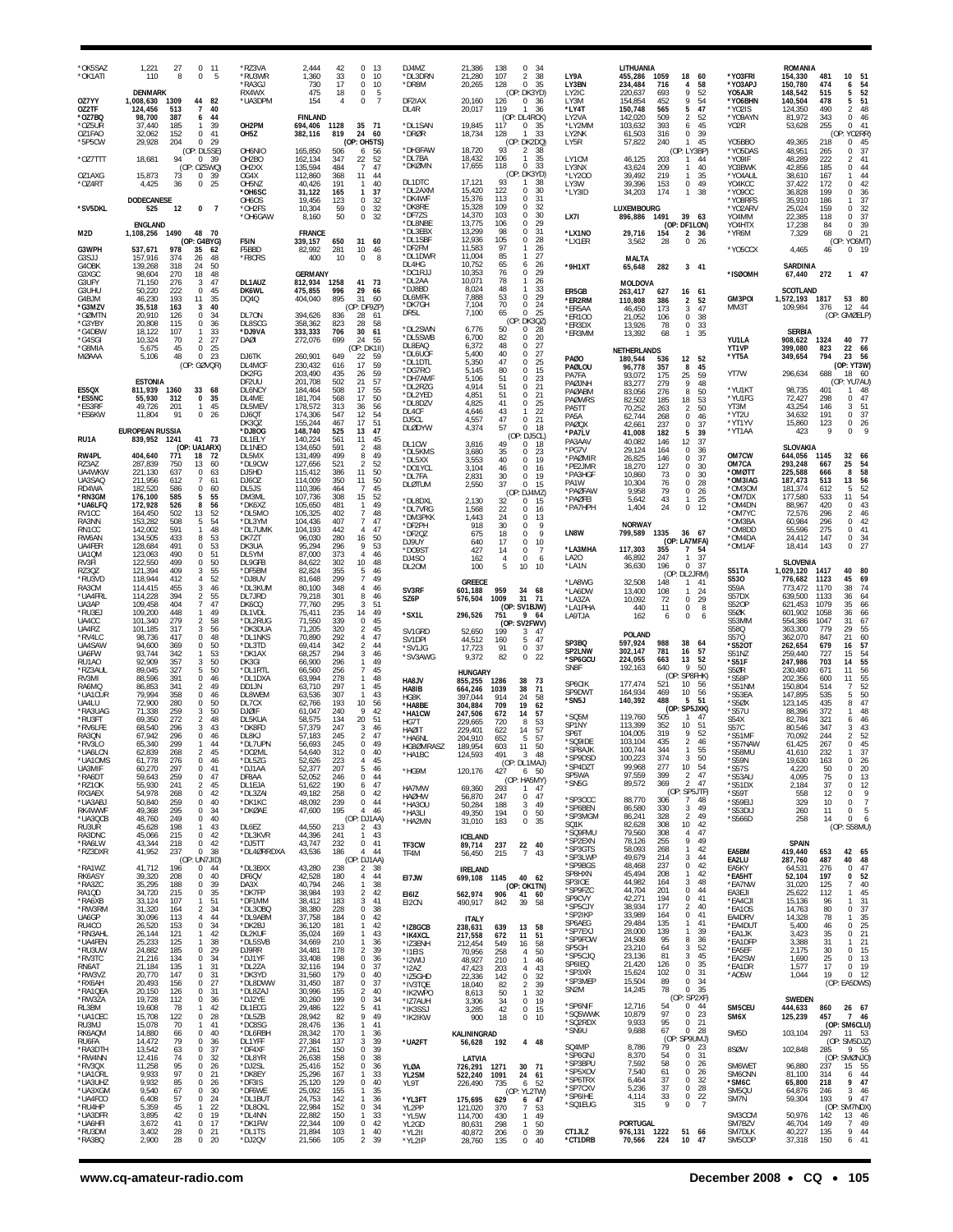| *OK5SAZ<br>*OK1ATI<br>OZ7YY                   | 1,221<br>27<br>$0$ 11<br>110<br>8<br>0<br>5<br><b>DENMARK</b><br>1,008,630<br>1309<br>44<br>82                                                                   | *RZ3VA<br>*RU3WR<br>*RA3GJ<br>RX4WX<br>*UA3DPM | 42<br>$\Omega$<br>2.444<br>- 13<br>1,360<br>33<br>0<br>10<br>17<br>730<br>$^{\circ}$<br>10<br>475<br>18<br>0<br>-5<br>154<br>0<br>$\overline{7}$<br>4 | DJ4MZ<br>*DL3DRN<br>*DR8M<br>DF2IAX     | 21,386<br>$\,0\,$<br>138<br>-34<br>21,280<br>$\overline{2}$<br>107<br>38<br>35<br>128<br>$\Omega$<br>20,265<br>(OP: DK3YD)<br>20,160<br>126<br>$^{\circ}$<br>- 36 | LY9A<br>LY3BN<br>LY2IC<br>LY3M            | LITHUANIA<br>455,286<br>1059<br>18<br>60<br>58<br>234,484<br>716<br>4<br>9<br>52<br>220,637<br>693<br>154,854<br>452<br>9<br>54                          | *Y03FRI<br>*YO3APJ<br>Y05AJR<br>*YO6BHN | <b>ROMANIA</b><br>154,330<br>481<br>10<br>$\frac{51}{54}$<br>150,780<br>474<br>6<br>52<br>148,542<br>515<br>5<br>51<br>140,504<br>478<br>5      |
|-----------------------------------------------|------------------------------------------------------------------------------------------------------------------------------------------------------------------|------------------------------------------------|-------------------------------------------------------------------------------------------------------------------------------------------------------|-----------------------------------------|-------------------------------------------------------------------------------------------------------------------------------------------------------------------|-------------------------------------------|----------------------------------------------------------------------------------------------------------------------------------------------------------|-----------------------------------------|-------------------------------------------------------------------------------------------------------------------------------------------------|
| OZ2TF<br>*OZ7BQ<br>*oz5ur<br>OZ1FAO<br>*5P5CW | $\overline{7}$<br>40<br>124,456<br>513<br>98,700<br>387<br>44<br>6<br>37.440<br>185<br>39<br>-1<br>32,062<br>152<br>0<br>41<br>29,928<br>204<br>$\Omega$<br>- 29 | OH2PM<br>OH <sub>5</sub> Z                     | <b>FINLAND</b><br>694,406<br>1128<br>35 71<br>382,116<br>819<br>24<br>60<br>(OP: OH5TS)                                                               | DL4R<br>*DL1SAN<br>*DRØR                | 119<br>20,017<br>36<br>(OP: DL4RCK)<br>19,845<br>117<br>0<br>35<br>18,734<br>33<br>128<br>(OP: DK2DQ)                                                             | *LY4T<br>LY2VA<br>*LY2MM<br>LY2NK<br>LY5R | 150,748<br>47<br>565<br>5<br>142,020<br>509<br>$\overline{2}$<br>52<br>103,632<br>45<br>393<br>6<br>61,503<br>0<br>39<br>316<br>57,822<br>240<br>45<br>1 | *Y02IS<br>*YO9AYN<br>Y02R<br>Y05BBO     | 48<br>124,350<br>490<br>$\overline{2}$<br>81,972<br>343<br>0<br>46<br>255<br>41<br>$\Omega$<br>53,628<br>(OP: YO2RR<br>49.365<br>218<br>0<br>45 |
| *OZ7TTT                                       | (OP: DL5SE)<br>18,681<br>94<br>0, 39                                                                                                                             | OH6NIO<br>OH <sub>2</sub> BO                   | 165,850<br>506<br>56<br>6<br>162,134<br>347<br>22<br>52                                                                                               | *DH3FAW<br>*DL7BA<br>*DKØMN             | 18,720<br>93<br>2<br>38<br>18,432<br>106<br>35<br>17,655<br>118<br>33<br>0                                                                                        | LY1CM                                     | (OP: LY3BP)<br>203<br>46,125<br>44<br>$\mathbf{1}$                                                                                                       | *Y05DAS<br>*YO9IF                       | 37<br>48,951<br>265<br>0<br>48,289<br>41<br>222<br>2                                                                                            |
| OZ1AXG<br>*OZ4RT                              | (OP: 0Z5WQ)<br>15,873<br>73<br>$^{\circ}$<br>-39<br>4,425<br>36<br>0<br>25                                                                                       | OH <sub>2</sub> XX<br>OG4X<br>OH5NZ            | 135,594<br>$\overline{7}$<br>47<br>484<br>112,860<br>368<br>11<br>44<br>40,426<br>191<br>40<br>-1                                                     | DL1DTC<br>*DL2AXM                       | DK3YD<br>(O)<br>93<br>17,121<br>38<br>15,420<br>122<br>$\Omega$<br>30                                                                                             | LY3NX<br>*LY200<br>LY3W                   | 40<br>43,624<br>209<br>$\mathbf{1}$<br>39,492<br>219<br>35<br>$\mathbf{1}$<br>49<br>39,396<br>153<br>0                                                   | YO3BWK<br>*Y04AUL<br>YO4KCC             | 42,856<br>185<br>0<br>44<br>44<br>38,610<br>167<br>42<br>37,422<br>172<br>$\Omega$                                                              |
| *SV5DKL                                       | <b>DODECANESE</b><br>12<br>0<br>525<br>-7                                                                                                                        | *OH6SC<br>OH6OS<br>*OH2FS                      | 31,122<br>165<br>37<br>-1<br>19,456<br>123<br>0<br>32<br>10,304<br>0<br>32<br>59                                                                      | *DK4WF<br>*DK8RE<br>*DF7ZS              | 15,376<br>31<br>113<br>0<br>15,328<br>109<br>0<br>32<br>103<br>0                                                                                                  | *LY3ID                                    | 174<br>38<br>34,203<br>$\mathbf{1}$<br>LUXEMBOURG                                                                                                        | *Y090C<br>*Y08RFS<br>*Y02ARV            | 199<br>36<br>36,828<br>$\Omega$<br>37<br>35,910<br>186<br>25,024<br>32<br>159<br>$\Omega$                                                       |
| M2D                                           | <b>ENGLAND</b><br>1490<br>48 70<br>1,108,256                                                                                                                     | *OH6GAW                                        | 50<br>$\bf 0$<br>32<br>8,160<br><b>FRANCE</b>                                                                                                         | *DL8NBE<br>*DL3EBX                      | 14,370<br>30<br>13,775<br>106<br>0<br>29<br>13,299<br>98<br>31<br>0<br>12,936<br>0                                                                                | LX7I<br>*LX1NO                            | 896,886<br>1491<br>39<br>63<br>(OP: DF1LON)<br>29,716<br>2, 36<br>154                                                                                    | Y04MM<br>YO4HTX<br>*YR6M                | 37<br>22,385<br>118<br>0<br>17,238<br>84<br>0<br>39<br>21<br>7,329<br>68<br>$\Omega$                                                            |
| G3WPH<br>G3SJJ                                | (OP: G4BYG)<br>537,671<br>978<br>35<br>62<br>157,916<br>374<br>26<br>48                                                                                          | F5IN<br>F5BBD<br>*F8CRS                        | 339,157<br>650<br>31<br>60<br>82,992<br>281<br>10 <sup>10</sup><br>-46<br>400<br>10<br>0<br>8                                                         | *DL1SBF<br>*DF2FM<br>*DL1DWR            | 105<br>28<br>11,583<br>97<br>26<br>11,004<br>85<br>27                                                                                                             | *LX1ER                                    | 28<br>0<br>26<br>3,562<br><b>MALTA</b>                                                                                                                   | *Y05CCX                                 | (OP: YO6MT<br>4,465<br>46<br>0, 19                                                                                                              |
| G4OBK<br>G3XGC<br>G3UFY                       | 139,268<br>50<br>318<br>24<br>98,604<br>270<br>18<br>48<br>47<br>71,150<br>276<br>3                                                                              | DL1AUZ                                         | <b>GERMANY</b><br>812,934<br>1258<br>41<br>- 73                                                                                                       | DL4HG<br>*DC1RJJ<br>*DL2AA              | 10,752<br>65<br>6<br>26<br>10,353<br>76<br>0<br>29<br>10,071<br>78<br>26                                                                                          | *9H1XT                                    | 65,648<br>282<br>$3 - 41$<br><b>MOLDOVA</b>                                                                                                              | *ISØOMH                                 | <b>SARDINIA</b><br>67,440<br>272<br>1 47                                                                                                        |
| G3UHU<br>G4BJM<br>*G3MZV                      | 50,220<br>222<br>0<br>45<br>193<br>35<br>46,230<br>11<br>35,518<br>163<br>3<br>40                                                                                | DK6WL<br>DQ4Q                                  | 475,855<br>996<br>29<br>-66<br>895<br>404,040<br>31<br>-60<br>(OP: DF9ZP)                                                                             | *DJ8BD<br>DL6MFK<br>*DK7GH              | 8,024<br>48<br>33<br>7,888<br>53<br>29<br>$\Omega$<br>7,104<br>70<br>24<br>0                                                                                      | ER5GB<br>*ER2RM<br>*ER5AA                 | 263,417<br>627<br>61<br>16<br>110,808<br>386<br>2<br>52<br>47<br>46,450<br>173<br>3                                                                      | GM3POI<br>MM3T                          | <b>SCOTLAND</b><br>1,572,193<br>53<br>- 80<br>1817<br>12 44<br>109,984<br>376                                                                   |
| *GØMTN<br>*G3YBY<br>*G4DBW                    | 34<br>20,910<br>126<br>$\Omega$<br>20,808<br>115<br>0<br>36<br>107<br>33<br>18,122<br>$\mathbf{1}$                                                               | DL70N<br><b>DL8SCG</b><br>*DJ9VA               | 394,626<br>836<br>28<br>61<br>358,362<br>823<br>28<br>58<br>333,333<br>706<br>30<br>61                                                                | DR <sub>5</sub> L<br>*DL2SWN            | 25<br>65<br>7,100<br><sup>n</sup><br>DK30Z)<br>(OP<br>6,776<br>50<br>0<br>28                                                                                      | *ER100<br>*ER3DX<br>*ER3MM                | 38<br>21,052<br>106<br>0<br>33<br>0<br>13,926<br>78<br>35<br>13,392<br>68<br>$\mathbf{1}$                                                                |                                         | (OP: GMØELP)<br><b>SERBIA</b>                                                                                                                   |
| *G4SGI<br>*G8MIA<br>MØAAA                     | 27<br>10,324<br>70<br>$\overline{2}$<br>5,675<br>45<br>0<br>25<br>48<br>$\mathbf 0$<br>23<br>5,106                                                               | DAØI<br>DJ6TK                                  | 272,076<br>699<br>24<br>55<br>(OP: DK1II)<br>260,901<br>649<br>22<br>59                                                                               | *DL5SWB<br>DL8EAQ<br>*DL6UOF            | 6,700<br>82<br>$\Omega$<br>20<br>27<br>6,372<br>48<br>0<br>5,400<br>40<br>0<br>27<br>0                                                                            | <b>PAØO</b>                               | NETHERLANDS<br>180,544<br>52<br>536<br>12                                                                                                                | YU1LA<br>YT1VP<br>*YT5A                 | 908,622<br>1324<br>40<br>- 77<br>399,080<br>823<br>22<br>66<br>56<br>349,654<br>794<br>23                                                       |
|                                               | (OP: GØVQR)<br><b>ESTONIA</b>                                                                                                                                    | DL4MCF<br>DK2FG<br>DF2UU                       | 59<br>230,432<br>616<br>17<br>203,490<br>59<br>435<br>26<br>57<br>201,708<br>502<br>21                                                                | *DL1DTL<br>*DG7RO<br>*DH7AMF<br>*DL2RZG | 5,350<br>47<br>25<br>15<br>5,145<br>80<br>$\Omega$<br>23<br>5,106<br>51<br>0<br>$\Omega$                                                                          | PAØLOU<br>PA7FA<br>PAØJNH                 | 96,778<br>357<br>8<br>45<br>59<br>175<br>25<br>93.072<br>83,277<br>279<br>9<br>48                                                                        | YT7W                                    | (OP: YT3W)<br>296,634<br>688<br>18<br>60<br>(OP: YU7AU                                                                                          |
| ES5QX<br>*ES5NC<br>*ES3RF                     | 811.939<br>33 68<br>1360<br>55,930<br>312<br>0<br>35<br>45<br>49,726<br>201<br>-1                                                                                | DL6NCY<br>DL4ME<br>DL5MEV                      | 17<br>55<br>184,464<br>508<br>181,704<br>568<br>17<br>50<br>178,572<br>36<br>56<br>313                                                                | *DL2YED<br>*DL8DZV                      | 21<br>4,914<br>51<br>4,851<br>51<br>21<br>0<br>25<br>4,825<br>41<br>0<br>22                                                                                       | PAØABM<br><b>PAØWRS</b><br>PA5TT          | 83,056<br>50<br>276<br>8<br>82,502<br>185<br>18<br>53<br>70,252<br>$\overline{2}$<br>50<br>263                                                           | *YU1KT<br>*YU1FG<br>YT3M                | 98.735<br>401<br>48<br>-1<br>72,427<br>298<br>0<br>47<br>51<br>43,254<br>146<br>3                                                               |
| *ES6KW                                        | 11,804<br>91<br>0<br>26<br><b>EUROPEAN RUSSIA</b>                                                                                                                | DJ6QT<br>DK3QZ<br>*DJ8OG                       | 174,306<br>547<br>12<br>54<br>51<br>155,244<br>17<br>467<br>148,740<br>13<br>47<br>525                                                                | DL4CF<br>DJ5CL<br>DLØDYW                | 4,646<br>43<br>4,557<br>47<br>21<br>0<br>4,374<br>57<br><sup>n</sup><br>-18                                                                                       | PA5A<br>PAØQX<br>*PA7LV                   | 62,744<br>268<br>0<br>46<br>37<br>237<br>0<br>42.661<br>39<br>41,008<br>182<br>5                                                                         | *YT2U<br>*YT1YV<br>*YT1AA               | 37<br>34,632<br>191<br>0<br>26<br>0<br>15,860<br>123<br>423<br>9<br>0                                                                           |
| RU1A<br>RW4PL                                 | 1241<br>41 73<br>839,952<br>(OP: UA1ARX)<br>404,640<br>771<br>18<br>72                                                                                           | DL1ELY<br>DL1NEO<br>DL5MX                      | 140,224<br>561<br>11<br>45<br>134,650<br>591<br>$\overline{2}$<br>48<br>131,499<br>499<br>$\,$ 8 $\,$<br>49                                           | DL1CW<br>*DL5KMS                        | (0<br>DJ5CL)<br>3,816<br>49<br>0<br>-18<br>3,680<br>35<br>23<br>$\Omega$                                                                                          | PA3AAV<br>*PG7V<br>*PAØMIR                | 12<br>37<br>40,082<br>146<br>29,124<br>164<br>0<br>36<br>37<br>26,825<br>146<br>0                                                                        | OM7CW                                   | SLOVAKIA<br>644,056<br>1145<br>32<br>66                                                                                                         |
| RZ3AZ<br>UA4WKW<br>UA3SAQ                     | 287,839<br>750<br>13<br>60<br>221,130<br>637<br>0<br>63<br>211,956<br>612<br>61<br>7                                                                             | *DL9CW<br>DJ5HD<br>DJ60Z                       | 52<br>127,656<br>521<br>$\overline{2}$<br>115,412<br>386<br>11<br>50<br>114,009<br>11<br>50<br>350                                                    | *DL5XX<br>*DO1YCL<br>*DL7FA             | 3,553<br>40<br>19<br>0<br>3,104<br>46<br>$\Omega$<br>16<br>2,831<br>19<br>30<br>0<br>$\Omega$                                                                     | *PE2JMR<br>*PA3HGF<br>PA1W                | 18,270<br>127<br>0<br>30<br>$\Omega$<br>30<br>10,860<br>73<br>10,304<br>76<br>0<br>28                                                                    | OM7CA<br>*OMØTT<br>*OM3IAG              | 25<br>54<br>293,248<br>667<br>58<br>225,588<br>8<br>666<br>187,473<br>$\overline{56}$<br>13<br>513                                              |
| RD4WA<br>*RN3GM<br>*UA6LFQ                    | 182,520<br>0<br>60<br>586<br>176,100<br>55<br>585<br>5<br>172,928<br>526<br>8<br>56                                                                              | DL5JS<br>DM3ML<br>*DK6XZ                       | 110,396<br>45<br>464<br>7<br>107,736<br>15<br>52<br>308<br>105,650<br>481<br>49                                                                       | <b>DLØTUM</b><br>*DL8DXL                | 2,550<br>37<br>15<br>(OP<br>DJ4MZ)<br>2,130<br>32<br>0<br>15<br>0                                                                                                 | *PAØFAW<br>*PAØFEI<br>*PA7HPH             | 9,958<br>79<br>0<br>26<br>25<br>5,642<br>43<br>$\mathbf{1}$<br>1,404<br>24<br>0<br>12                                                                    | *OM3OM<br>*OM7DX<br>*OM4DN              | 181,374<br>52<br>612<br>54<br>177,580<br>11<br>533<br>88,967<br>420<br>0<br>43                                                                  |
| RV1CC<br>RA3NN<br>RN1CC                       | 164,450<br>52<br>502<br>13<br>153,282<br>508<br>5<br>54<br>591<br>48<br>142,002<br>$\mathbf{1}$                                                                  | *DL5MO<br>*DL3YM<br>*DL7UMK                    | 105,325<br>$\overline{7}$<br>48<br>402<br>104,436<br>407<br>7<br>47<br>104,193<br>47<br>442<br>$\overline{4}$                                         | *DL7VRG<br>*DM3PKK<br>*DF2PH            | 1,568<br>22<br>16<br>1,443<br>24<br>$\Omega$<br>13<br>918<br>30<br>- 9<br>0<br>9                                                                                  | LN8W                                      | <b>NORWAY</b><br>799,589<br>1335<br>36 67                                                                                                                | *OM7YC<br>*OM3BA<br>*OM8DD              | 72,576<br>46<br>296<br>2<br>60,984<br>0<br>42<br>296<br>55,596<br>41<br>275<br>$\Omega$                                                         |
| RW6AN<br>UA4FER<br>UA1QM                      | 53<br>134,505<br>433<br>8<br>53<br>128,684<br>491<br>0<br>123,063<br>490<br>$\mathbf 0$<br>51                                                                    | DK7ZT<br>DK3UA<br>DL5YM                        | 96,030<br>280<br>16<br>50<br>95,294<br>296<br>53<br>9<br>87,000<br>373<br>46                                                                          | *DF2QZ<br>DJ9UY<br>*DO9ST               | 675<br>18<br>0<br>17<br>640<br>0<br>10<br>427<br>14<br>0<br>$\overline{7}$                                                                                        | *LA3MHA<br>LA20                           | (OP: LA7MFA)<br>117,303<br>355<br>7<br>54<br>37<br>46,892<br>247<br>1                                                                                    | *OM4DA<br>*OM1AF                        | 34<br>24,412<br>147<br>0<br>27<br>18,414<br>143<br>$\Omega$                                                                                     |
| RV3FI<br><b>RZ30Z</b><br>*RU3VD               | 50<br>499<br>0<br>122,550<br>121,394<br>55<br>409<br>3<br>52<br>118,944<br>412<br>4                                                                              | DL9GFB<br>*DF5BM<br>*DJ8UV                     | 10<br>48<br>84,622<br>302<br>355<br>82,824<br>5<br>46<br>81,648<br>299<br>$\overline{7}$<br>49                                                        | DJ4SO<br>DL20M                          | 162<br>$\overline{4}$<br>$^{\circ}$<br>6<br>100<br>5<br>10<br>10<br>GREECE                                                                                        | *LA1N<br>*LA8WG                           | 36,630<br>196<br>$\Omega$<br>37<br>(OP<br>DL2JRM)<br>32,508<br>148<br>41<br>1                                                                            | S51TA<br>S530                           | <b>SLOVENIA</b><br>1,029,120<br>1417<br>40<br>80<br>45<br>69<br>776,682<br>1123                                                                 |
| RA3CM<br>*UA4FRL<br>UA3AP                     | 114,415<br>455<br>3<br>46<br>114,228<br>394<br>2<br>55<br>109,458<br>404<br>$\overline{7}$<br>47                                                                 | *DL3KUM<br>DL7JRD<br>DK6CQ                     | 80,100<br>348<br>4<br>46<br>79,218<br>301<br>8<br>46<br>77,760<br>51<br>295<br>3                                                                      | SV3RF<br>SZ6P                           | 601,188<br>959<br>68<br>34<br>31<br>576,504<br>1009<br>71<br>(OP: SV1BJW)                                                                                         | *LA6DW<br>*LA3ZA<br>*LA1PHA               | 13,400<br>108<br>24<br>$\mathbf{1}$<br>72<br>29<br>10,092<br>0<br>0<br>8<br>440<br>11                                                                    | S59A<br>S57DX<br><b>S520P</b>           | 773,472<br>1170<br>38<br>74<br>639,500<br>1133<br>36<br>64<br>66<br>35<br>621,453<br>1079                                                       |
| *RU3EJ<br>UA4CC<br>UA4RZ                      | 109,200<br>448<br>49<br>1<br>101.340<br>279<br>58<br>$\overline{2}$<br>101,185<br>317<br>3<br>56                                                                 | DL1VDL<br>*DL2RUG<br>*DK3DUA                   | 75,411<br>235<br>14<br>49<br>71,550<br>45<br>339<br>$\Omega$<br>71,205<br>320<br>45<br>2                                                              | *SX1L<br>SV1GRD                         | 296,526<br>751<br>9 64<br>(OP: SV2FWV)<br>52,650<br>199<br>3<br>47                                                                                                | LA9TJA                                    | 162<br>6<br>0<br>6                                                                                                                                       | S5ØK<br>S53MM<br>S58Q                   | 601,902<br>1058<br>36<br>66<br>554,386<br>31<br>67<br>1047<br>55<br>363,300<br>779<br>29                                                        |
| *RV4I C<br>UA4SAW<br>UA6FW                    | $\mathbf 0$<br>48<br>98,736<br>417<br>94,600<br>369<br>0<br>50<br>93,744<br>53<br>342<br>$\mathbf{1}$                                                            | *DL1NKS<br>*DL3TD<br>*DK1AX                    | 70.890<br>292<br>47<br>4<br>69,414<br>342<br>$\overline{\mathbf{2}}$<br>44<br>3<br>46<br>68,257<br>294                                                | SV1DPI<br>*SV1JG<br>*SV3AWG             | 44,512<br>160<br>47<br>5<br>17,723<br>91<br>0<br>37<br>9,372<br>82<br>0<br>22                                                                                     | SP3BQ<br>SP2LNW                           | POLAND<br>597,924<br>988<br>38<br>64<br>302,147<br>781<br>57<br>16                                                                                       | S570<br>*S520T<br>S51NZ                 | $60$<br>57<br>21<br>362,070<br>847<br>262,654<br>679<br>16<br>259.440<br>54<br>727<br>15                                                        |
| RU1AO<br>*RZ3AUL<br>RV3MI                     | 50<br>92,909<br>357<br>3<br>50<br>89,045<br>327<br>5<br>88,596<br>391<br>0<br>46                                                                                 | DK3GI<br>*DL1RTL<br>*DL1DXA                    | 66,900<br>296<br>1<br>49<br>66,560<br>45<br>256<br>7<br>63,994<br>278<br>1<br>48                                                                      | HA8JV                                   | <b>HUNGARY</b><br>855,255<br>1286<br>38<br>- 73                                                                                                                   | *SP6GCU<br>SN <sub>8F</sub>               | 224,055<br>663<br>13<br>52<br>640<br>$\mathsf Q$<br>50<br>192,163<br>(OP: SP8FHK)                                                                        | *S51F<br>S5ØR<br>*S58P                  | 247,986<br>55<br>703<br>14<br>56<br>230,480<br>671<br>11<br>$\begin{array}{c} 55 \\ 52 \end{array}$<br>202,356<br>600<br>11                     |
| RA6MQ<br>*UA1CUR<br>UA4LU                     | 49<br>86,853<br>341<br>2<br>79,994<br>358<br>0<br>46<br>280<br>0<br>50<br>72,900                                                                                 | DD1JN<br>DL8WEM<br>DL7CX                       | 297<br>45<br>63,710<br>1<br>63,536<br>307<br>43<br>10<br>56<br>62,766<br>193                                                                          | HA8IB<br>HG8K<br>*HA8BE                 | 38<br>71<br>664,246<br>1039<br>914<br>24<br>58<br>397.044<br>304,884<br>709<br>19<br>62                                                                           | SP6CIK<br>SP9DWT<br>'SN5J                 | 177,474<br>521<br>10<br>56<br>56<br>164,934<br>469<br>10<br>488<br>140,392<br>5<br>51                                                                    | *S51NM<br>*S53EA<br>*S5ØX               | 150,804<br>514<br>147,895<br>50<br>535<br>5<br>47<br>123,145<br>435<br>8                                                                        |
| *RA3UAG<br>*RU3FT<br>*RV6LFE                  | 50<br>71,338<br>259<br>3<br>69,350<br>272<br>$\overline{2}$<br>48<br>68,540<br>296<br>43<br>3                                                                    | <b>DJØIF</b><br>DL5KUA<br>*DK8FD               | 42<br>61,047<br>240<br>9<br>58,575<br>134<br>20<br>51<br>57,379<br>247<br>46<br>3                                                                     | *HA1CW<br>HG7T<br><b>HAØIT</b>          | 247,506<br>57<br>672<br>14<br>229,665<br>53<br>720<br>8<br>229.401<br>57<br>622<br>14                                                                             | *SQ5M<br>SP1NY                            | (OP: SP5JXK)<br>119,760<br>505<br>47<br>$\mathbf{1}$<br>113,399<br>352<br>10<br>-51                                                                      | *S57U<br>S54X<br>S57C                   | 48<br>88,396<br>372<br>82,784<br>321<br>46<br>6<br>80.546<br>347<br>43<br>3                                                                     |
| RA3QN<br>*RV3LO<br>*UA6LCN                    | 67,942<br>296<br>0<br>46<br>65,340<br>299<br>44<br>-1<br>62,839<br>268<br>$\mathfrak{p}$<br>45                                                                   | DL8KJ<br>*DL7UPN<br>*DO2ML                     | 57,183<br>$\overline{2}$<br>47<br>245<br>$\bf 0$<br>49<br>56,693<br>245<br>54,640<br>0<br>312<br>40                                                   | *HA6NL<br>HG8ØMRASZ<br>*HA1BC           | 204,910<br>652<br>5<br>57<br>189,954<br>11<br>603<br>50<br>124,593<br>491<br>48                                                                                   | SP6T<br>'SQ9IDE<br>*SP8AJK                | 104,005<br>319<br>9<br>52<br>103,104<br>435<br>2<br>46<br>100,744<br>55<br>344<br>$\mathbf{1}$                                                           | *S51MF<br>*S57NAW<br>*S58MU             | 70,092<br>$\overline{2}$<br>52<br>244<br>45<br>267<br>$\Omega$<br>61.425<br>232<br>37<br>41.610                                                 |
| 'UA10MS<br>UA3MIF<br>*RA6DT                   | 61,778<br>276<br>$\,0\,$<br>46<br>60,270<br>297<br>0<br>41<br>259<br>$\,0\,$<br>47<br>59,643                                                                     | *DL5ZG<br>*DJ1AA<br>DF8AA                      | 52,626<br>223<br>$\overline{4}$<br>45<br>52,377<br>207<br>5<br>46<br>$\bf 0$<br>44<br>52,052<br>246                                                   | *HG9M                                   | (OP: DL1MAJ)<br>6 50<br>120,176<br>427<br>(OP: HA5MY)                                                                                                             | SP9DSD<br>*SP4DZT<br>SP5WA                | 100.223<br>3/4<br>з<br>-50<br>99,968<br>277<br>10<br>54<br>$\overline{2}$<br>47<br>97,559<br>399                                                         | *S59N<br>*S57S<br>*S53AU                | 19,630<br>$\bf 0$<br>26<br>163<br>4,220<br>50<br>0<br>20<br>4,095<br>75<br>13<br>0                                                              |
| *RZ10K<br>RX3AEX<br>*UA3ABJ                   | 55,930<br>241<br>$\overline{2}$<br>45<br>54,978<br>268<br>0<br>42<br>50,840<br>259<br>0<br>40                                                                    | DL1EJA<br>*DL3ZAI<br>*DK1KC                    | 51,622<br>190<br>6<br>47<br>49,182<br>258<br>42<br>$\mathbf{0}$<br>48,092<br>239<br>$\mathbf 0$<br>44                                                 | HA7MW<br><b>HAØHW</b><br>*HA3OU         | 293<br>69,360<br>1 47<br>56,870<br>247<br>$0$ 47<br>50,284<br>188<br>$\mathbf{3}$<br>49                                                                           | *SN5G<br>*SP3OCC                          | 369<br>$\overline{2}$<br>89,572<br>47<br>(OP: SP5JTF)<br>88,770<br>306<br>7<br>48                                                                        | *S51DX<br>*S59T<br>*S59EIJ              | 37<br>12<br>2,184<br>0<br>9<br>12<br>558<br>$^{\circ}$<br>$\overline{7}$<br>329<br>10<br>$^{\circ}$                                             |
| RK4WWF<br>*UA3QCB<br>RU3UR                    | 295<br>49,368<br>$^{\circ}$<br>-34<br>48,760<br>249<br>0<br>40<br>198<br>45,628<br>$\mathbf{1}$<br>43                                                            | *DKØAE<br>DL6EZ                                | 47,600<br>195<br>$\Delta$<br>46<br>(OP: DJ1AA)<br>44,550<br>213<br>$\overline{a}$<br>43                                                               | *HA3LI<br>*HA2MN                        | 194<br>49,350<br>0 50<br>31,010<br>183<br>0 35                                                                                                                    | *SP6BEN<br>*SP3MGM<br>SQ1K                | 49<br>330<br>3<br>86,580<br>86,241<br>328<br>2<br>49<br>42<br>10<br>82,628<br>308                                                                        | *S53DIJ<br>*S566D                       | 5<br>260<br>11<br>$^{\circ}$<br>258<br>14<br>$\Omega$<br>6<br>(OP: S58MU)                                                                       |
| RA3DNC<br>*RA6LW<br>*RZ3DXR                   | 45,066<br>215<br>0<br>42<br>43,344<br>218<br>0<br>42<br>41,952<br>237<br>$\mathbf{0}$<br>38<br>(OP)<br>UN7JID)                                                   | *DL3KVR<br>*DJ5TT<br>*DL4ØRRDXA                | 44,396<br>241<br>$\mathbf{1}$<br>43<br>43,747<br>232<br>$\bf{0}$<br>41<br>$\overline{4}$<br>44<br>43,536<br>186<br>(OP: DJ1AA)                        | TF3CW<br>TF4M                           | <b>ICELAND</b><br>237<br>22 40<br>89,714<br>56,450<br>215<br>$\overline{7}$<br>43                                                                                 | *SQ9FMU<br>*SP2EXN<br>*SP3GTS<br>*SP3LWP  | 47<br>79,560<br>308<br>4<br>9<br>78,126<br>255<br>49<br>42<br>58,093<br>268<br>$\mathbf{1}$<br>49,679<br>214<br>3<br>44                                  | EA5BM<br>EA2LU                          | <b>SPAIN</b><br>419,440<br>653<br>42 65<br>287,760<br>487<br>40<br>48                                                                           |
| *RA1WZ<br>RK6ASY<br>*RA3ZC                    | 41,712<br>196<br>0<br>44<br>39,320<br>0<br>40<br>208<br>39<br>35,295<br>188<br>0                                                                                 | *DL3BXX<br>DF6QV<br>DA3X                       | 43,280<br>38<br>238<br>$\overline{a}$<br>42,528<br>180<br>4<br>44<br>40,794<br>38<br>246<br>-1                                                        | EI7JW                                   | <b>IRELAND</b><br>40 62<br>1145<br>699,108                                                                                                                        | *SP9BGS<br>SP8HXN<br>SP3IOE               | $\bf 0$<br>42<br>48,468<br>237<br>45,494<br>208<br>1<br>42<br>48<br>44,982<br>3<br>164                                                                   | EA5KY<br>*EA5HT<br>*EA7NW               | 47<br>276<br>$\Omega$<br>64.531<br>52<br>52,104<br>197<br>0<br>40<br>31,020<br>125<br>$\overline{7}$                                            |
| RA1QD<br>*RA6XB<br>*RW3RM                     | 34,720<br>215<br>0<br>35<br>51<br>33,124<br>107<br>$\mathbf{1}$<br>31,320<br>164<br>2<br>34                                                                      | *DK7FP<br>*DF1MM<br>*DL3OBQ                    | 38,984<br>193<br>2<br>42<br>183<br>3<br>41<br>38,412<br>38<br>38,380<br>228<br>0                                                                      | E161Z<br>EI2CN                          | (OP: OK1TN)<br>562,974<br>906<br>41 60<br>490,917<br>39<br>58<br>842                                                                                              | *SP9FZC<br>SP9CVY<br>*SP5CJY              | 44,704<br>201<br>0<br>44<br>194<br>$\,0\,$<br>41<br>42,271<br>177<br>38,934<br>$\overline{2}$<br>40                                                      | EA3EJI<br>*EA4CJI<br>*EA1OS             | 25,622<br>112<br>45<br>31<br>96<br>15,136<br>14,763<br>80<br>0                                                                                  |
| UA6GP<br>RU4CO<br>*RN3AHL                     | 113<br>44<br>30,096<br>4<br>34<br>26,520<br>153<br>$\mathbf 0$<br>121<br>42<br>26,144<br>$\mathbf{1}$                                                            | *DL9ABM<br>*DK2BJ<br>DL2KUF                    | 42<br>37,758<br>0<br>184<br>42<br>36,120<br>181<br>1<br>35,024<br>169<br>$\mathbf{1}$<br>43                                                           | *IZ8GCB                                 | <b>ITALY</b><br>238,631<br>639<br>13<br>58                                                                                                                        | *SP2IKP<br>SP6AEG<br>*SP7EXJ              | 33,989<br>0<br>41<br>164<br>29,484<br>135<br>$\mathbf{1}$<br>41<br>39<br>28,000<br>139<br>$\mathbf{1}$                                                   | EA4DRV<br>*EA4DUT<br>*EA1JK             | $\frac{37}{35}$<br>78<br>14,328<br>-1<br>$\frac{25}{21}$<br>5,400<br>46<br>0<br>3,423<br>35<br>0                                                |
| *UA4FEN<br>*RU3UW<br>*RV3TC                   | 25,233<br>125<br>1<br>38<br>185<br>29<br>24,882<br>0<br>21,216<br>134<br>0<br>34                                                                                 | *DL5SVB<br>DJ9RR<br>*DJ1YF                     | 34,669<br>210<br>$\mathbf{1}$<br>36<br>39<br>34,481<br>178<br>2<br>$\bf 0$<br>33,408<br>198<br>36                                                     | *IK4XCL<br>*IZ3ENH<br>*I1EIS            | 217,558<br>672<br>11<br>51<br>212,454<br>549<br>16<br>58<br>70,956<br>50<br>258<br>4                                                                              | *SP9FOW<br>SP5GH<br>*SP5CJQ               | 95<br>24,508<br>8<br>36<br>52<br>23,210<br>64<br>3<br>45<br>23,136<br>81<br>3                                                                            | *EA1DFP<br>*EA5EF<br>*EA2SW             | 21<br>3,388<br>31<br>$\mathbf{1}$<br>15<br>2,175<br>30<br>0<br>25<br>13<br>1,690<br>0                                                           |
| RN6AT<br>*RW3VZ                               | 21,184<br>135<br>1<br>31<br>20,770<br>147<br>0<br>-31<br>0<br>27                                                                                                 | *DL2ZA<br>*DK3YD                               | 32,116<br>194<br>0<br>37<br>31,560<br>179<br>40<br>0<br>0<br>37                                                                                       | *I2WIJ<br>$*$ 12AZ<br>*IZ5GHD           | 48,927<br>210<br>46<br>$\mathbf{1}$<br>47,423<br>203<br>43<br>$\overline{4}$<br>22,336<br>142<br>$\mathbf 0$<br>32                                                | SP6IEQ<br>*SP3XR<br>*SP3MEP               | 21,420<br>126<br>0<br>35<br>$\mathbb O$<br>31<br>15,624<br>102<br>15,504<br>89<br>0<br>34                                                                | *EA1DR<br>*A05W                         | 1,577<br>17<br>$\mathbf 0$<br>19<br>1,044<br>19<br>$0$ 12                                                                                       |
| *RX6AH<br>*RA1QEA<br>*RW3ZA                   | 20,493<br>156<br>$\mathbf 0$<br>31<br>20,150<br>126<br>19,728<br>112<br>0<br>36<br>42<br>78<br>$\mathbf{1}$                                                      | *DL8DWW<br>*DL8ZAJ<br>*DJ2YE                   | 31,450<br>187<br>30,996<br>40<br>155<br>2<br>30,260<br>199<br>0<br>34<br>29,486<br>41<br>5                                                            | *IV3TQE<br>*IK2WPO<br>*IZ7AUH           | 18,040<br>82<br>39<br>$\mathcal{P}$<br>32<br>8,613<br>50<br>$\mathbf{1}$<br>34<br>19<br>3,306<br>$^{\circ}$                                                       | SN2M<br>*SP6NIF                           | 78<br>$\mathbf 0$<br>35<br>14,245<br>(OP: SP2XF)<br>12,716<br>54<br>0<br>44                                                                              | SM5CEU                                  | (OP: EA5DWS)<br><b>SWEDEN</b><br>860                                                                                                            |
| RL3BM<br>*UA1CEC<br>RU3MJ<br>RK6AQM           | 19,608<br>15,708<br>122<br>0<br>28<br>70<br>41<br>15,078<br>$\mathbf{1}$<br>14,880<br>66<br>0<br>40                                                              | DL1ECG<br>*DL5ZB<br>*DC8SG<br>*DL6RBH          | 122<br>28,942<br>82<br>9<br>49<br>28,476<br>41<br>136<br>1<br>28,342<br>170<br>1<br>36                                                                | *IK3SSJ<br>*IK2IKW                      | 42<br>3,285<br>$\bf{0}$<br>15<br>18<br>900<br>$\mathbf 0$<br>10                                                                                                   | *SQ5WWK<br>*SQ2RDX<br>*SN9U               | 23<br>10,879<br>97<br>0<br>9,933<br>95<br>0<br>21<br>9,688<br>67<br>0<br>28                                                                              | SM6X<br>SM <sub>5</sub> D               | 444,633<br>26 67<br>125,239<br>457<br>7 46<br>(OP: SM6CLU)<br>11 53<br>103,104<br>297                                                           |
| RU6FA<br>*RA3DTH<br>*RW4NN                    | 14,472<br>79<br>$^{\circ}$<br>36<br>37<br>13,542<br>63<br>0<br>74<br>0<br>32<br>12,416                                                                           | DL1YFF<br>*DF4XF<br>*DL8YR                     | 27,384<br>39<br>137<br>3<br>27,261<br>150<br>0<br>39<br>158<br>38<br>26,638<br>$^{\circ}$                                                             | *UA2FT                                  | KALININGRAD<br>56,628<br>192<br>4 48<br>LATVIA                                                                                                                    | SQ4MP<br>*SP6GNJ                          | (OP: SP9UMJ)<br>79<br>8,786<br>0<br>23<br>8,370<br>54<br>0<br>31                                                                                         | 8SØW                                    | (OP: SM5DJZ)<br>285<br>9 55<br>102,848<br>(OP: SMØNJO)                                                                                          |
| *RV3QX<br>*UA10RL<br>*UA3UHZ                  | 95<br>26<br>11,258<br>0<br>97<br>21<br>9,933<br>$^{\circ}$<br>9,932<br>85<br>0<br>26                                                                             | *DJ2SL<br>*DK8EY<br>*DF3IS                     | 25,416<br>152<br>36<br>0<br>33<br>167<br>25,296<br>1<br>25,120<br>129<br>0<br>40                                                                      | YLØA<br>YL2SM                           | 1271<br>30 71<br>726,291<br>522,240<br>1091<br>24<br>61                                                                                                           | *SP3BPU<br>*SP5XOV<br>*SP6TRX             | 7,592<br>58<br>0<br>26<br>7,540<br>0<br>61<br>-26<br>37<br>6,464<br>0<br>32                                                                              | SM6WET<br>SM6CNN<br>*SM6C               | 15 55<br>96,880<br>237<br>81,100<br>44<br>314<br>6<br>47<br>65,800<br>218<br>9                                                                  |
| *UA3XGM<br>*UA4FCO                            | 9,540<br>67<br>0<br>30<br>6,408<br>$\mathbf 0$<br>24<br>57<br>1                                                                                                  | *DF6WE<br>*DL1BUT                              | 25,092<br>155<br>35<br>1<br>24,753<br>142<br>36<br>1<br>0                                                                                             | YL9T<br>*YL3FT                          | 735<br>52<br>226,490<br>6<br>(OP: YL2TW)<br>175,695<br>629<br>6 47                                                                                                | *SP7CXV<br>*SP6IHE<br>*SQ1EUG             | 5,236<br>37<br>0<br>28<br>$\,0\,$<br>22<br>4,114<br>33<br>315<br>9<br>0<br>$\overline{7}$                                                                | SM5QU<br>SM7N                           | 64,876<br>246<br>3<br>46<br>59,304<br>193<br>9<br>47                                                                                            |
| *RU4HP<br>*UA3DFR<br>*UA6HFI                  | 5,359<br>45<br>22<br>42<br>$\mathbf 0$<br>19<br>3,895<br>3,672<br>41<br>0<br>17                                                                                  | *DL8CKL<br>*DL4NN<br>*DK1FW                    | 22,984<br>152<br>34<br>150<br>33<br>22,882<br>-1.<br>22,344<br>109<br>0<br>42                                                                         | YL2PP<br>*YL5W<br>YL2GD                 | 121,020<br>370<br>$\overline{7}$<br>53<br>430<br>49<br>114,700<br>$\mathbf{1}$<br>80,631<br>298<br>50<br>$\mathbf{1}$                                             |                                           | <b>PORTUGAL</b>                                                                                                                                          | SM3CCM<br>SM7BZV                        | (OP)<br>SM7NDX)<br>50,976<br>$\frac{13}{7}$ $\frac{46}{49}$<br>142<br>46,704<br>149<br>135                                                      |
| *RU3DM<br>*RA3BQ                              | 0<br>21<br>3,402<br>28<br>2,900<br>28<br>0<br>20                                                                                                                 | *DL1TS<br>*DJ2QV                               | 21,894<br>103<br>40<br>1<br>21,566<br>105<br>$\overline{2}$<br>39                                                                                     | *YL2II<br>*YL2IP                        | 40,872<br>$\mathbf 0$<br>39<br>206<br>28,760<br>135<br>$0$ 40                                                                                                     | CT1JLZ<br>*CT1DRB                         | 976,131 1222<br>51 66<br>10 47<br>70,566<br>224                                                                                                          | SM7DLK<br>SM5COP                        | 9 44<br>40,227<br>37,318<br>150<br>641                                                                                                          |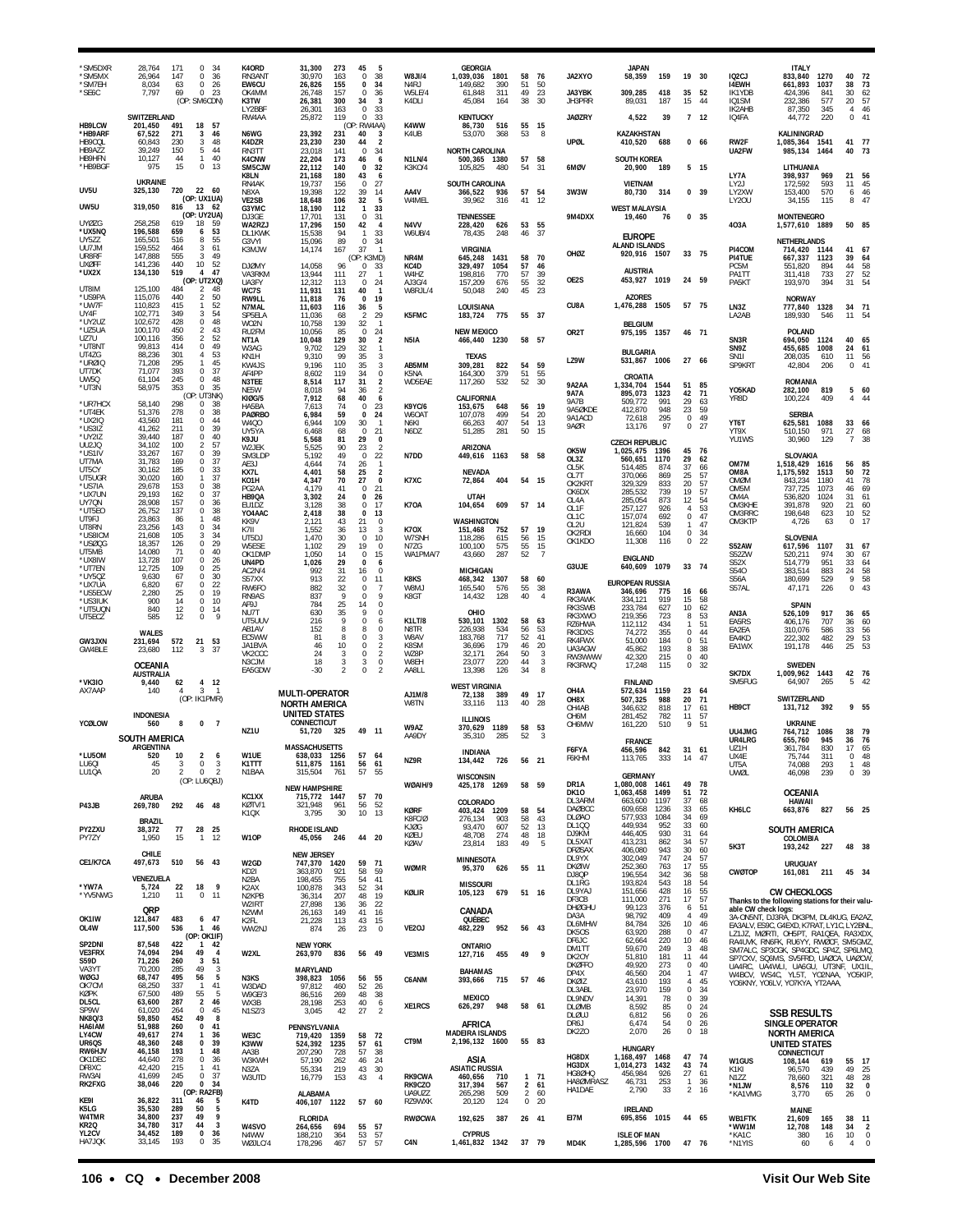| 'SM5DXR<br>*SM5MX<br>*SM7EH<br>*SE6C              | 171<br>28.764<br>$\Omega$<br>-34<br>26,964<br>147<br>0<br>36<br>8.034<br>63<br>$\bf{0}$<br>26<br>7,797<br>69<br>0<br>23<br>(OP: SM6CDN)                                | K40RD<br>RN3ANT<br>EW6CU<br>OK4MM<br>K3TW<br>LY2BBF | 31,300<br>273<br>45<br>30,970<br>0<br>163<br>26,826<br>155<br>$\Omega$<br>26,748<br>0<br>157<br>26,381<br>300<br>34<br>26,301<br>163<br>$\Omega$ | -5<br>38<br>34<br>-36<br>3<br>33                         | W8JI/4<br>N <sub>4</sub> RJ<br>W5LE/4<br>K4DLI | <b>GEORGIA</b><br>1,039,036<br>1801<br>390<br>149.682<br>61,848<br>311<br>45,084<br>164 | 58<br>51<br>49<br>38                                               | 76<br>50<br>23<br>30       | JA2XYO<br>JA3YBK<br>JH3PRR                      | <b>JAPAN</b><br>58,359<br>309,285<br>89,031                                  | 159<br>418<br>187               | 19<br>35<br>15                                         | 30<br>52<br>44                     | IQ <sub>2</sub> CJ<br><b>I4EWH</b><br>IK1YDB<br>IQ1SM<br>IK2AHB | <b>ITALY</b><br>833,840<br>1270<br>661,893<br>1037<br>424,396<br>841<br>232,386<br>577<br>87,350<br>345                                                            | 40<br>38<br>30<br>20<br>4      | 72<br>73<br>62<br>57<br>46                                                                   |
|---------------------------------------------------|------------------------------------------------------------------------------------------------------------------------------------------------------------------------|-----------------------------------------------------|--------------------------------------------------------------------------------------------------------------------------------------------------|----------------------------------------------------------|------------------------------------------------|-----------------------------------------------------------------------------------------|--------------------------------------------------------------------|----------------------------|-------------------------------------------------|------------------------------------------------------------------------------|---------------------------------|--------------------------------------------------------|------------------------------------|-----------------------------------------------------------------|--------------------------------------------------------------------------------------------------------------------------------------------------------------------|--------------------------------|----------------------------------------------------------------------------------------------|
| HB9LCW<br>*HB9ARF<br>HB9CQL<br>HB9AZZ             | SWITZERLAND<br>201,450<br>491<br>18<br>57<br>67,522<br>271<br>46<br>3<br>230<br>3<br>48<br>60.843<br>39,249<br>150<br>44<br>5                                          | RW4AA<br>N6WG<br>K4DZR<br>RN3TT                     | 25,872<br>119<br>$\Omega$<br>(OP: RW4AA)<br>23,392<br>231<br>40<br>230<br>23,230<br>44<br>23,018<br>141<br>$\Omega$                              | 33<br>3<br>$\overline{2}$<br>34                          | K4WW<br>K4UB                                   | <b>KENTUCKY</b><br>86,730<br>516<br>53.070<br>368<br><b>NORTH CAROLINA</b>              | 55<br>53                                                           | - 15<br>-8                 | <b>JAØZRY</b><br>UPØL                           | 4,522<br>KAZAKHSTAN<br>410,520                                               | 39<br>688                       |                                                        | 7 <sub>12</sub><br>0 <sub>66</sub> | IQ4FA<br>RW2F<br>UA2FW                                          | 44,772<br>220<br>KALININGRAD<br>1,085,364 1541<br>985,134<br>1464                                                                                                  | $\Omega$<br>41                 | 41<br>- 77<br>40 73                                                                          |
| HB9HFN<br>*HB9BGF<br>UV5U                         | 40<br>10,127<br>44<br>$\mathbf{1}$<br>$\Omega$<br>975<br>15<br>-13<br><b>UKRAINE</b><br>325,130<br>720<br>22 60                                                        | <b>K4CNW</b><br>SM5CJW<br>K8LN<br>RN4AK<br>N8XA     | 22,204<br>173<br>46<br>22,112<br>140<br>0<br>21.168<br>180<br>43<br>19,737<br>156<br>$\Omega$<br>19.398<br>39<br>122                             | 6<br>32<br>6<br>27<br>14                                 | N1LN/4<br>K3KO/4<br>AA4V                       | 500,365<br>1380<br>105,825<br>480<br>SOUTH CAROLINA                                     | 57<br>54<br>57                                                     | 58<br>31<br>54             | 6MØV<br>3W3W                                    | <b>SOUTH KOREA</b><br>20,900<br>VIETNAM                                      | 189<br>314                      |                                                        | 5 15<br>39                         | LY7A<br>LY2J<br>LY2XW                                           | LITHUANIA<br>398.937<br>969<br>172,592<br>593<br>153.400<br>570                                                                                                    | 21<br>11                       | 56<br>45                                                                                     |
| UW5U<br><b>UYØZG</b>                              | (OP: UX1UA)<br>319,050<br>816<br>13 62<br>(OP: UY2UA)<br>258,258<br>619<br>18<br>59                                                                                    | <b>VE2SB</b><br>G3YMC<br>DJ3GE<br>WA2RZJ            | 18,648<br>106<br>32<br>18,190<br>112<br>$\mathbf{1}$<br>17,701<br>0<br>131<br>17,296<br>42<br>150                                                | 5<br>33<br>31<br>$\overline{4}$                          | W4MEL<br>N4VV                                  | 366,522<br>936<br>39,962<br>316<br><b>TENNESSEE</b><br>228,420<br>626                   | 41<br>53                                                           | 12<br>55                   | 9M4DXX                                          | 80,730<br><b>WEST MALAYSIA</b><br>19,460                                     | - 76                            | 0                                                      | 0 <sub>35</sub>                    | LY20U<br>403A                                                   | 34,155<br>115<br><b>MONTENEGRO</b><br>1,577,610<br>1889                                                                                                            | 6<br>8                         | $\frac{46}{ }$<br>47<br>50 85                                                                |
| *UX5NQ<br>UY5ZZ<br>UU7JM<br>UR8RF<br><b>UXØFF</b> | 196,588<br>659<br>53<br>6<br>55<br>165,501<br>516<br>8<br>159,552<br>464<br>61<br>3<br>147,888<br>555<br>3<br>49<br>10 52<br>440<br>141,236                            | DL1KWK<br>G3VYI<br>K3MJW<br><b>DJØMY</b>            | 15,538<br>94<br>$\mathbf{1}$<br>89<br>15,096<br>$\Omega$<br>14,174<br>167<br>37<br>(OP: K3MD)<br>14,058<br>96<br>$\Omega$                        | 33<br>-34<br>$\mathbf{1}$<br>33                          | W6UB/4<br>NR4M<br>KC4D                         | 78,435<br>248<br><b>VIRGINIA</b><br>1431<br>645.248<br>329.497<br>1054                  | 46<br>58<br>57                                                     | -37<br>70<br>46            | OHØZ                                            | <b>EUROPE</b><br><b>ALAND ISLANDS</b><br>920,916 1507                        |                                 |                                                        | 33 75                              | PI4COM<br>PI4TUE<br>PC5M                                        | <b>NETHERLANDS</b><br>714,420<br>1144<br>667.337<br>1123<br>551,820<br>894                                                                                         | 41<br>39<br>44                 | 67<br>64<br>58                                                                               |
| *UX2X<br>UT8IM<br>*US9PA                          | 519<br>47<br>134,130<br>4<br>(OP: UT2XQ)<br>125,100<br>484<br>$\overline{2}$<br>48<br>50<br>440<br>$\overline{2}$<br>115,076<br>52<br>$\mathbf{1}$                     | VA3RKM<br>UA3FY<br>WC7S<br>RW9LL                    | 13,944<br>111<br>27<br>12,312<br>113<br>$\Omega$<br>11,931<br>131<br>40<br>11,818<br>76<br>$\Omega$                                              | -1<br>24<br>-1<br>19                                     | W4HZ<br>AJ3G/4<br>W8RJL/4                      | 198,816<br>770<br>157,209<br>676<br>50,048<br>240                                       | 57<br>55<br>45                                                     | 39<br>32<br>23             | OE2S<br>CU8A                                    | <b>AUSTRIA</b><br>453,927<br><b>AZORES</b>                                   | 1019                            |                                                        | 24 59                              | PA1TT<br>PA5KT                                                  | 733<br>311,418<br>193,970<br>394<br><b>NORWAY</b>                                                                                                                  | 27<br>31                       | $\frac{52}{54}$                                                                              |
| *UW7F<br>UY4F<br>*UY2UZ<br>*UZ5UA                 | 110,823<br>415<br>54<br>349<br>102,771<br>-3<br>48<br>102,672<br>428<br>$\Omega$<br>43<br>100,170<br>450<br>2                                                          | N7MAL<br>SP5FLA<br>WO2N<br>RU2FM                    | 11,603<br>36<br>116<br>11,036<br>$\overline{2}$<br>68<br>10,758<br>139<br>32<br>$\mathbf 0$<br>10,056<br>85                                      | 5<br>29<br>-1<br>24                                      | K5FMC                                          | LOUISIANA<br>183,724<br>775<br><b>NEW MEXICO</b>                                        | 55 37                                                              |                            | OR <sub>2</sub> T                               | 1,476,288 1505<br><b>BELGIUM</b><br>975,195 1357                             |                                 | 46 71                                                  | 57 75                              | LN3Z<br>LA2AB                                                   | 777,840<br>1328<br>189,930<br>546<br><b>POLAND</b>                                                                                                                 | 34<br>11                       | - 71<br>54                                                                                   |
| UZ7U<br>*UT8NT<br>UT4ZG<br>*urøic                 | 52<br>100,116<br>356<br>$\mathfrak{D}$<br>49<br>99,813<br>414<br>$^{\circ}$<br>53<br>88,236<br>301<br>4<br>295<br>45<br>71,208<br>$\mathbf{1}$                         | NT1A<br>W3AG<br>KN1H<br>KW4JS                       | 10,048<br>129<br>30<br>9,702<br>129<br>32<br>9,310<br>99<br>35<br>9,196<br>110<br>35                                                             | $\overline{2}$<br>$\mathbf{1}$<br>3<br>$\sqrt{3}$        | N5IA<br>AB5MM                                  | 466,440 1230<br><b>TEXAS</b><br>822<br>309,281                                          | 58<br>54                                                           | 57<br>59                   | LZ9W                                            | <b>BULGARIA</b><br>531,867 1006                                              |                                 |                                                        | 27 66                              | SN3R<br>SN9Z<br>SN <sub>11</sub><br>SP9KRT                      | 694,050<br>1124<br>455,685<br>1008<br>208,035<br>610<br>42,804<br>206                                                                                              | 40<br>24<br>11<br>$^{\circ}$   | 65<br>61<br>56<br>41                                                                         |
| UT7DK<br>UW5Q<br>*UT3N<br>*UR7HCX                 | 393<br>37<br>71,077<br>$\Omega$<br>245<br>48<br>61,104<br>$^{\circ}$<br>58,975<br>353<br>35<br>$\Omega$<br>(OP: UT3NK)<br>58.140<br>298<br>38<br>$\Omega$              | AF4PP<br>N3TEE<br>NE5W<br><b>KIØG/5</b>             | 8,602<br>119<br>34<br>8,514<br>117<br>31<br>8,018<br>94<br>36<br>7,912<br>68<br>40                                                               | $\bf 0$<br>$\overline{2}$<br>$\overline{2}$<br>6         | K5NA<br>WD5EAE                                 | 164,300<br>379<br>117,260<br>532<br>CALIFORNIA                                          | 51<br>52                                                           | 55<br>- 30                 | <b>9A2AA</b><br>9A7A<br>9A7B                    | CROATIA<br>1,334,704<br>895.073<br>509,772                                   | 1544<br>1323<br>991             | 51<br>42<br>29                                         | 85<br>71<br>63                     | Y05KAD<br>YR8D                                                  | <b>ROMANIA</b><br>282,100<br>819<br>100,224<br>409                                                                                                                 | 5<br>4                         | 60<br>44                                                                                     |
| *UT4EK<br>*UX2IQ<br>*US3IZ<br>*UY2IZ              | 38<br>51,376<br>278<br>0<br>181<br>44<br>43,560<br>$\Omega$<br>39<br>41,262<br>0<br>211<br>40<br>39,440<br>$\Omega$<br>187                                             | HA5BA<br><b>PAØRBO</b><br>W400<br>UY5YA<br>K9JU     | 7,613<br>74<br>$\Omega$<br>6,984<br>59<br>$\mathbf{0}$<br>6,944<br>109<br>30<br>6,468<br>0<br>68<br>5,568<br>29<br>81                            | 23<br>24<br>-1<br>21<br>$\mathbf{0}$                     | <b>K9YC/6</b><br>W6OAT<br>N6K1<br>N6DZ         | 153,675<br>648<br>107,078<br>499<br>407<br>66.263<br>51,285<br>281                      | 56<br>54<br>54<br>50                                               | - 19<br>20<br>13<br>15     | 9A5ØKDE<br>9A1ACD<br>9AØR                       | 412.870<br>72,618<br>13,176                                                  | 948<br>295<br>97                | 23<br>0<br>0                                           | 59<br>49<br>27                     | YT6T<br>YT9X<br>YU1WS                                           | <b>SERBIA</b><br>1088<br>625,581<br>971<br>510.150<br>30,960<br>129                                                                                                | 33<br>27<br>$\overline{7}$     | 66<br>68<br>38                                                                               |
| UU2JQ<br>*US1IV<br>UT7MA<br>UT5CY                 | 34,102<br>100<br>57<br>2<br>39<br>167<br>$\Omega$<br>33.267<br>0<br>37<br>31.783<br>169<br>185<br>$\mathbf 0$<br>33<br>30.162                                          | W2JEK<br>SM3LDP<br>AE3J<br>KX7L                     | 5,525<br>23<br>90<br>5.192<br>49<br>$\mathbf 0$<br>4,644<br>74<br>26<br>4,401<br>58<br>25                                                        | $\overline{2}$<br>22<br>$\overline{1}$<br>$\overline{2}$ | N7DD                                           | ARIZONA<br>449,616 1163<br><b>NEVADA</b>                                                | 58                                                                 | 58                         | OK5W<br>OL3Z<br>OL5K<br>OL7T                    | <b>CZECH REPUBLIC</b><br>1,025,475<br>560,651<br>514.485<br>370,066          | 1396<br>1170<br>874<br>869      | 45<br>29<br>37<br>25                                   | 76<br>62<br>66<br>57               | OM7M<br>OM8A                                                    | SLOVAKIA<br>1,518,429<br>1616<br>1,175,592<br>1513                                                                                                                 | 56<br>50                       | 85<br>72                                                                                     |
| UT5UGR<br>*US7IA<br>*UX7UN<br>UY7QN               | 37<br>30,020<br>160<br>38<br>29,678<br>153<br>$\Omega$<br>29,193<br>0<br>37<br>162<br>28,908<br>36<br>157<br>$\Omega$                                                  | KO1H<br>PG2AA<br>HB9QA<br>EU1DZ                     | 4,347<br>70<br>27<br>4.179<br>41<br>0<br>3,302<br>24<br>0<br>3,128<br>38<br>$^{\circ}$                                                           | $\mathbf 0$<br>21<br>26<br>17                            | K7XC<br>K7OA                                   | 72,864<br>404<br><b>UTAH</b><br>609<br>104,654                                          | 57 14                                                              | 54 15                      | OK2KRT<br>OK6DX<br>OL4A                         | 329,329<br>285,532<br>285.054                                                | 833<br>739<br>873               | 20<br>19<br>12                                         | 57<br>57<br>54                     | OMØM<br>OM5M<br>OM4A<br>OM3KHE                                  | 843,234<br>1180<br>737,725<br>1073<br>536,820<br>1024<br>391,878<br>920                                                                                            | 41<br>46<br>31<br>21           | 78<br>69<br>61<br>60                                                                         |
| *UT5E0<br>UT9FJ<br>UT8RN<br>*US8ICM<br>*USØQG     | 26,752<br>137<br>0<br>38<br>48<br>23,863<br>86<br>-1<br>143<br>0<br>34<br>23.256<br>34<br>21,608<br>105<br>3<br>29<br>18,357<br>126<br>$\Omega$                        | YO4AAC<br>KK9V<br>K7II<br>UT5DJ                     | 2,418<br>38<br>$\Omega$<br>2,121<br>43<br>21<br>1,552<br>36<br>13<br>1,470<br>30<br>0                                                            | 13<br>$\Omega$<br>3<br>10                                | <b>K70X</b><br>W7SNH                           | WASHINGTON<br>151,468<br>752<br>118,286<br>615                                          | 57<br>56                                                           | 19<br>15                   | OL1F<br>OL1C<br>OL2U<br>OK2RDI<br>OK1KDC        | 257,127<br>157,074<br>121,824<br>16,660<br>11,308                            | 926<br>692<br>539<br>104<br>116 | $\overline{4}$<br>$\bf 0$<br>$\mathbf{1}$<br>0<br>0    | 53<br>47<br>47<br>34<br>22         | OM3RRC<br>OM3KTP                                                | 198,648<br>623<br>4.726<br>63<br><b>SLOVENIA</b>                                                                                                                   | 10<br>$\Omega$                 | $\frac{52}{17}$                                                                              |
| UT5MB<br>*UX8IW<br>*UT7EN<br>*UY5QZ               | 40<br>14,080<br>71<br>$\Omega$<br>26<br>13,728<br>107<br>$\Omega$<br>25<br>12.725<br>109<br>$\Omega$<br>30<br>9,630<br>67<br>$\Omega$                                  | W5ESE<br>OK1DMP<br>UN4PD<br>AC2N/4<br>S57XX         | 19<br>1,102<br>29<br>1,050<br>0<br>14<br>1,026<br>29<br>$\Omega$<br>992<br>31<br>16<br>913<br>22<br>$\Omega$                                     | $\mathbf 0$<br>15<br>6<br>$\mathbf 0$<br>11              | N7ZG<br>WA1PMA/7<br>K8KS                       | 100,100<br>575<br>43,660<br>287<br><b>MICHIGAN</b><br>468,342<br>1307                   | 55<br>52<br>58                                                     | 15<br>$\overline{7}$<br>60 | G3UJE                                           | <b>ENGLAND</b><br>640,609<br><b>EUROPEAN RUSSIA</b>                          | 1079                            |                                                        | 33 74                              | <b>S52AW</b><br>S52ZW<br>S52X<br>S540<br>S56A                   | 617,596<br>1107<br>520,211<br>974<br>951<br>514,779<br>383,514<br>883<br>180.699<br>529                                                                            | 31<br>30<br>33<br>24<br>9      | 67<br>67<br>64<br>58<br>58                                                                   |
| *UX7UA<br>*US5ECW<br>*US3IUK<br>*UT5UQN<br>UT5ECZ | 22<br>6,820<br>67<br>$\Omega$<br>25<br>19<br>2,280<br>$\Omega$<br>14<br>0<br>10<br>900<br>840<br>12<br>0<br>14<br>$\varsigma$<br>12<br>585<br>$\Omega$                 | RW6FO<br>RN9AS<br>AF9J<br>NU7T                      | 882<br>32<br>0<br>$\mathbf Q$<br>837<br>$\Omega$<br>784<br>25<br>14<br>630<br>35                                                                 | 7<br>9<br>$\mathbf 0$<br>0                               | W8MJ<br>K8GT                                   | 165,540<br>576<br>14,432<br>128<br>OHIO                                                 | 55<br>40                                                           | -38<br>$\overline{4}$      | R3AWA<br>RK3AWK<br>RK3SWB<br>RK3XWO             | 346,696<br>334.121<br>233,784<br>219,356                                     | 775<br>919<br>627<br>723        | 16<br>15<br>10<br>8                                    | -66<br>58<br>62<br>53              | S57AL<br>AN3A                                                   | 47,171<br>226<br><b>SPAIN</b><br>917<br>526,109                                                                                                                    | $\Omega$<br>36                 | 43<br>65                                                                                     |
| GW3JXN<br>GW4BLE                                  | <b>WALES</b><br>231,694<br>572<br>21<br>53<br>23,680<br>112<br>-37<br>3                                                                                                | UT5UUV<br>AB1AV<br>EC5WW<br>JA1BVA<br>VK2CCC        | 216<br>9<br>$\Omega$<br>8<br>152<br>8<br>81<br>8<br>$\Omega$<br>10<br>46<br>0<br>24<br>3<br>0                                                    | 6<br>0<br>3<br>$\sqrt{2}$<br>$\overline{2}$              | <b>K1LT/8</b><br>N8TR<br>W8AV<br>K8SM<br>WZ8P  | 530,101<br>1302<br>226,938<br>534<br>183,768<br>717<br>36,696<br>179<br>32,171<br>264   | 58<br>56<br>52<br>46<br>50                                         | 63<br>53<br>41<br>20<br>-3 | RZ6HWA<br>RK3DXS<br>RK4FWX<br>UA3AGW<br>RW3WWW  | 112,112<br>74,272<br>51.000<br>45,862<br>42,320                              | 434<br>355<br>184<br>193<br>215 | $\mathbf{1}$<br>$\Omega$<br>$^{\circ}$<br>8<br>$\bf 0$ | 51<br>44<br>51<br>38<br>40         | EA5RS<br>EA2EA<br>EA4KD<br>EA1WX                                | 707<br>406,176<br>310,076<br>586<br>482<br>222,302<br>191,178<br>446                                                                                               | 36<br>33<br>29<br>25           | 60<br>56<br>53<br>53                                                                         |
| *VK3IO<br>AX7AAP                                  | OCEANIA<br><b>AUSTRALIA</b><br>62<br>- 12<br>9,440<br>4<br>$\overline{3}$<br>140<br>$\overline{4}$<br>$\overline{1}$                                                   | N3CJM<br>EA5GDW                                     | 18<br>3<br>3<br>$-30$<br>$\mathfrak{p}$<br>0<br>MULTI-OPERATOR                                                                                   | 0<br>$\mathfrak{p}$                                      | W8EH<br>AA8LL                                  | 23,077<br>220<br>13,398<br>126<br><b>WEST VIRGINIA</b>                                  | 44<br>34                                                           | 3<br>8                     | RK3RWQ<br>OH4A                                  | 17,248<br><b>FINLAND</b><br>572,634                                          | 115<br>1159                     | $\bf 0$<br>23                                          | 32<br>64                           | SK7DX<br>SM5FUG                                                 | <b>SWEDEN</b><br>1,009,962 1443<br>64,907<br>265                                                                                                                   | 5                              | 42 76<br>- 42                                                                                |
| YCØLOW                                            | (OP: IK1PMR)<br><b>INDONESIA</b><br>560<br>0<br>$\overline{7}$<br>8                                                                                                    |                                                     | <b>NORTH AMERICA</b><br>UNITED STATES<br>CONNECTICUT                                                                                             |                                                          | AJ1M/8<br><b>W8TN</b>                          | 72,138<br>389<br>33,116<br>113<br><b>ILLINOIS</b>                                       | 49<br>40<br>58                                                     | 17<br>-28<br>53            | OH8X<br>OH4AB<br>OH6M<br>OH6MW                  | 507,325<br>346.632<br>281,452<br>161,220                                     | 988<br>818<br>782<br>510        | 20<br>17<br>11<br>9                                    | 71<br>61<br>57<br>51               | HB9CT                                                           | SWITZERLAND<br>131,712<br>392<br><b>UKRAINE</b>                                                                                                                    |                                | 9 55                                                                                         |
| *LU50M                                            | <b>SOUTH AMERICA</b><br>ARGENTINA<br>520<br>2 <sub>6</sub>                                                                                                             | NZ <sub>1U</sub><br>W1UE                            | 49 11<br>51,720<br>325<br><b>MASSACHUSETTS</b><br>638,033 1256<br>57 64                                                                          |                                                          | W9AZ<br>AA9DY                                  | 370,629<br>1189<br>35,310<br>285<br><b>INDIANA</b>                                      | 52                                                                 | 3                          | F6FYA                                           | <b>FRANCE</b><br>456,596                                                     | 842                             | 31 61                                                  |                                    | UU4JMG<br>UR4LRG<br>UZ1H<br>UX4F                                | 764,712<br>1086<br>655,760<br>945<br>361,784<br>830<br>75.744<br>311                                                                                               | 38<br>36<br>17<br>$\Omega$     | - 79<br>76<br>65<br>48                                                                       |
| LU60I<br>LU10A                                    | 3<br>$\mathbf 0$<br>45<br>3<br>$\mathsf 0$<br>$\overline{2}$<br>20<br>$\mathfrak{p}$<br>(OP: LU6QBJ)                                                                   | K1TTT<br>N1BAA                                      | 511,875 1161<br>56 61<br>315,504<br>761<br>57<br><b>NEW HAMPSHIRE</b>                                                                            | 55                                                       | NZ9R<br>WØAIH/9                                | 134,442<br>726<br><b>WISCONSIN</b><br>425,178 1269                                      | 56                                                                 | 21<br>58 59                | FOKHM<br>DR1A                                   | 113,705<br><b>GERMANY</b><br>1,080,008 1461                                  | 333                             | 14<br>49                                               | 78                                 | UT5A<br>UWØL                                                    | 74,088<br>293<br>46,098<br>239                                                                                                                                     |                                | $\mathbf{1}$<br>48<br>0, 39                                                                  |
| P43JB                                             | ARUBA<br>292<br>46 48<br>269,780<br><b>BRAZIL</b>                                                                                                                      | KC1XX<br>KØTV/1<br>K1QX                             | 57 70<br>715,772 1447<br>321,948<br>56<br>961<br>10 <sup>10</sup><br>30<br>3,795                                                                 | 52<br>13                                                 | <b>KØRF</b><br>K8FC/Ø                          | COLORADO<br>403,424 1209<br>276,134<br>903                                              | 58<br>58                                                           | 54<br>43                   | <b>DK10</b><br>DL3ARM<br>DAØBCC<br><b>DLØAO</b> | 1,063,458<br>663,600<br>609,658<br>577,933                                   | 1499<br>1197<br>1236<br>1084    | 51<br>37<br>33<br>34                                   | 72<br>68<br>65<br>69               | KH6LC                                                           | <b>OCEANIA</b><br>HAWAII<br>663,876 827                                                                                                                            |                                | 56 25                                                                                        |
| PY2ZXU<br>PY7ZY                                   | 77<br>28<br>25<br>38,372<br>1,950<br>15<br>12<br>$\mathbf{1}$                                                                                                          | W10P                                                | <b>RHODE ISLAND</b><br>44 20<br>45,056<br>246<br><b>NEW JERSEY</b>                                                                               |                                                          | KJØG<br>KØEU<br>KØAV                           | 93,470<br>607<br>48,708<br>274<br>183<br>23,814                                         | 52<br>48<br>49                                                     | 13<br>18<br>5              | DL100<br>DJ9KM<br>DL5XAT<br><b>DFØSAX</b>       | 449,934<br>446,405<br>413,231<br>406,080                                     | 952<br>930<br>862<br>943        | 33<br>31<br>34<br>30                                   | 60<br>64<br>57<br>60               | 5K3T                                                            | SOUTH AMERICA<br>COLOMBIA<br>193,242 227                                                                                                                           |                                | 48 38                                                                                        |
| CE1/K7CA                                          | CHILE<br>497,673<br>510<br>56 43<br>VENEZUELA                                                                                                                          | W2GD<br>KD2I<br>N <sub>2</sub> BA                   | 747,370<br>1420<br>59<br>58<br>363,870<br>921<br>198,455<br>755<br>54                                                                            | 71<br>59<br>41                                           | <b>WØMR</b>                                    | <b>MINNESOTA</b><br>95,370<br>626<br><b>MISSOURI</b>                                    |                                                                    | 55 11                      | DL9YX<br><b>DKØIW</b><br>DJ8QP<br>DL1RG         | 302,049<br>252,360<br>196,554<br>193,824                                     | 747<br>763<br>342<br>543        | 24<br>17<br>36<br>18                                   | 57<br>55<br>58<br>54               | <b>CWØTOP</b>                                                   | <b>URUGUAY</b><br>161,081<br>211                                                                                                                                   |                                | 45 34                                                                                        |
| *YW7A<br>*YV5NWG                                  | 9<br>5,724<br>22<br>18<br>1,210<br>11<br>$0$ 11<br>QRP                                                                                                                 | K2AX<br>N <sub>2</sub> KPB<br>W2IRT<br>N2WM         | 100,878<br>52<br>343<br>207<br>48<br>36,314<br>27,898<br>136<br>36<br>41<br>26,163<br>149                                                        | 34<br>19<br>22<br>16                                     | KØLIR                                          | 679<br>105,123<br>CANADA                                                                |                                                                    | 51 16                      | DL9YAJ<br>DF3CB<br><b>DHØGHU</b>                | 151,656<br>111,000<br>99,123                                                 | 428<br>271<br>376               | 16<br>17<br>6                                          | 55<br>57<br>51                     | able CW check logs:                                             | <b>CW CHECKLOGS</b><br>Thanks to the following stations for their valu-                                                                                            |                                |                                                                                              |
| OK1IW<br>OL4W                                     | 483<br>6 <sub>47</sub><br>121,847<br>117,500<br>536<br>1 46<br>(OP: OK1IF)                                                                                             | K2FL<br>WW2NJ                                       | 21,228<br>113<br>43<br>23<br>874<br>26                                                                                                           | 15<br>$\mathbf 0$                                        | VE2OJ                                          | QUÉBEC<br>482,229<br>952                                                                |                                                                    | 56 43                      | DA3A<br>DL6MHW<br>DK5OS<br>DF6JC                | 98,792<br>84,784<br>63,920<br>62,664                                         | 409<br>326<br>288<br>220        | 4<br>10<br>$\mathbf 0$<br>10                           | 49<br>46<br>47<br>46               |                                                                 | 3A-ON5NT, DJ3RĀ, DK3PM, DL4KUG, EA2AZ,<br>EA3ALV, ES9C, G4EXD, K7RAT, LY1C, LY2BNL,<br>LZ1JZ, MØRTI, OH5PT, RA1QEA, RA3XDX,<br>RA4UVK, RN6FK, RU6YY, RWØCF, SM5GMZ |                                |                                                                                              |
| SP2DNI<br><b>VE3FRX</b><br><b>S59D</b><br>VA3YT   | 422<br>87,548<br>$\mathbf{1}$<br>42<br>74,094<br>294<br>49<br>$\overline{4}$<br>71,226<br>260<br>3<br>51<br>70,200<br>285<br>49<br>-3                                  | W2XL                                                | <b>NEW YORK</b><br>263,970<br>836<br>56 49<br><b>MARYLAND</b>                                                                                    |                                                          | VE3MIS                                         | ONTARIO<br>127,716 455<br><b>BAHAMAS</b>                                                | 49                                                                 | 9                          | DM1TT<br>DK2OY<br><b>DKØFFO</b><br>DP4X         | 59,670<br>51,810<br>49,920                                                   | 249<br>181<br>273<br>204        | 3<br>11<br>$\mathbf 0$<br>$\mathbf{1}$                 | 48<br>44<br>40<br>47               |                                                                 | SM7ALC, SP3CGK, SP4GDC, SP4Z, SP6LMQ<br>SP7CXV, SQ6MS, SV5FRD, UAØCA, UAØCW<br>UA4RC, UA4WLI, UA6GU, UT3NF, UX1IL,                                                 |                                |                                                                                              |
| <b>WØGJ</b><br>OK7CM<br>KØPK<br>DL5CL             | 68,747<br>495<br>56<br>5<br>68,250<br>337<br>41<br>$\mathbf{1}$<br>67,500<br>489<br>55<br>-5<br>63,600<br>287<br>$\overline{2}$<br>46                                  | N3KS<br>W3DAD<br>W9GE/3<br>WX3B                     | 398,823<br>1056<br>56<br>97,812<br>460<br>52<br>269<br>48<br>86,516<br>28,198<br>253<br>40                                                       | 55<br>26<br>38<br>6                                      | C6ANM                                          | 393,666<br>715<br><b>MEXICO</b>                                                         |                                                                    | 57 46                      | <b>DKØIZ</b><br>DL3ABL<br>DL9NDV                | 46,560<br>43,610<br>23,970<br>14,391                                         | 193<br>159<br>78                | 4<br>$\mathbb O$<br>0                                  | 45<br>34<br>39                     |                                                                 | W4BCV, WS4C, YL5T, YO2NAA, YO5KIP,<br>YO6KNY, YO6LV, YO7KYA, YT2AAA,                                                                                               |                                |                                                                                              |
| SP9W<br><b>NK8Q/3</b><br>HA6IAM<br>LY4CW          | 61,020<br>$\bf 0$<br>45<br>264<br>49<br>8<br>59,850<br>452<br>51,988<br>$\bf{0}$<br>260<br>41<br>49,617<br>274<br>$\mathbf{1}$<br>36                                   | N1SZ/3<br>WE3C                                      | 27<br>42<br>3,045<br>PENNSYLVANIA<br>719,420<br>1359<br>58                                                                                       | $\overline{2}$<br>72                                     | XE1RCS                                         | 626,297<br>948<br>AFRICA<br><b>MADEIRA ISLANDS</b>                                      |                                                                    | 58 61                      | DLØMB<br>DLØUJ<br>DR6J<br>DK2ZO                 | 8,592<br>6,812<br>6,474<br>2,070                                             | 85<br>56<br>54<br>26            | $\mathbb O$<br>$\mathbf 0$<br>0<br>$\mathbf 0$         | 24<br>26<br>26<br>18               |                                                                 | <b>SSB RESULTS</b><br><b>SINGLE OPERATOR</b><br><b>NORTH AMERICA</b>                                                                                               |                                |                                                                                              |
| UR6QS<br>RW6HJV<br>OK1DEC<br>DF8XC                | 248<br>$\pmb{0}$<br>39<br>48,360<br>193<br>46,158<br>48<br>$\mathbf{1}$<br>44,640<br>278<br>$\bf{0}$<br>36<br>42,420<br>215<br>$\mathbf{1}$<br>41                      | K3WW<br>AA3B<br>W3KWH<br>N3ZA                       | 57<br>524,392<br>1235<br>57<br>207,290<br>728<br>262<br>46<br>57,190<br>55,334<br>219<br>43                                                      | 61<br>38<br>24<br>30                                     | CT9M                                           | 2,196,132 1600<br>ASIA<br><b>ASIATIC RUSSIA</b>                                         |                                                                    | 55 83                      | HG8DX<br>HG3DX                                  | <b>HUNGARY</b><br>1,168,497 1468<br>1,014,273                                | 1432                            | 47<br>43                                               | 74<br>74                           | W1GUS<br>K1KI                                                   | <b>UNITED STATES</b><br>CONNECTICUT<br>108,144<br>619                                                                                                              | 55                             | - 17                                                                                         |
| RW3AI<br><b>RK2FXG</b><br>KE9I                    | 41,699<br>245<br>$\bf 0$<br>37<br>38,046<br>220<br>$\bf{0}$<br>34<br>(OP: RA2FB)<br>311<br>36,822<br>46<br>5                                                           | W3UTD<br>K4TD                                       | 16,779<br>153<br>43<br>ALABAMA<br>406,107 1122<br>57 60                                                                                          | $\overline{4}$                                           | RK9CWA<br>RK9CZO<br>UA9UZZ<br>RZ9WXK           | 460,656<br>710<br>317,394<br>567<br>509<br>265,298<br>124<br>20,120                     | $\mathbf{1}$<br>$\overline{2}$<br>$\overline{2}$<br>$\overline{0}$ | - 71<br>61<br>60<br>20     | HG8ØHQ<br>HA8ØMRASZ<br>HA1DAE                   | 456,984<br>46,731<br>2,790                                                   | 926<br>253<br>33                | 27<br>$\overline{1}$<br>$\overline{2}$                 | 61<br>36<br>-16                    | N1ZZ<br>*N1JW<br>*KA1VMG                                        | 439<br>96,570<br>78,660<br>321<br>110<br>8,576<br>3,770<br>65                                                                                                      | 32<br>26                       | $\begin{array}{cc} 49 & 25 \\ 48 & 28 \end{array}$<br>$\overline{\mathbf{0}}$<br>$\mathbf 0$ |
| K5LG<br>W4TMR<br>KR2Q<br>YL2CV<br>HA7JQK          | 289<br>50<br>5<br>35,530<br>34,800<br>237<br>49<br>9<br>$\overline{\mathbf{3}}$<br>317<br>44<br>34,780<br>189<br>$\pmb{0}$<br>34,452<br>36<br>35<br>193<br>0<br>33,145 | W4SVO<br>N4WW<br>WØJLC/4                            | <b>FLORIDA</b><br>55 57<br>264,656<br>694<br>188,210<br>364<br>53<br>178,296<br>57<br>467                                                        | 57<br>57                                                 | <b>RWØCWA</b><br>C4N                           | 192,625<br>387<br><b>CYPRUS</b><br>1,461,832 1342 37 79                                 | 26 41                                                              |                            | EI7M<br>MD4K                                    | <b>IRELAND</b><br>695,856 1015<br><b>ISLE OF MAN</b><br>1,285,596 1700 47 76 |                                 |                                                        | 44 65                              | <b>WB1FTK</b><br>*WW1M<br>*KA1C<br>*N1YIS                       | <b>MAINE</b><br>21,609<br>165<br>148<br>12,708<br>380<br>60                                                                                                        | 38<br>34<br>10<br>16<br>4<br>6 | - 11<br>$\overline{2}$<br>0<br>$\overline{0}$                                                |
|                                                   |                                                                                                                                                                        |                                                     |                                                                                                                                                  |                                                          |                                                |                                                                                         |                                                                    |                            |                                                 |                                                                              |                                 |                                                        |                                    |                                                                 |                                                                                                                                                                    |                                |                                                                                              |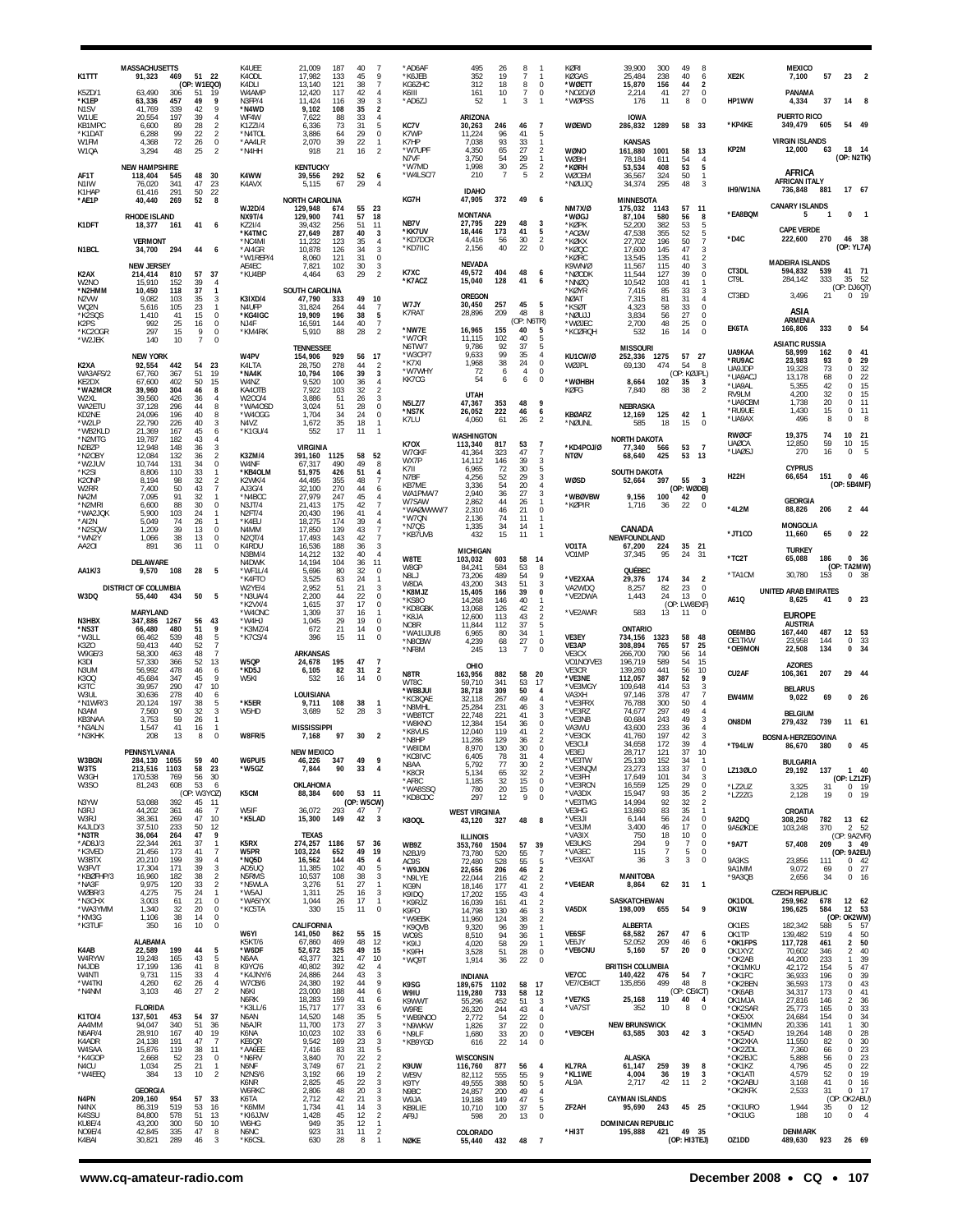| K1TTT                               | <b>MASSACHUSETTS</b><br>91,323<br>469<br>51 22                                                                                       | K4UEE<br>K4ODL                           | 21.009<br>40<br>187<br>17,982<br>133<br>45                                   | -7<br>9                                                     | *AD6AF<br>*K6JEB                      | 495<br>26<br>352<br>19                                               | 8<br>-1                                                              | <b>KØRI</b><br>KØGAS            | 39.900<br>49<br>300<br>8<br>25,484<br>238<br>40<br>6                                                                                    | XE2K                         | <b>MEXICO</b><br>7,100<br>57<br>23                                                                           |
|-------------------------------------|--------------------------------------------------------------------------------------------------------------------------------------|------------------------------------------|------------------------------------------------------------------------------|-------------------------------------------------------------|---------------------------------------|----------------------------------------------------------------------|----------------------------------------------------------------------|---------------------------------|-----------------------------------------------------------------------------------------------------------------------------------------|------------------------------|--------------------------------------------------------------------------------------------------------------|
| K5ZD/1<br>*K1EP                     | (OP: W1EQO)<br>63,490<br>306<br>51<br>19<br>9<br>63,336<br>457<br>49                                                                 | K4DLI<br>W4AMP<br>N3FP/4                 | 13,140<br>38<br>121<br>12,420<br>117<br>42<br>11,424<br>39<br>116            | $\overline{7}$<br>$\overline{4}$<br>3                       | KG6ZHC<br>K6III<br>*AD6ZJ             | 312<br>18<br>10<br>161<br>52<br>$\mathbf{1}$                         | 8<br>$\mathbf 0$<br>7<br>$^{\circ}$<br>3<br>$\mathbf{1}$             | 'WØETT<br>*NO2D/Ø<br>*WØPSS     | 15,870<br>156<br>44<br>$\overline{2}$<br>41<br>27<br>$\mathbf 0$<br>2,214<br>8<br>$\mathbf 0$<br>176<br>11                              | HP1WW                        | PANAMA<br>37<br>4,334<br>14<br>- 8                                                                           |
| N <sub>1</sub> SV<br>W1UE<br>KB1MPC | 9<br>41,769<br>339<br>42<br>197<br>20,554<br>39<br>4<br>6,600<br>89<br>28<br>$\overline{2}$                                          | *N4WD<br>WF4W<br>K1ZZI/4                 | 35<br>9,102<br>108<br>33<br>7,622<br>88<br>31<br>6,336<br>73                 | 2<br>4<br>5                                                 | KC7V                                  | ARIZONA<br>30,263<br>246                                             | $\overline{7}$<br>46                                                 | WØEWD                           | <b>IOWA</b><br>58 33<br>286,832<br>1289                                                                                                 | *KP4KE                       | <b>PUERTO RICO</b><br>349,479<br>54 49<br>605                                                                |
| *K1DAT<br>W1FM<br>W10A              | 99<br>$\overline{2}$<br>6,288<br>22<br>72<br>$\mathbf 0$<br>4,368<br>26<br>$\overline{2}$<br>48<br>25<br>3.294                       | *N4TOL<br>*AA4LR<br>*N4HH                | 3,886<br>29<br>64<br>39<br>22<br>2,070<br>21<br>918<br>16                    | $\mathbb O$<br>$\mathbf{1}$<br>$\mathfrak{p}$               | K7WP<br>K7HP<br>*W7UPF                | 11,224<br>96<br>93<br>7.038<br>4,350<br>65                           | 41<br>-5<br>33<br>$\mathbf{1}$<br>27<br>$\overline{2}$               | WØNO                            | KANSAS<br>1001<br>13<br>161,880<br>58                                                                                                   | KP2M                         | <b>VIRGIN ISLANDS</b><br>18<br>12,000<br>- 14<br>63                                                          |
| AF1T                                | <b>NEW HAMPSHIRE</b><br>118,404<br>48<br>30<br>545                                                                                   | K4WW                                     | <b>KENTUCKY</b><br>292<br>52<br>39,556                                       | 6                                                           | N7VF<br>*W7MD<br>*W4LSC/7             | 3,750<br>54<br>1,998<br>30<br>210<br>$\overline{7}$                  | 29<br>$\mathbf{1}$<br>25<br>$\overline{2}$<br>5<br>$\mathcal{P}$     | WØBH<br>*KØRH<br>WØCEM          | 78,184<br>611<br>54<br>$\overline{4}$<br>53,534<br>408<br>53<br>5<br>50<br>36,567<br>324<br>$\mathbf{1}$                                |                              | (OP: N2TK)<br>AFRICA                                                                                         |
| N1IW<br>K1HAP<br>*AE1P              | 76,020<br>341<br>47<br>23<br>291<br>50<br>22<br>61,416<br>40,440<br>269<br>52<br>8                                                   | K4AVX                                    | 5,115<br>67<br>29<br><b>NORTH CAROLINA</b>                                   | $\overline{4}$                                              | KG7H                                  | <b>IDAHO</b><br>47,905<br>372                                        | 49<br>-6                                                             | *NØUJQ                          | 34,374<br>295<br>48<br>3<br><b>MINNESOTA</b>                                                                                            | IH9/W1NA                     | <b>AFRICAN ITALY</b><br>736,848<br>17 67<br>881                                                              |
| K1DFT                               | RHODE ISLAND<br>41<br>18,377<br>161<br>6                                                                                             | <b>WJ2D/4</b><br><b>NX9T/4</b><br>KZ2I/4 | 129,948<br>55<br>674<br>129,900<br>741<br>57<br>51<br>39,432<br>256          | 23<br>18<br>11                                              | NB7V                                  | <b>MONTANA</b><br>27,795<br>229                                      | 48<br>3                                                              | <b>NM7X/Ø</b><br>*WØGJ<br>*KØPK | 175,032<br>57<br>1143<br>11<br>87,104<br>580<br>56<br>8<br>52,200<br>382<br>53<br>5                                                     | *EA8BQM                      | <b>CANARY ISLANDS</b><br>0<br>$\overline{\phantom{0}}$<br>5                                                  |
| N1BCL                               | <b>VERMONT</b><br>34,700<br>294<br>44<br>6                                                                                           | *K4TMC<br>*NC4MI<br>*AI4GR               | 27,649<br>287<br>40<br>35<br>11.232<br>123<br>34<br>10,878<br>126            | 3<br>$\overline{4}$<br>3                                    | *KK7UV<br>*KD7DCR<br>*KD7IIC          | 18,446<br>173<br>4,416<br>56<br>2,156<br>40                          | 41<br>5<br>30<br>$\overline{2}$<br>22<br>$\mathbf 0$                 | *ACØW<br>*KØKX<br>*KØQC         | 47,538<br>355<br>52<br>5<br>27,702<br>196<br>50<br>7<br>17,600<br>145<br>47<br>3                                                        | *D4C                         | <b>CAPE VERDE</b><br>222,600<br>270<br>46 38<br>(OP: YL7A)                                                   |
| K2AX                                | <b>NEW JERSEY</b><br>57<br>37<br>214,414<br>810                                                                                      | *W1REP/4<br>AE4EC<br>*KU4BP              | 31<br>8,060<br>121<br>30<br>7,821<br>102<br>29<br>4.464<br>63                | 0<br>3<br>$\overline{2}$                                    | K7XC                                  | NEVADA<br>49,572<br>404                                              | 48<br>6                                                              | *KØRC<br>K9WN/Ø<br>*NØODK       | 13,545<br>135<br>$\overline{2}$<br>41<br>11,567<br>115<br>40<br>3<br>$\bf 0$<br>11,544<br>39<br>127                                     | CT3DL                        | <b>MADEIRA ISLANDS</b><br>41<br>594,832<br>539<br>71                                                         |
| W2NO<br>*N2HMM<br>N2VW              | 15,910<br>152<br>39<br>4<br>10,450<br>118<br>37<br>$\mathbf{1}$<br>3<br>9.082<br>103<br>35                                           | K3IXD/4                                  | SOUTH CAROLINA<br>47,790<br>49<br>333                                        | 10                                                          | *K7ACZ                                | 15,040<br>128<br><b>OREGON</b>                                       | 41<br>6                                                              | *NNØQ<br>*KØYR<br>NØAT          | 10,542<br>103<br>41<br>$\mathbf{1}$<br>7,416<br>85<br>33<br>3<br>7,315<br>81<br>31<br>$\overline{4}$                                    | CT9L<br>CT3BD                | 284,142<br>333<br>35<br>- 52<br>(OP: DJ6QT)<br>21<br>3,496<br>0, 19                                          |
| WQ2N<br>*K2SQS<br>K2PS              | 5,616<br>105<br>23<br>$\mathbf{1}$<br>$\mathbf 0$<br>1,410<br>41<br>15<br>992<br>25<br>0<br>16                                       | N4UFP<br>*KG4IGC<br>NJ4F                 | 31,824<br>44<br>264<br>19.909<br>196<br>38<br>16,591<br>144<br>40            | $\overline{7}$<br>5<br>$\overline{7}$                       | W7JY<br>K7RAT                         | 30,450<br>257<br>28,896<br>209                                       | 45<br>5<br>8<br>48<br>(OP: N6TR)                                     | *KSØT<br>NØUJJ*<br>*WØJEC       | 4,323<br>58<br>33<br>$\mathbf 0$<br>3.834<br>27<br>$\mathbf 0$<br>56<br>2,700<br>48<br>25<br>$\mathbf 0$                                |                              | ASIA<br><b>ARMENIA</b>                                                                                       |
| *KC2OGR<br>*W2JEK                   | 297<br>9<br>0<br>15<br>140<br>10<br>$\overline{7}$<br>0                                                                              | *KM4RK                                   | 5,910<br>28<br>88<br><b>TENNESSEE</b>                                        | $\overline{2}$                                              | *NW7E<br>*W70R<br>N6TW/7              | 16.965<br>155<br>11,115<br>102<br>92<br>9,786                        | 40<br>-5<br>40<br>5<br>37<br>5                                       | *KCØRQH                         | 14<br>$\Omega$<br>532<br>16<br><b>MISSOURI</b>                                                                                          | EK6TA                        | 166,806<br>333<br>0 <sub>54</sub><br><b>ASIATIC RUSSIA</b>                                                   |
| K2XA<br>WA3AFS/2                    | <b>NEW YORK</b><br>23<br>92,554<br>442<br>54<br>67,760<br>367<br>51<br>19                                                            | W4PV<br>K4LTA<br>*NA4K                   | 154,906<br>929<br>56<br>28,750<br>44<br>278<br>39<br>10,794<br>106           | 17<br>$\overline{2}$<br>$\overline{3}$                      | *W3CP/7<br>*K7XI<br>*W7WHY            | 9,633<br>99<br>1,968<br>38<br>72<br>6                                | 35<br>$\overline{4}$<br>24<br>$\Omega$<br>4<br>$\mathbf 0$           | KU1CW/Ø<br>WØJPL                | 57<br>27<br>252,336<br>1275<br>474<br>54<br>69,130<br>8<br>(OP: KØJPL)                                                                  | UA9KAA<br>*RU9AC<br>UA9JDP   | 41<br>58,999<br>162<br>$\mathbf{0}$<br>23,983<br>93<br>29<br>0<br>19,328<br>32<br>73<br>$\Omega$             |
| KE2DX<br>*WA2MCR<br>W2XL            | 50<br>15<br>67,600<br>402<br>39,960<br>304<br>46<br>8<br>39,560<br>426<br>36<br>4                                                    | W4NZ<br>KA4OTB<br>W200/4                 | 9,520<br>100<br>36<br>32<br>7,922<br>103<br>26<br>3.886<br>-51               | $\overline{4}$<br>$\overline{2}$<br>3                       | KK7CG                                 | 54<br>6<br><b>UTAH</b>                                               | 6<br>$^{\circ}$                                                      | *WØHBH<br>KØFG                  | 8,664<br>102<br>35<br>$\overline{\mathbf{3}}$<br>7,840<br>38<br>$\overline{2}$<br>88                                                    | *UA9AC.<br>*UA9AL<br>RV9LM   | 13,178<br>22<br>68<br>$\Omega$<br>15<br>42<br>5,355<br>$\Omega$<br>4,200<br>32<br>15<br>$\Omega$             |
| WA2ETU<br>KD2NE<br>*W2LP            | 37,128<br>296<br>44<br>8<br>24,096<br>196<br>40<br>8<br>22,790<br>3<br>226<br>40                                                     | *WA4OSD<br>*W4OGG<br>N4V7                | 28<br>3,024<br>51<br>1,704<br>34<br>24<br>18<br>35<br>1,672                  | $\bf 0$<br>$\mathbf 0$<br>$\overline{1}$                    | <b>N5LZ/7</b><br>*NS7K<br>K7LU        | 47,367<br>353<br>222<br>26,052<br>4,060<br>61                        | 9<br>48<br>46<br>6<br>26<br>$\mathcal{P}$                            | <b>KBØARZ</b><br>'NØUNL         | NEBRASKA<br>12,169<br>125<br>42<br>-1<br>18<br>$\mathbf 0$<br>585<br>15                                                                 | *UA9CBM<br>*RU9UE<br>*UA9AX  | 1.738<br>20<br>11<br>$\Omega$<br>1,430<br>15<br>11<br>0<br>496<br>8<br>8<br>$\Omega$                         |
| *WB2KLD<br>*N2MTG<br>N2BZP          | 21,369<br>167<br>45<br>6<br>19,787<br>182<br>43<br>$\overline{4}$<br>12,948<br>148<br>3<br>36                                        | *K1GU/4                                  | 552<br>17<br>11<br><b>VIRGINIA</b>                                           | $\overline{1}$                                              | <b>K70X</b>                           | WASHINGTON<br>113,340<br>817                                         | $\overline{7}$<br>53                                                 | *KD4POJ/Ø                       | <b>NORTH DAKOTA</b><br>77,340<br>53<br>$\overline{7}$<br>566                                                                            | <b>RWØCF</b><br><b>UAØCA</b> | 19,375<br>74<br>10<br>- 21<br>12,850<br>59<br>10<br>15                                                       |
| *N2OBY<br>*W2JUV<br>*K2SI           | 12,084<br>$\overline{2}$<br>132<br>36<br>10,744<br>131<br>34<br>0<br>33<br>8.806<br>110<br>$\mathbf{1}$                              | <b>K3ZM/4</b><br>W4NF<br>*KB4OLM         | 391,160<br>58<br>1125<br>67,317<br>49<br>490<br>51,975<br>51<br>426          | 52<br>8<br>$\overline{4}$                                   | W7GKF<br>WX7P<br>K7II                 | 41,364<br>323<br>14,112<br>146<br>6,965<br>72                        | 47<br>$\overline{7}$<br>39<br>3<br>30<br>5                           | <b>NTØV</b>                     | 425<br>53<br>13<br>68,640<br>SOUTH DAKOTA                                                                                               | *UAØS.                       | 5<br>16<br>270<br>$\Omega$<br><b>CYPRUS</b>                                                                  |
| K2ONP<br>W2RR<br>NA2M               | 8,194<br>98<br>32<br>$\overline{2}$<br>50<br>7<br>7.400<br>43<br>7,095<br>91<br>32<br>1                                              | K2WK/4<br>AJ3G/4<br>*N4BCC               | 44,495<br>355<br>48<br>32,100<br>270<br>44<br>45<br>27,979<br>247            | $\overline{7}$<br>6<br>$\overline{4}$                       | N7BF<br>KB7ME<br>WA1PMA/7             | 4,256<br>52<br>3,336<br>54<br>2,940<br>36                            | 29<br>3<br>20<br>$\overline{4}$<br>27<br>3                           | <b>WØSD</b><br>*WBØVBW          | 52,664<br>397<br>55<br>$_{3}$<br>(OP: WØDB)<br>42<br>9,156<br>100<br>0                                                                  | <b>H22H</b>                  | 66,654<br>151<br>$0$ 46<br>(OP: 5B4MF)                                                                       |
| *N2MRI<br>*WA2JQK<br>*AI2N          | 88<br>0<br>6,600<br>30<br>5,900<br>103<br>24<br>$\mathbf{1}$<br>5,049<br>74<br>26<br>$\mathbf{1}$                                    | N3JT/4<br>N <sub>2FT/4</sub><br>*K4EU    | 21,413<br>42<br>175<br>20,430<br>196<br>41<br>39<br>18.275<br>174            | $\overline{7}$<br>$\overline{4}$<br>$\overline{4}$          | W7SAW<br>*WAØWWW/7<br>*W7QN           | 2,862<br>44<br>2,310<br>46<br>2,136<br>74                            | 26<br>$\mathbf{1}$<br>21<br>$\mathbf 0$<br>11<br>-1                  | *KØPIR                          | 1,716<br>36<br>22<br>$^{\circ}$                                                                                                         | *4L2M                        | <b>GEORGIA</b><br>88,826<br>206<br>2 44<br><b>MONGOLIA</b>                                                   |
| *N2SQW<br>*WN2Y<br>AA2OI            | 1,209<br>39<br>13<br>0<br>1,066<br>38<br>13<br>0<br>0<br>11<br>891<br>36                                                             | N4MM<br>N2QT/4<br>K4RDU                  | 43<br>17,850<br>139<br>17,493<br>143<br>42<br>16,536<br>188<br>36            | $\overline{7}$<br>$\overline{7}$<br>3                       | *N7QS<br>*KB7UVB                      | 1,335<br>34<br>432<br>15<br>MICHIGAN                                 | 14<br>$\mathbf{1}$<br>11<br>$\overline{1}$                           | VO1TA                           | CANADA<br>NEWFOUNDLAND<br>35<br>21<br>67,200<br>224                                                                                     | *JT1CO                       | 11,660<br>65<br>0 <sub>22</sub><br><b>TURKEY</b>                                                             |
| AA1K/3                              | <b>DELAWARE</b><br>9,570<br>108<br>28<br>5                                                                                           | N3BM/4<br>N4DWK<br>*WF1L/4               | 14,212<br>40<br>132<br>14.194<br>36<br>104<br>32<br>5,696<br>80              | $\overline{4}$<br>11<br>0                                   | W8TE<br>W8GP                          | 103,032<br>603<br>84,241<br>584                                      | 58<br>14<br>53<br>8                                                  | VO1MP                           | 37,345<br>95<br>24<br>31<br>QUÉBEC                                                                                                      | *TC2T<br>*TA1CM              | 186<br>0 <sub>36</sub><br>65,088<br>(OP: TA2MW)<br>30,780<br>$^{\circ}$<br>- 38                              |
| W3DQ                                | DISTRICT OF COLUMBIA<br>55,440<br>50<br>- 5<br>434                                                                                   | *K4FTO<br>W2YE/4<br>*N3UA/4              | 3,525<br>24<br>63<br>2,952<br>51<br>21<br>2,200<br>44<br>22                  | $\mathbf{1}$<br>3<br>0                                      | N8LJ<br>W8DA<br>*K8MJZ<br>$*$ KS80    | 73,206<br>489<br>343<br>43.200<br>15,405<br>166<br>14,268<br>146     | 54<br>9<br>51<br>3<br>39<br>0<br>40<br>-1                            | *VE2XAA<br>VA2WDQ<br>*VE2DWA    | 29,376<br>174<br>34<br>$\overline{2}$<br>8,257<br>82<br>23<br>0<br>24<br>13<br>1,443<br>$\Omega$                                        | A61Q                         | 153<br><b>UNITED ARAB EMIRATES</b><br>0 <sub>23</sub><br>8,625<br>41                                         |
| N3HBX                               | MARYLAND<br>347,886<br>1267<br>56<br>43                                                                                              | *K2VX/4<br>*W4ONC<br>*W4HJ               | 37<br>17<br>1,615<br>37<br>1.309<br>16<br>1,045<br>29<br>19                  | 0<br>-1<br>$\theta$                                         | *KD8GBK<br>*K8JA<br>NO8R              | 13,068<br>126<br>12,600<br>113<br>11,844<br>112                      | 42<br>$\overline{2}$<br>43<br>$\mathcal{P}$<br>37<br>5               | *VE2AWR                         | (OP: LW8EXF)<br>583<br>13<br>-11<br>$^{\circ}$                                                                                          |                              | <b>EUROPE</b><br><b>AUSTRIA</b>                                                                              |
| *NS3T<br>*W3LL<br>K3ZO              | 9<br>66,480<br>480<br>51<br>5<br>66,462<br>539<br>48<br>$\overline{7}$<br>59,413<br>440<br>52                                        | *K3MZ/4<br>*K7CS/4                       | 21<br>672<br>14<br>15<br>11<br>396                                           | $^{\circ}$<br>$\Omega$                                      | *WA1UJU/8<br>*N8CBW<br>*NF8M          | 6,965<br>80<br>68<br>4,239<br>245<br>13                              | 34<br>$\overline{1}$<br>27<br>$\mathbf 0$<br>-7<br>$\Omega$          | VE3EY<br>VE3AP                  | <b>ONTARIO</b><br>58<br>734,156<br>1323<br>48<br>765<br>57<br>25<br>308,894                                                             | OE6MBG<br>OE1TKW<br>*OE9MON  | 12<br>167,440<br>487<br>53<br>33<br>23.958<br>144<br>$^{\circ}$<br>22,508<br>134<br>$\mathbf{0}$<br>34       |
| W9GE/3<br>K3DI<br>N3UM              | $\overline{7}$<br>58,300<br>463<br>48<br>57,330<br>366<br>52<br>13<br>56,992<br>478<br>46<br>6                                       | W5QP<br>*KD5J                            | <b>ARKANSAS</b><br>24,678<br>195<br>47<br>82<br>6,105<br>31                  | $\overline{7}$<br>$\overline{2}$                            | N8TR                                  | OHIO<br>163,956<br>882                                               | 58<br>20                                                             | VE3CX<br>VO1NO/VE3<br>VF3CR     | 266,700<br>790<br>56<br>14<br>196,719<br>589<br>54<br>15<br>139,260<br>56<br>10<br>441                                                  | CU2AF                        | <b>AZORES</b><br>207<br>29<br>-44<br>106,361                                                                 |
| K300<br>K3TC<br>W3UL                | 45,684<br>347<br>45<br>9<br>290<br>47<br>10<br>39.957<br>278<br>30.636<br>40<br>6                                                    | W5KI                                     | 532<br>16<br>14<br>LOUISIANA                                                 | 0                                                           | WT8C<br>*WB8JUI<br>*KC8QAE            | 341<br>59.710<br>38,718<br>309<br>32,118<br>267                      | 53<br>17<br>50<br>$\overline{4}$<br>49<br>$\overline{4}$             | *VE3NE<br>*VE3MGY<br>VA3XH      | 112,057<br>387<br>52<br>9<br>109,648<br>53<br>3<br>414<br>97,146<br>378<br>47<br>7                                                      | EW4MM                        | <b>BELARUS</b><br>9,022<br>69<br>0 <sub>26</sub>                                                             |
| N1WR/3<br>N3AM<br>KB3NAA            | 5<br>20,124<br>197<br>38<br>7,560<br>90<br>32<br>3<br>3,753<br>59<br>26<br>$\mathbf{1}$                                              | *K5ER<br>W5HD                            | 38<br>9,711<br>108<br>52<br>28<br>3.689                                      | -1<br>3                                                     | *N8MHL<br>*WB8TC1<br>*W8KNO           | 25,284<br>231<br>221<br>22.748<br>12,384<br>154                      | 46<br>3<br>41<br>3<br>36<br>$\mathbf 0$                              | 'VE3FRX<br>*VE3RZ<br>*VE3NB     | 76,788<br>50<br>300<br>4<br>74,677<br>297<br>49<br>$\overline{4}$<br>60,684<br>243<br>49<br>3                                           | ON8DM                        | <b>BELGIUM</b><br>279,432<br>739<br>11 61                                                                    |
| *N3ALN<br>*N3KHK                    | 1,547<br>41<br>16<br>$\mathbf 0$<br>208<br>13<br>8                                                                                   | W8FR/5                                   | <b>MISSISSIPPI</b><br>97<br>30<br>7,168                                      | $\overline{2}$                                              | *K8VUS<br>*N8HP<br>*W8IDM             | 12,040<br>119<br>11,286<br>129<br>8,970<br>130                       | 41<br>$\overline{2}$<br>$\overline{2}$<br>36<br>30<br>$\mathbf 0$    | VA3WU<br>*VE3OX<br>VE3CUI       | 43,600<br>233<br>36<br>41,760<br>197<br>42<br>3<br>34,658<br>172<br>39<br>$\overline{4}$                                                | *T94LW                       | <b>BOSNIA-HERZEGOVINA</b><br>86,670<br>$0$ 45<br>380                                                         |
| W3BGN<br>W3TS                       | PENNSYLVANIA<br>284,130<br>1055<br>59<br>40<br>1103<br>23<br>213,516<br>58                                                           | <b>W6PU/5</b><br>*W5GZ                   | <b>NEW MEXICO</b><br>46,226<br>347<br>49<br>90<br>33<br>7,844                | 9<br>$\overline{4}$                                         | *KC8IVC<br>N8AA<br>*K8CR              | 6 405<br>78<br>5,792<br>77<br>65<br>5,134                            | 31<br>30<br>$\overline{2}$<br>$\overline{2}$<br>32                   | VE3EJ<br>*VE3TW<br>*VE3NQM      | 10<br>28,717<br>121<br>37<br>25,130<br>152<br>34<br>133<br>23,273<br>37<br>0                                                            | LZ13ØLO                      | <b>BULGARIA</b><br>29,192<br>137<br>$140$                                                                    |
| W3GH<br>W3SO                        | 170,538<br>769<br>56<br>30<br>81,243<br>608<br>53<br>6<br>(OP: W3YOZ)                                                                | K5CM                                     | OKLAHOMA<br>600<br>88,384                                                    | 53 11                                                       | *AF8C<br>*WA8SSQ<br>*KD8CDC           | 1,185<br>32<br>780<br>20<br>297<br>12                                | 15<br>$\mathbf 0$<br>15<br>0<br>9<br>$\mathbf 0$                     | *VE3FH<br>*VE3RCN<br>*VA3DX     | 17,649<br>101<br>34<br>3<br>29<br>16,559<br>125<br>0<br>15,947<br>93<br>$\overline{2}$<br>35                                            | *LZ2UZ<br>*LZ2ZG             | (OP: LZ1ZF)<br>3,325<br>31<br>0, 19<br>2,128<br>19<br>0<br>19                                                |
| N3YW<br>N3RJ<br>W3RJ<br>K4JLD/3     | 53,088<br>392<br>45<br>11<br>44,202<br>361<br>$\overline{7}$<br>46<br>38,361<br>269<br>47<br>10<br>37,510                            | W5IF<br>*K5LAD                           | (OP: W5CW)<br>36,072<br>293<br>47<br>15,300<br>149<br>42                     | $\overline{7}$<br>3                                         | K8OQL                                 | <b>WEST VIRGINIA</b><br>43,120<br>327                                | 48<br>8                                                              | *VE3TMG<br>VE3HG<br>*VE3JI      | 14,994<br>92<br>32<br>$\overline{\mathbf{c}}$<br>13,860<br>83<br>35<br>$\mathbf{1}$<br>56<br>24<br>0<br>6,144<br>3,400<br>17<br>$\bf 0$ | 9A2DQ                        | CROATIA<br>308,250<br>782<br>13 62                                                                           |
| *N3TR<br>*AD8J/3<br>*K3VED          | 233<br>50<br>12<br>36,064<br>264<br>47<br>9<br>22,344<br>261<br>37<br>$\overline{1}$                                                 | K5RX<br>W5PR                             | TEXAS<br>274,257<br>1186<br>57<br>49                                         | 36                                                          | WB9Z                                  | ILLINOIS<br>353,760<br>1504                                          | 39<br>57                                                             | *VE3JM<br>*VA3IX<br>VE3UKS      | 46<br>750<br>18<br>10<br>0<br>9<br>$\bf 0$<br>294<br>7<br>$\overline{7}$<br>5<br>$\bf 0$                                                | 9A5ØKDE<br>*9A7T             | 103,248<br>370<br>2 52<br>(OP: 9A2VR)<br>57,408<br>209<br>3 49                                               |
| W3BTX<br>W3FVT<br>*KBØFHP/3         | 21,456<br>173<br>41<br>7<br>20,210<br>199<br>39<br>4<br>17,304<br>171<br>39<br>3<br>$\overline{2}$                                   | *NQ5D<br>AD5UQ<br>N5RMS                  | 103,224<br>652<br>45<br>16,562<br>144<br>40<br>11,385<br>102<br>10,537<br>38 | 19<br>4<br>5<br>3                                           | N <sub>2</sub> BJ/9<br>AC9S<br>*W9JXN | 73,780<br>520<br>72,480<br>528<br>22,656<br>206                      | 55<br>$\overline{7}$<br>55<br>5<br>$\overline{2}$<br>46              | *VA3EC<br>*VE3XAT               | 115<br>3<br>3<br>0<br>36<br><b>MANITOBA</b>                                                                                             | 9A3KS<br>9A1MM               | (OP: 9A2EU)<br>23,856<br>111<br>$0$ 42<br>9,072<br>$0$ 27<br>69                                              |
| *NA3F<br>WØBR/3<br>*N3CHX           | 16,960<br>182<br>38<br>$\overline{2}$<br>9,975<br>120<br>33<br>$\mathbf{1}$<br>4,275<br>75<br>24<br>$\mathbf 0$<br>3,003<br>61<br>21 | *N5WLA<br>*W5AJ<br>*WA5IYX               | 108<br>27<br>3,276<br>51<br>25<br>1,311<br>16<br>17<br>1,044<br>26           | $\overline{1}$<br>$\overline{\mathbf{3}}$<br>$\overline{1}$ | *N9LYE<br>KG9N<br>K9IDO               | 22,044<br>216<br>18,146<br>177<br>17,202<br>155                      | $\overline{2}$<br>42<br>41<br>$\overline{2}$<br>43<br>$\overline{4}$ | *VE4EAR                         | $31 \quad 1$<br>8,864<br>62<br>SASKATCHEWAN                                                                                             | *9A3QB<br>OK1DOL             | 2,656<br>34<br>0 16<br><b>CZECH REPUBLIC</b><br>678                                                          |
| *WA3YMM<br>*KM3G<br>*K3TUF          | 1,340<br>32<br>20<br>0<br>$\mathbb O$<br>38<br>1,106<br>14<br>350<br>16<br>10<br>0                                                   | *KC5TA                                   | 330<br>15<br>11<br>CALIFORNIA                                                | $\overline{0}$                                              | *K9RJZ<br>K9FO<br>*W9EBK              | 16,039<br>161<br>130<br>14,798<br>11,960<br>124                      | 41<br>$\overline{2}$<br>3<br>46<br>$\overline{2}$<br>38              | VA5DX                           | 198,009<br>655<br>54<br>9<br>ALBERTA                                                                                                    | OK1W<br>OK1ES                | 259,962<br>12 62<br>196,625<br>584<br>12 53<br>(OP: OK2WM)<br>182,342<br>588<br>5 57                         |
| K4AB                                | <b>ALABAMA</b><br>22,589<br>199<br>44<br>5                                                                                           | W6YI<br>K5KT/6<br>*W6DF                  | 55<br>141,050<br>862<br>67,860<br>469<br>48<br>325<br>49<br>52,672           | 15<br>12<br>15                                              | *K9QVB<br>W09S<br>*K9IJ               | 9,320<br>96<br>8,510<br>94<br>58<br>4,020<br>51                      | 39<br>$\mathbf{1}$<br>36<br>$\mathbf{1}$<br>29<br>$\mathbf{1}$<br>28 | VE6SF<br>VE6JY<br>*VE6CNU       | 267<br>47<br>68,582<br>- 6<br>52,052<br>209<br>46<br>6<br>57<br>20<br>$\mathbf 0$<br>5,160                                              | OK1TP<br>*OK1FPS<br>OK1XYZ   | 50<br>139,482<br>519<br>4<br>117,728<br>461<br>$\overline{2}$<br>50<br>$\overline{2}$<br>40<br>70,602<br>346 |
| W4RYW<br>N4JDB<br>W4NTI             | 19,248<br>165<br>43<br>5<br>$^{\rm 8}$<br>17,199<br>136<br>41<br>9,731<br>115<br>33<br>$\overline{4}$                                | N6AA<br>K9YC/6<br>*K4JNY/6               | 43,377<br>321<br>47<br>40,802<br>42<br>392<br>24,886<br>244<br>43            | 10<br>$\overline{4}$<br>3                                   | *K9FH<br>*WQ9T                        | 3,528<br>1,914<br>36                                                 | $\mathbf 0$<br>22<br>$\mathbf 0$                                     | VE7CC                           | <b>BRITISH COLUMBIA</b><br>140,422<br>476<br>54<br>$\overline{7}$                                                                       | *OK2AB<br>*OK1MKU<br>*OK1FC  | 39<br>44,200<br>233<br>$\mathbf{1}$<br>47<br>42,172<br>154<br>5.<br>36,933<br>39<br>196<br>$\Omega$          |
| *W4TKI<br>*N4NM                     | $\overline{4}$<br>4,260<br>62<br>26<br>$\overline{2}$<br>3,103<br>46<br>27                                                           | W7CB/6<br>N6KI<br>N6RK                   | 24,380<br>192<br>44<br>23,000<br>44<br>188<br>18,283<br>41<br>159            | $\,$ 9<br>6<br>6                                            | K9SG<br>W9IU<br>K9WWT                 | <b>INDIANA</b><br>189,675<br>1102<br>119,280<br>733<br>55,296<br>452 | 17<br>58<br>58<br>12<br>51<br>3                                      | VE7/CE4CT<br>*VE7KS             | 48<br>499<br>135,856<br>8<br>(OP: CE4CT)<br>119<br>25,168<br>40<br>$\overline{4}$                                                       | *OK2BEN<br>*OK6AB<br>OK1MJA  | 43<br>36,593<br>173<br>$\Omega$<br>34,317<br>41<br>173<br>0<br>27,816<br>146<br>$\overline{2}$<br>36         |
| K1T0/4<br>AA4MM                     | <b>FLORIDA</b><br>137,501<br>453<br>54<br>37<br>94,047<br>340<br>51<br>36                                                            | *K3LL/6<br>N6AN<br>N6AJR                 | 15,717<br>33<br>177<br>35<br>14,520<br>148<br>27<br>11,700<br>173            | 6<br>5<br>3                                                 | W9RE<br>*WB9NOO<br>*N9WKW             | 244<br>26,320<br>2,772<br>54<br>37<br>1,826                          | 43<br>$\overline{4}$<br>22<br>$\mathbf 0$<br>22<br>$\mathbf 0$       | *VA7ST                          | $\bf 0$<br>352<br>10<br>8<br><b>NEW BRUNSWICK</b>                                                                                       | *OK2SAR<br>*OK5XX<br>*OK1MMN | 25,773<br>33<br>165<br>$\Omega$<br>24,684<br>154<br>0<br>34<br>20,336<br>141<br>30<br>$\mathbf{1}$           |
| <b>N6AR/4</b><br>K4ADR<br>W4SAA     | 28,910<br>167<br>40<br>19<br>$\overline{7}$<br>24,138<br>191<br>47<br>15,876<br>119<br>38<br>11                                      | K6NA<br>KE6QR<br>*AA6EE                  | 10,023<br>102<br>33<br>9,542<br>23<br>169<br>7,416<br>83<br>31               | 6<br>$\overline{3}$<br>5                                    | *N9LF<br>*KB9YGD                      | 33<br>1,680<br>22<br>616                                             | 20<br>$\mathbf 0$<br>14<br>$\mathbf 0$                               | *VE9CEH                         | 63,585<br>303<br>42<br>-3                                                                                                               | *OK5AD<br>*OK2XKA<br>*OK2ZDL | 19,264<br>148<br>0<br>28<br>30<br>11,550<br>82<br>$\Omega$<br>7,360<br>23<br>66<br>0                         |
| *K4GOP<br>N4CU<br>*W4EEQ            | $\overline{0}$<br>52<br>23<br>2.668<br>25<br>1,034<br>21<br>$\overline{1}$<br>$\overline{2}$<br>13<br>10<br>384                      | *N6RV<br>N6NF<br><b>N2NS/6</b>           | 3,840<br>70<br>22<br>21<br>3,749<br>67<br>19<br>3,192<br>66                  | $\frac{2}{2}$<br>$\overline{2}$                             | K9UW<br>WE9V                          | WISCONSIN<br>116,760<br>877<br>82,112<br>555                         | 56<br>4<br>55<br>9                                                   | <b>KL7RA</b><br>*KL1WE          | <b>ALASKA</b><br>61,147<br>259<br>39<br>8<br>19<br>4,004<br>36<br>3                                                                     | *OK2BJC<br>*OK1KZ<br>*OK1ATI | 23<br>5,888<br>56<br>$\Omega$<br>45<br>22<br>4,796<br>$\Omega$<br>19<br>4,579<br>52<br>$\Omega$              |
| N4PN                                | <b>GEORGIA</b><br>209,160<br>954<br>57<br>33                                                                                         | K6NR<br>W6RKC<br>K6TA                    | 2,825<br>45<br>22<br>2,806<br>20<br>48<br>2,712<br>42<br>21                  | 3<br>3<br>$_{\rm 3}$                                        | K9TY<br>N9BC<br>W9.IA                 | 49,555<br>388<br>24,857<br>200<br>19,188<br>149                      | 5<br>50<br>49<br>$\overline{4}$<br>47<br>-5                          | AL9A                            | 2,717<br>42<br>11<br>$\overline{2}$<br><b>CAYMAN ISLANDS</b>                                                                            | *OK2ABU<br>*OK2KFK           | 41<br>3,168<br>0<br>- 16<br>31<br>2,533<br>0, 17<br>(OP<br>OK2ABU)                                           |
| N4NX<br>K4SSU<br>KU8E/4             | 86,319<br>519<br>53<br>16<br>84,800<br>578<br>51<br>13<br>10<br>43,200<br>300<br>50                                                  | *K6MM<br>*KI6JJW<br>W6HG                 | 41<br>14<br>1,734<br>12<br>1,428<br>45<br>949<br>35<br>12                    | $\sqrt{3}$<br>$\overline{2}$<br>$\mathbf{1}$                | KB9LIE<br>AF9J                        | 10,710<br>100<br>598<br>20                                           | 37<br>-5<br>$\mathbb O$<br>13                                        | ZF2AH                           | 45 25<br>95,690<br>243<br>DOMINICAN REPUBLIC                                                                                            | *OK1URO<br>*OK1UG            | 1,944<br>35<br>$0 \t12$<br>188<br>10<br>0<br>$\overline{4}$                                                  |
| <b>NO9E/4</b><br>K4BAI              | 335<br>47<br>$^{\rm 8}$<br>42,845<br>$\sqrt{3}$<br>289<br>30,821<br>46                                                               | N6NC<br>*K6CSL                           | 923<br>31<br>11<br>8<br>630<br>28                                            | $\overline{2}$<br>$\mathbf 1$                               | <b>NØKE</b>                           | COLORADO<br>55,440<br>432                                            | 48 7                                                                 | *HI3T                           | 49 35<br>195,888<br>421<br>(OP: HI3TEJ)                                                                                                 | OZ1DD                        | <b>DENMARK</b><br>489,630<br>923<br>26 69                                                                    |